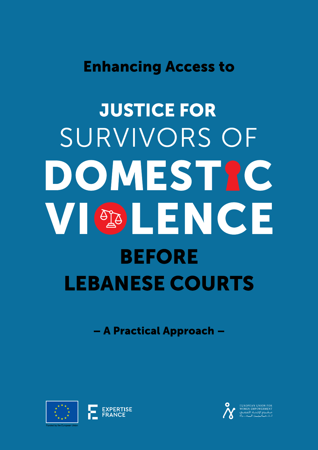# **Enhancing Access to**

# **JUSTICE FOR** SURVIVORS OF DOMESTRC VI OG LENGE **BEFORE LEBANESE COURTS**

- A Practical Approach -



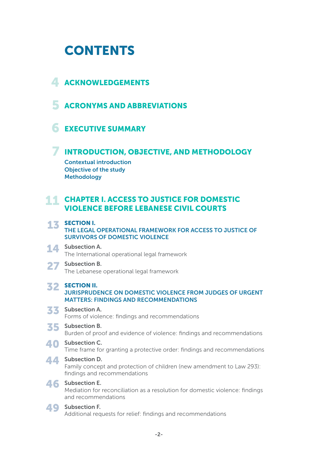# **CONTENTS**

# 4 ACKNOWLEDGEMENTS

**5 ACRONYMS AND ABBREVIATIONS** 

# **6 EXECUTIVE SUMMARY**

# **7 INTRODUCTION, OBJECTIVE, AND METHODOLOGY**

Contextual introduction Objective of the study **Methodology** 

#### 11 CHAPTER I. ACCESS TO JUSTICE FOR DOMESTIC VIOLENCE BEFORE LEBANESE CIVIL COURTS

#### 13 SECTION I. THE LEGAL OPERATIONAL FRAMEWORK FOR ACCESS TO JUSTICE OF SURVIVORS OF DOMESTIC VIOLENCE

#### 14 Subsection A. The International operational legal framework

#### 27 Subsection B. The Lebanese operational legal framework

#### **32 SECTION II.** JURISPRUDENCE ON DOMESTIC VIOLENCE FROM JUDGES OF URGENT MATTERS: FINDINGS AND RECOMMENDATIONS

### 33 Subsection A.

Forms of violence: findings and recommendations

### 35 Subsection B.

Burden of proof and evidence of violence: findings and recommendations

### 40 Subsection C.

Time frame for granting a protective order: findings and recommendations

### 44 Subsection D.

Family concept and protection of children (new amendment to Law 293): findings and recommendations

### 46 Subsection E.

Mediation for reconciliation as a resolution for domestic violence: findings and recommendations

### 49 Subsection F.

Additional requests for relief: findings and recommendations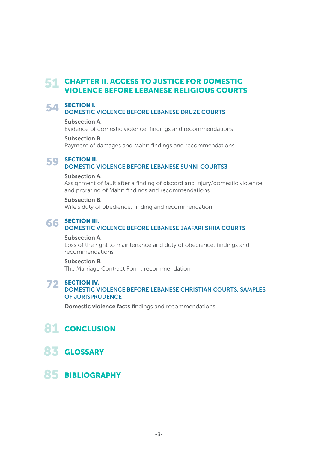#### 51 CHAPTER II. ACCESS TO JUSTICE FOR DOMESTIC VIOLENCE BEFORE LEBANESE RELIGIOUS COURTS

# **54 SECTION I.**<br>DOMESTIC

#### DOMESTIC VIOLENCE BEFORE LEBANESE DRUZE COURTS

#### Subsection A.

Evidence of domestic violence: findings and recommendations

#### Subsection B.

Payment of damages and Mahr: findings and recommendations

# **59 SECTION II.**<br>DOMESTIC

#### DOMESTIC VIOLENCE BEFORE LEBANESE SUNNI COURTS3

#### Subsection A.

Assignment of fault after a finding of discord and injury/domestic violence and prorating of Mahr: findings and recommendations

#### Subsection B.

Wife's duty of obedience: finding and recommendation

#### **66 SECTION III.**<br>DOMESTIC V DOMESTIC VIOLENCE BEFORE LEBANESE JAAFARI SHIIA COURTS

#### Subsection A.

Loss of the right to maintenance and duty of obedience: findings and recommendations

#### Subsection B.

The Marriage Contract Form: recommendation

# **72 SECTION IV.**

#### DOMESTIC VIOLENCE BEFORE LEBANESE CHRISTIAN COURTS, SAMPLES OF JURISPRUDENCE

Domestic violence facts:findings and recommendations

# 81 CONCLUSION

- 83 GLOSSARY
- 85 BIBLIOGRAPHY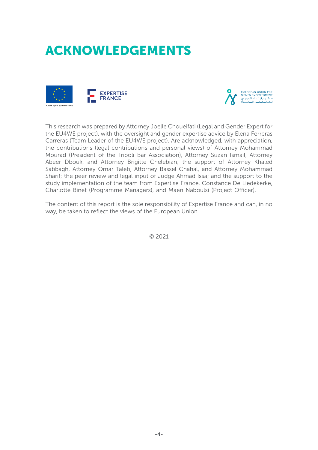# ACKNOWLEDGEMENTS





This research was prepared by Attorney Joelle Choueifati (Legal and Gender Expert for the EU4WE project), with the oversight and gender expertise advice by Elena Ferreras Carreras (Team Leader of the EU4WE project). Are acknowledged, with appreciation, the contributions (legal contributions and personal views) of Attorney Mohammad Mourad (President of the Tripoli Bar Association), Attorney Suzan Ismail, Attorney Abeer Dbouk, and Attorney Brigitte Chelebian; the support of Attorney Khaled Sabbagh, Attorney Omar Taleb, Attorney Bassel Chahal, and Attorney Mohammad Sharif; the peer review and legal input of Judge Ahmad Issa; and the support to the study implementation of the team from Expertise France, Constance De Liedekerke, Charlotte Binet (Programme Managers), and Maen Naboulsi (Project Officer).

The content of this report is the sole responsibility of Expertise France and can, in no way, be taken to reflect the views of the European Union.

© 2021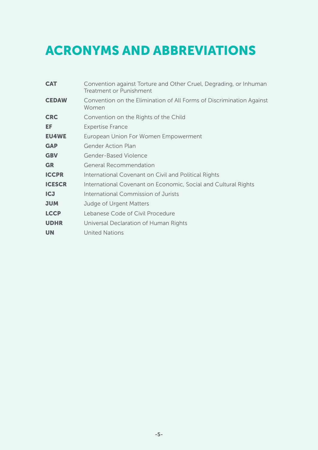# ACRONYMS AND ABBREVIATIONS

| <b>CAT</b>    | Convention against Torture and Other Cruel, Degrading, or Inhuman<br><b>Treatment or Punishment</b> |
|---------------|-----------------------------------------------------------------------------------------------------|
| <b>CEDAW</b>  | Convention on the Elimination of All Forms of Discrimination Against<br>Women                       |
| <b>CRC</b>    | Convention on the Rights of the Child                                                               |
| EF            | <b>Expertise France</b>                                                                             |
| <b>EU4WE</b>  | European Union For Women Empowerment                                                                |
| <b>GAP</b>    | <b>Gender Action Plan</b>                                                                           |
| <b>GBV</b>    | Gender-Based Violence                                                                               |
| <b>GR</b>     | <b>General Recommendation</b>                                                                       |
| <b>ICCPR</b>  | International Covenant on Civil and Political Rights                                                |
| <b>ICESCR</b> | International Covenant on Economic, Social and Cultural Rights                                      |
| <b>ICJ</b>    | International Commission of Jurists                                                                 |
| <b>NUL</b>    | Judge of Urgent Matters                                                                             |
| <b>LCCP</b>   | Lebanese Code of Civil Procedure                                                                    |
| <b>UDHR</b>   | Universal Declaration of Human Rights                                                               |
| <b>UN</b>     | <b>United Nations</b>                                                                               |
|               |                                                                                                     |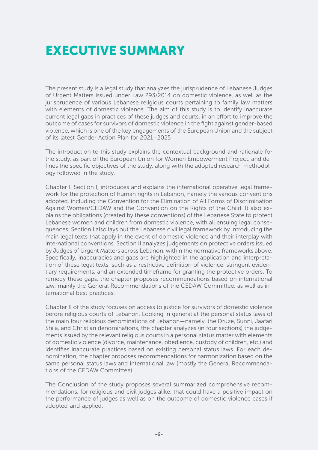# EXECUTIVE SUMMARY

.

The present study is a legal study that analyzes the jurisprudence of Lebanese Judges of Urgent Matters issued under Law 293/2014 on domestic violence, as well as the jurisprudence of various Lebanese religious courts pertaining to family law matters with elements of domestic violence. The aim of this study is to identify inaccurate current legal gaps in practices of these judges and courts, in an effort to improve the outcome of cases for survivors of domestic violence in the fight against gender-based violence, which is one of the key engagements of the European Union and the subject of its latest Gender Action Plan for 2021–2025

The introduction to this study explains the contextual background and rationale for the study, as part of the European Union for Women Empowerment Project, and defines the specific objectives of the study, along with the adopted research methodology followed in the study.

Chapter I, Section I, introduces and explains the international operative legal framework for the protection of human rights in Lebanon, namely the various conventions adopted, including the Convention for the Elimination of All Forms of Discrimination Against Women/CEDAW and the Convention on the Rights of the Child. It also explains the obligations (created by these conventions) of the Lebanese State to protect Lebanese women and children from domestic violence, with all ensuing legal consequences. Section I also lays out the Lebanese civil legal framework by introducing the main legal texts that apply in the event of domestic violence and their interplay with international conventions. Section II analyzes judgements on protective orders issued by Judges of Urgent Matters across Lebanon, within the normative frameworks above. Specifically, inaccuracies and gaps are highlighted in the application and interpretation of these legal texts, such as a restrictive definition of violence, stringent evidentiary requirements, and an extended timeframe for granting the protective orders. To remedy these gaps, the chapter proposes recommendations based on international law, mainly the General Recommendations of the CEDAW Committee, as well as international best practices.

Chapter II of the study focuses on access to justice for survivors of domestic violence before religious courts of Lebanon. Looking in general at the personal status laws of the main four religious denominations of Lebanon—namely, the Druze, Sunni, Jaafari Shiia, and Christian denominations, the chapter analyzes (in four sections) the judgements issued by the relevant religious courts in a personal status matter with elements of domestic violence (divorce, maintenance, obedience, custody of children, etc.) and identifies inaccurate practices based on existing personal status laws. For each denomination, the chapter proposes recommendations for harmonization based on the same personal status laws and international law (mostly the General Recommendations of the CEDAW Committee).

The Conclusion of the study proposes several summarized comprehensive recommendations, for religious and civil judges alike, that could have a positive impact on the performance of judges as well as on the outcome of domestic violence cases if adopted and applied.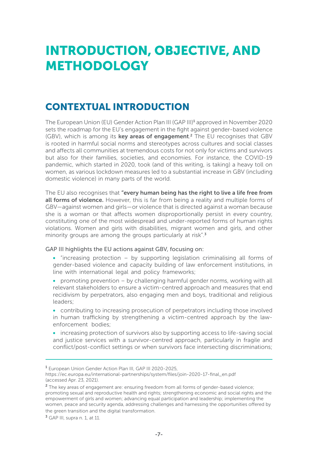# INTRODUCTION, OBJECTIVE, AND METHODOLOGY

# CONTEXTUAL INTRODUCTION

The European Union (EU) Gender Action Plan III (GAP III)<sup>1</sup> approved in November 2020 sets the roadmap for the EU's engagement in the fight against gender-based violence (GBV), which is among its **key areas of engagement**.<sup>2</sup> The EU recognises that GBV is rooted in harmful social norms and stereotypes across cultures and social classes and affects all communities at tremendous costs for not only for victims and survivors but also for their families, societies, and economies. For instance, the COVID-19 pandemic, which started in 2020, took (and of this writing, is taking) a heavy toll on women, as various lockdown measures led to a substantial increase in GBV (including domestic violence) in many parts of the world.

The EU also recognises that "every human being has the right to live a life free from all forms of violence. However, this is far from being a reality and multiple forms of GBV—against women and girls—or violence that is directed against a woman because she is a woman or that affects women disproportionally persist in every country, constituting one of the most widespread and under-reported forms of human rights violations. Women and girls with disabilities, migrant women and girls, and other minority groups are among the groups particularly at risk".<sup>3</sup>

GAP III highlights the EU actions against GBV, focusing on:

- "increasing protection by supporting legislation criminalising all forms of gender-based violence and capacity building of law enforcement institutions, in line with international legal and policy frameworks;
- promoting prevention by challenging harmful gender norms, working with all relevant stakeholders to ensure a victim-centred approach and measures that end recidivism by perpetrators, also engaging men and boys, traditional and religious leaders;
- contributing to increasing prosecution of perpetrators including those involved in human trafficking by strengthening a victim-centred approach by the lawenforcement bodies;
- increasing protection of survivors also by supporting access to life-saving social and justice services with a survivor-centred approach, particularly in fragile and conflict/post-conflict settings or when survivors face intersecting discriminations;

<sup>1</sup> European Union Gender Action Plan III, GAP III 2020-2025,

https://ec.europa.eu/international-partnerships/system/files/join-2020-17-final\_en.pdf (accessed Apr. 23, 2021).

<sup>&</sup>lt;sup>2</sup> The key areas of engagement are: ensuring freedom from all forms of gender-based violence; promoting sexual and reproductive health and rights; strengthening economic and social rights and the empowerment of girls and women; advancing equal participation and leadership; implementing the women, peace and security agenda, addressing challenges and harnessing the opportunities offered by the green transition and the digital transformation.

<sup>3</sup> GAP III, supra n. 1, at 11.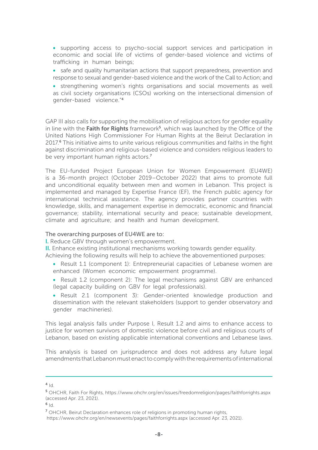- supporting access to psycho-social support services and participation in economic and social life of victims of gender-based violence and victims of trafficking in human beings;
- safe and quality humanitarian actions that support preparedness, prevention and response to sexual and gender-based violence and the work of the Call to Action; and
- strengthening women's rights organisations and social movements as well as civil society organisations (CSOs) working on the intersectional dimension of gender-based violence."<sup>4</sup>

GAP III also calls for supporting the mobilisation of religious actors for gender equality in line with the Faith for Rights framework<sup>5</sup>, which was launched by the Office of the United Nations High Commissioner For Human Rights at the Beirut Declaration in 2017.<sup>6</sup> This initiative aims to unite various religious communities and faiths in the fight against discrimination and religious-based violence and considers religious leaders to be very important human rights actors.<sup>7</sup>

The EU-funded Project European Union for Women Empowerment (EU4WE) is a 36-month project (October 2019–October 2022) that aims to promote full and unconditional equality between men and women in Lebanon. This project is implemented and managed by Expertise France (EF), the French public agency for international technical assistance. The agency provides partner countries with knowledge, skills, and management expertise in democratic, economic and financial governance; stability, international security and peace; sustainable development, climate and agriculture; and health and human development.

#### The overarching purposes of EU4WE are to:

I. Reduce GBV through women's empowerment.

II. Enhance existing institutional mechanisms working towards gender equality.

Achieving the following results will help to achieve the abovementioned purposes:

- Result 1.1 (component 1): Entrepreneurial capacities of Lebanese women are enhanced (Women economic empowerment programme).
- Result 1.2 (component 2): The legal mechanisms against GBV are enhanced (legal capacity building on GBV for legal professionals).
- Result 2.1 (component 3): Gender-oriented knowledge production and dissemination with the relevant stakeholders (support to gender observatory and gender machineries).

This legal analysis falls under Purpose I, Result 1.2 and aims to enhance access to justice for women survivors of domestic violence before civil and religious courts of Lebanon, based on existing applicable international conventions and Lebanese laws.

This analysis is based on jurisprudence and does not address any future legal amendments that Lebanon must enact to comply with the requirements of international

 $6$  Id.

 $4<sub>1d</sub>$ 

<sup>5</sup> OHCHR, Faith For Rights, https://www.ohchr.org/en/issues/freedomreligion/pages/faithforrights.aspx (accessed Apr. 23, 2021).

<sup>7</sup> OHCHR, Beirut Declaration enhances role of religions in promoting human rights,

https://www.ohchr.org/en/newsevents/pages/faithforrights.aspx (accessed Apr. 23, 2021).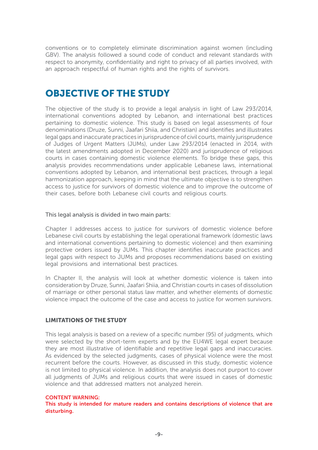conventions or to completely eliminate discrimination against women (including GBV). The analysis followed a sound code of conduct and relevant standards with respect to anonymity, confidentiality and right to privacy of all parties involved, with an approach respectful of human rights and the rights of survivors.

### OBJECTIVE OF THE STUDY

The objective of the study is to provide a legal analysis in light of Law 293/2014, international conventions adopted by Lebanon, and international best practices pertaining to domestic violence. This study is based on legal assessments of four denominations (Druze, Sunni, Jaafari Shiia, and Christian) and identifies and illustrates legal gaps and inaccurate practices in jurisprudence of civil courts, mainly jurisprudence of Judges of Urgent Matters (JUMs), under Law 293/2014 (enacted in 2014, with the latest amendments adopted in December 2020) and jurisprudence of religious courts in cases containing domestic violence elements. To bridge these gaps, this analysis provides recommendations under applicable Lebanese laws, international conventions adopted by Lebanon, and international best practices, through a legal harmonization approach, keeping in mind that the ultimate objective is to strengthen access to justice for survivors of domestic violence and to improve the outcome of their cases, before both Lebanese civil courts and religious courts.

#### This legal analysis is divided in two main parts:

Chapter I addresses access to justice for survivors of domestic violence before Lebanese civil courts by establishing the legal operational framework (domestic laws and international conventions pertaining to domestic violence) and then examining protective orders issued by JUMs. This chapter identifies inaccurate practices and legal gaps with respect to JUMs and proposes recommendations based on existing legal provisions and international best practices.

In Chapter II, the analysis will look at whether domestic violence is taken into consideration by Druze, Sunni, Jaafari Shiia, and Christian courts in cases of dissolution of marriage or other personal status law matter, and whether elements of domestic violence impact the outcome of the case and access to justice for women survivors.

#### LIMITATIONS OF THE STUDY

This legal analysis is based on a review of a specific number (95) of judgments, which were selected by the short-term experts and by the EU4WE legal expert because they are most illustrative of identifiable and repetitive legal gaps and inaccuracies. As evidenced by the selected judgments, cases of physical violence were the most recurrent before the courts. However, as discussed in this study, domestic violence is not limited to physical violence. In addition, the analysis does not purport to cover all judgments of JUMs and religious courts that were issued in cases of domestic violence and that addressed matters not analyzed herein.

#### CONTENT WARNING:

This study is intended for mature readers and contains descriptions of violence that are disturbing.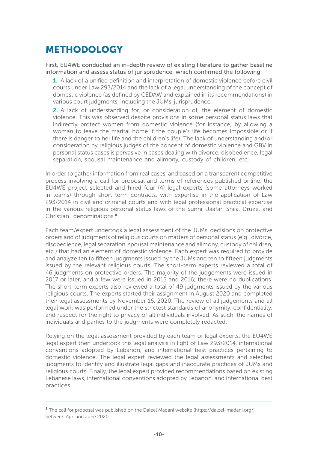# METHODOLOGY

First, EU4WE conducted an in-depth review of existing literature to gather baseline information and assess status of jurisprudence, which confirmed the following:

1. A lack of a unified definition and interpretation of domestic violence before civil courts under Law 293/2014 and the lack of a legal understanding of the concept of domestic violence (as defined by CEDAW and explained in its recommendations) in various court judgments, including the JUMs' jurisprudence.

2. A lack of understanding for, or consideration of, the element of domestic violence. This was observed despite provisions in some personal status laws that indirectly protect women from domestic violence (for instance, by allowing a woman to leave the marital home if the couple's life becomes impossible or if there is danger to her life and the children's life). The lack of understanding and/or consideration by religious judges of the concept of domestic violence and GBV in personal status cases is pervasive in cases dealing with divorce, disobedience, legal separation, spousal maintenance and alimony, custody of children, etc.

In order to gather information from real cases, and based on a transparent competitive process involving a call for proposal and terms of references published online, the EU4WE project selected and hired four (4) legal experts (some attorneys worked in teams) through short-term contracts, with expertise in the application of Law 293/2014 in civil and criminal courts and with legal professional practical expertise in the various religious personal status laws of the Sunni, Jaafari Shiia, Druze, and Christian denominations.<sup>8</sup>

Each team/expert undertook a legal assessment of the JUMs' decisions on protective orders and of judgments of religious courts on matters of personal status (e.g., divorce, disobedience, legal separation, spousal maintenance and alimony, custody of children, etc.) that had an element of domestic violence. Each expert was required to provide and analyze ten to fifteen judgments issued by the JUMs and ten to fifteen judgments issued by the relevant religious courts. The short-term experts reviewed a total of 46 judgments on protective orders. The majority of the judgements were issued in 2017 or later, and a few were issued in 2015 and 2016; there were no duplications. The short-term experts also reviewed a total of 49 judgments issued by the various religious courts. The experts started their assignment in August 2020 and completed their legal assessments by November 16, 2020. The review of all judgements and all legal work was performed under the strictest standards of anonymity, confidentiality, and respect for the right to privacy of all individuals involved. As such, the names of individuals and parties to the judgments were completely redacted.

Relying on the legal assessment provided by each team of legal experts, the EU4WE legal expert then undertook this legal analysis in light of Law 293/2014, international conventions adopted by Lebanon, and international best practices pertaining to domestic violence. The legal expert reviewed the legal assessments and selected judgments to identify and illustrate legal gaps and inaccurate practices of JUMs and religious courts. Finally, the legal expert provided recommendations based on existing Lebanese laws, international conventions adopted by Lebanon, and international best practices.

<sup>&</sup>lt;sup>8</sup> The call for proposal was published on the Daleel Madani website (https://daleel-madani.org/) between Apr. and June 2020.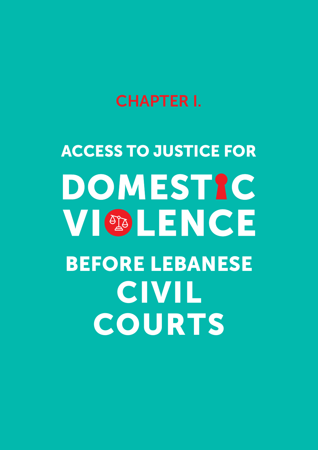# CHAPTER I.

# ACCESS TO JUSTICE FOR DOMESTIC **VI OBLENCE** BEFORE LEBANESE **CIVIL** COURTS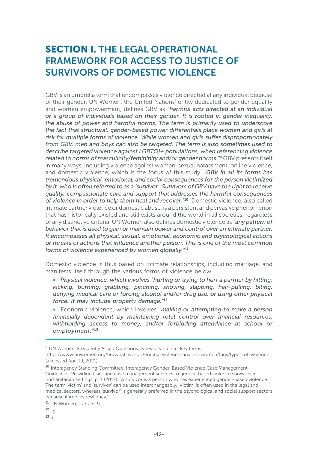# SECTION I. THE LEGAL OPERATIONAL FRAMEWORK FOR ACCESS TO JUSTICE OF SURVIVORS OF DOMESTIC VIOLENCE

GBV is an umbrella term that encompasses violence directed at any individual because of their gender. UN Women, the United Nations' entity dedicated to gender equality and women empowerment, defines GBV as *"harmful acts directed at an individual or a group of individuals based on their gender. It is rooted in gender inequality, the abuse of power and harmful norms. The term is primarily used to underscore the fact that structural, gender-based power differentials place women and girls at risk for multiple forms of violence. While women and girls suffer disproportionately from GBV, men and boys can also be targeted. The term is also sometimes used to describe targeted violence against LGBTQI+ populations, when referencing violence related to norms of masculinity/femininity and/or gender norms."*9 GBV presents itself in many ways, including violence against women, sexual harassment, online violence, and domestic violence, which is the focus of this study. *"GBV in all its forms has tremendous physical, emotional, and social consequences for the person victimized by it, who is often referred to as a 'survivor'. Survivors of GBV have the right to receive quality, compassionate care and support that addresses the harmful consequences of violence in order to help them heal and recover."*10 Domestic violence, also called intimate partner violence or domestic abuse, is a persistent and pervasive phenomenon that has historically existed and still exists around the world in all societies, regardless of any distinctive criteria. UN Women also defines domestic violence as *"any pattern of behavior that is used to gain or maintain power and control over an intimate partner. It encompasses all physical, sexual, emotional, economic and psychological actions or threats of actions that influence another person. This is one of the most common forms of violence experienced by women globally."*<sup>11</sup>

Domestic violence is thus based on intimate relationships, including marriage, and manifests itself through the various forms of violence below:

• *Physical violence, which involves "hurting or trying to hurt a partner by hitting, kicking, burning, grabbing, pinching, shoving, slapping, hair-pulling, biting, denying medical care or forcing alcohol and/or drug use, or using other physical force. It may include property damage."*<sup>12</sup>

• Economic violence, which involves *"making or attempting to make a person financially dependent by maintaining total control over financial resources, withholding access to money, and/or forbidding attendance at school or employment."*<sup>13</sup>

<sup>11</sup> UN Women, supra n. 9.

 $12$ <sub>Id.</sub>

 $13$  Id.

<sup>&</sup>lt;sup>9</sup> UN Women, Frequently Asked Questions, types of violence, key terms,

https://www.unwomen.org/en/what-we-do/ending-violence-against-women/faqs/types-of-violence (accessed Apr. 19, 2021).

<sup>10</sup> Interagency Standing Committee, Interagency Gender-Based Violence Case Management Guidelines: Providing Care and case management services to gender-based violence survivors in humanitarian settings, p. 7 (2017). "A survivor is a person who has experienced gender-based violence. The term 'victim' and 'survivor' can be used interchangeably. 'Victim' is often used in the legal and medical sectors, whereas 'survivor' is generally preferred in the psychological and social support sectors because it implies resiliency."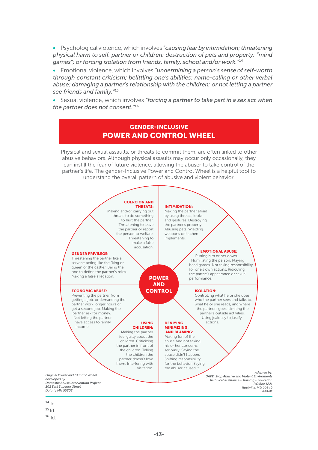• Psychological violence, which involves *"causing fear by intimidation; threatening physical harm to self, partner or children; destruction of pets and property; "mind games"; or forcing isolation from friends, family, school and/or work."*<sup>14</sup>

• Emotional violence, which involves *"undermining a person's sense of self-worth through constant criticism; belittling one's abilities; name-calling or other verbal*  abuse; damaging a partner's relationship with the children; or not letting a partner *see friends and family."*<sup>15</sup>

• Sexual violence, which involves *"forcing a partner to take part in a sex act when the partner does not consent."*<sup>16</sup>

#### GENDER-INCLUSIVE POWER AND CONTROL WHEEL

Physical and sexual assaults, or threats to commit them, are often linked to other abusive behaviors. Although physical assaults may occur only occasionally, they can instill the fear of future violence, allowing the abuser to take control of the partner's life. The gender-Inclusive Power and Control Wheel is a helpful tool to understand the overall pattern of abusive and violent behavior.



 $14$   $\vert d \vert$ .

- $15|d$
- $16 |d$

-13-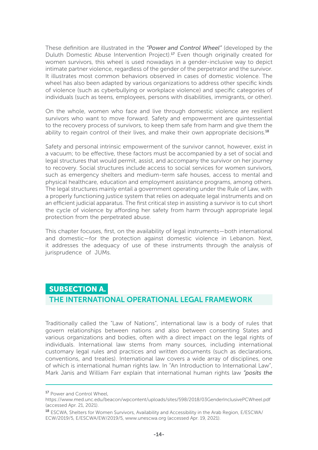These definition are illustrated in the *"Power and Control Wheel"* (developed by the Duluth Domestic Abuse Intervention Project).17 Even though originally created for women survivors, this wheel is used nowadays in a gender-inclusive way to depict intimate partner violence, regardless of the gender of the perpetrator and the survivor. It illustrates most common behaviors observed in cases of domestic violence. The wheel has also been adapted by various organizations to address other specific kinds of violence (such as cyberbullying or workplace violence) and specific categories of individuals (such as teens, employees, persons with disabilities, immigrants, or other).

On the whole, women who face and live through domestic violence are resilient survivors who want to move forward. Safety and empowerment are quintessential to the recovery process of survivors, to keep them safe from harm and give them the ability to regain control of their lives, and make their own appropriate decisions.<sup>18</sup>

Safety and personal intrinsic empowerment of the survivor cannot, however, exist in a vacuum; to be effective, these factors must be accompanied by a set of social and legal structures that would permit, assist, and accompany the survivor on her journey to recovery. Social structures include access to social services for women survivors, such as emergency shelters and medium-term safe houses, access to mental and physical healthcare, education and employment assistance programs, among others. The legal structures mainly entail a government operating under the Rule of Law, with a properly functioning justice system that relies on adequate legal instruments and on an efficient judicial apparatus. The first critical step in assisting a survivor is to cut short the cycle of violence by affording her safety from harm through appropriate legal protection from the perpetrated abuse.

This chapter focuses, first, on the availability of legal instruments—both international and domestic—for the protection against domestic violence in Lebanon. Next, it addresses the adequacy of use of these instruments through the analysis of jurisprudence of JUMs.

#### SUBSECTION A.

#### THE INTERNATIONAL OPERATIONAL LEGAL FRAMEWORK

Traditionally called the "Law of Nations", international law is a body of rules that govern relationships between nations and also between consenting States and various organizations and bodies, often with a direct impact on the legal rights of individuals. International law stems from many sources, including international customary legal rules and practices and written documents (such as declarations, conventions, and treaties). International law covers a wide array of disciplines, one of which is international human rights law. In "An Introduction to International Law", Mark Janis and William Farr explain that international human rights law *"posits the* 

<sup>&</sup>lt;sup>17</sup> Power and Control Wheel,

https://www.med.unc.edu/beacon/wpcontent/uploads/sites/598/2018/03GenderInclusivePCWheel.pdf (accessed Apr. 21, 2021).

<sup>18</sup> ESCWA, Shelters for Women Survivors, Availability and Accessibility in the Arab Region, E/ESCWA/ ECW/2019/5, E/ESCWA/EW/2019/5, www.unescwa.org (accessed Apr. 19, 2021).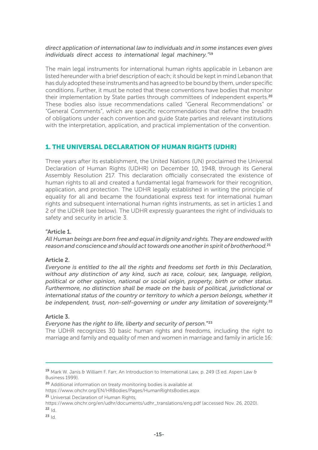#### *direct application of international law to individuals and in some instances even gives individuals direct access to international legal machinery."*<sup>19</sup>

The main legal instruments for international human rights applicable in Lebanon are listed hereunder with a brief description of each; it should be kept in mind Lebanon that has duly adopted these instruments and has agreed to be bound by them, under specific conditions. Further, it must be noted that these conventions have bodies that monitor their implementation by State parties through committees of independent experts.<sup>20</sup> These bodies also issue recommendations called "General Recommendations" or "General Comments", which are specific recommendations that define the breadth of obligations under each convention and guide State parties and relevant institutions with the interpretation, application, and practical implementation of the convention.

#### 1. THE UNIVERSAL DECLARATION OF HUMAN RIGHTS (UDHR)

Three years after its establishment, the United Nations (UN) proclaimed the Universal Declaration of Human Rights (UDHR) on December 10, 1948, through its General Assembly Resolution 217. This declaration officially consecrated the existence of human rights to all and created a fundamental legal framework for their recognition, application, and protection. The UDHR legally established in writing the principle of equality for all and became the foundational express text for international human rights and subsequent international human rights instruments, as set in articles 1 and 2 of the UDHR (see below). The UDHR expressly guarantees the right of individuals to safety and security in article 3.

#### "Article 1.

*All Human beings are born free and equal in dignity and rights. They are endowed with reason and conscience and should act towards one another in spirit of brotherhood.*<sup>21</sup>

#### Article 2.

*Everyone is entitled to the all the rights and freedoms set forth in this Declaration, without any distinction of any kind, such as race, colour, sex, language, religion, political or other opinion, national or social origin, property, birth or other status. Furthermore, no distinction shall be made on the basis of political, jurisdictional or international status of the country or territory to which a person belongs, whether it be independent, trust, non-self-governing or under any limitation of sovereignty.*<sup>22</sup>

#### Article 3.

*Everyone has the right to life, liberty and security of person.*"23

The UDHR recognizes 30 basic human rights and freedoms, including the right to marriage and family and equality of men and women in marriage and family in article 16:

<sup>&</sup>lt;sup>19</sup> Mark W. Janis & William F. Farr, An Introduction to International Law, p. 249 (3 ed. Aspen Law & Business 1999).

<sup>&</sup>lt;sup>20</sup> Additional information on treaty monitoring bodies is available at

https://www.ohchr.org/EN/HRBodies/Pages/HumanRightsBodies.aspx

<sup>21</sup> Universal Declaration of Human Rights,

https://www.ohchr.org/en/udhr/documents/udhr\_translations/eng.pdf (accessed Nov. 26, 2020).  $22 \text{Id}$ 

 $23 \text{ Id}$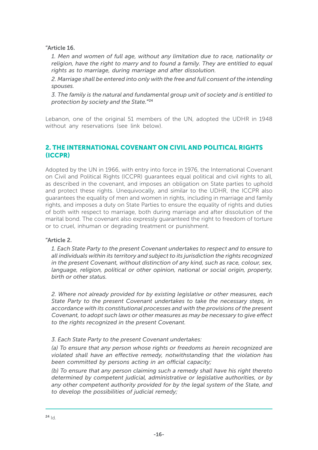"Article 16.

*1. Men and women of full age, without any limitation due to race, nationality or religion, have the right to marry and to found a family. They are entitled to equal rights as to marriage, during marriage and after dissolution.*

*2. Marriage shall be entered into only with the free and full consent of the intending spouses.*

*3. The family is the natural and fundamental group unit of society and is entitled to protection by society and the State.*"24

Lebanon, one of the original 51 members of the UN, adopted the UDHR in 1948 without any reservations (see link below).

#### 2. THE INTERNATIONAL COVENANT ON CIVIL AND POLITICAL RIGHTS (ICCPR)

Adopted by the UN in 1966, with entry into force in 1976, the International Covenant on Civil and Political Rights (ICCPR) guarantees equal political and civil rights to all, as described in the covenant, and imposes an obligation on State parties to uphold and protect these rights. Unequivocally, and similar to the UDHR, the ICCPR also guarantees the equality of men and women in rights, including in marriage and family rights, and imposes a duty on State Parties to ensure the equality of rights and duties of both with respect to marriage, both during marriage and after dissolution of the marital bond. The covenant also expressly guaranteed the right to freedom of torture or to cruel, inhuman or degrading treatment or punishment.

#### "Article 2.

*1. Each State Party to the present Covenant undertakes to respect and to ensure to all individuals within its territory and subject to its jurisdiction the rights recognized in the present Covenant, without distinction of any kind, such as race, colour, sex, language, religion, political or other opinion, national or social origin, property, birth or other status.*

*2. Where not already provided for by existing legislative or other measures, each State Party to the present Covenant undertakes to take the necessary steps, in accordance with its constitutional processes and with the provisions of the present Covenant, to adopt such laws or other measures as may be necessary to give effect to the rights recognized in the present Covenant.*

#### *3. Each State Party to the present Covenant undertakes:*

*(a) To ensure that any person whose rights or freedoms as herein recognized are violated shall have an effective remedy, notwithstanding that the violation has been committed by persons acting in an official capacity;*

*(b) To ensure that any person claiming such a remedy shall have his right thereto determined by competent judicial, administrative or legislative authorities, or by any other competent authority provided for by the legal system of the State, and to develop the possibilities of judicial remedy;*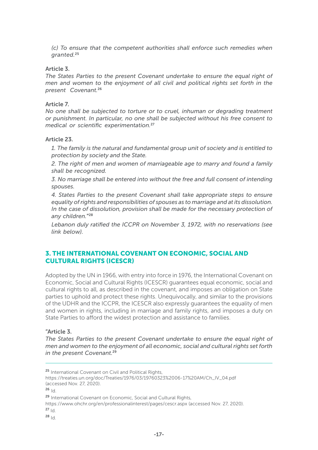*(c) To ensure that the competent authorities shall enforce such remedies when granted.*<sup>25</sup>

#### Article 3.

The States Parties to the present Covenant undertake to ensure the equal right of *men and women to the enjoyment of all civil and political rights set forth in the present Covenant.*<sup>26</sup>

#### Article 7.

*No one shall be subjected to torture or to cruel, inhuman or degrading treatment or punishment. In particular, no one shall be subjected without his free consent to medical or scientific experimentation.*<sup>27</sup>

#### Article 23.

*1. The family is the natural and fundamental group unit of society and is entitled to protection by society and the State.*

*2. The right of men and women of marriageable age to marry and found a family shall be recognized.*

*3. No marriage shall be entered into without the free and full consent of intending spouses.*

*4. States Parties to the present Covenant shall take appropriate steps to ensure equality of rights and responsibilities of spouses as to marriage and at its dissolution. In the case of dissolution, provision shall be made for the necessary protection of any children.*"28

*Lebanon duly ratified the ICCPR on November 3, 1972, with no reservations (see link below).*

#### 3. THE INTERNATIONAL COVENANT ON ECONOMIC, SOCIAL AND CULTURAL RIGHTS (ICESCR)

Adopted by the UN in 1966, with entry into force in 1976, the International Covenant on Economic, Social and Cultural Rights (ICESCR) guarantees equal economic, social and cultural rights to all, as described in the covenant, and imposes an obligation on State parties to uphold and protect these rights. Unequivocally, and similar to the provisions of the UDHR and the ICCPR, the ICESCR also expressly guarantees the equality of men and women in rights, including in marriage and family rights, and imposes a duty on State Parties to afford the widest protection and assistance to families.

#### "Article 3.

The States Parties to the present Covenant undertake to ensure the equal right of *men and women to the enjoyment of all economic, social and cultural rights set forth in the present Covenant.*<sup>29</sup>

 $28$  Id.

<sup>25</sup> International Covenant on Civil and Political Rights.

https://treaties.un.org/doc/Treaties/1976/03/19760323%2006-17%20AM/Ch\_IV\_04.pdf (accessed Nov. 27, 2020).

 $26$ <sub>Id</sub>

<sup>29</sup> International Covenant on Economic, Social and Cultural Rights,

https://www.ohchr.org/en/professionalinterest/pages/cescr.aspx (accessed Nov. 27, 2020).  $27 \text{ Id}$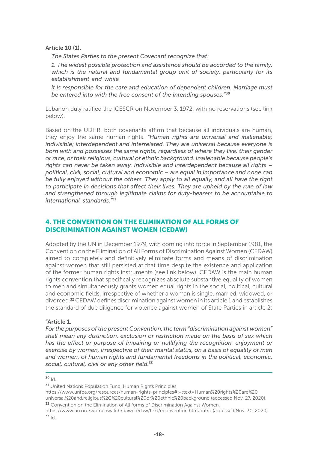Article 10 (1).

*The States Parties to the present Covenant recognize that:*

*1. The widest possible protection and assistance should be accorded to the family, which is the natural and fundamental group unit of society, particularly for its establishment and while*

*it is responsible for the care and education of dependent children. Marriage must be entered into with the free consent of the intending spouses.*"30

Lebanon duly ratified the ICESCR on November 3, 1972, with no reservations (see link below).

Based on the UDHR, both covenants affirm that because all individuals are human, they enjoy the same human rights. *"Human rights are universal and inalienable; indivisible; interdependent and interrelated. They are universal because everyone is born with and possesses the same rights, regardless of where they live, their gender or race, or their religious, cultural or ethnic background. Inalienable because people's rights can never be taken away. Indivisible and interdependent because all rights – political, civil, social, cultural and economic – are equal in importance and none can be fully enjoyed without the others. They apply to all equally, and all have the right to participate in decisions that affect their lives. They are upheld by the rule of law and strengthened through legitimate claims for duty-bearers to be accountable to international standards."*<sup>31</sup>

#### 4. THE CONVENTION ON THE ELIMINATION OF ALL FORMS OF DISCRIMINATION AGAINST WOMEN (CEDAW)

Adopted by the UN in December 1979, with coming into force in September 1981, the Convention on the Elimination of All Forms of Discrimination Against Women (CEDAW) aimed to completely and definitively eliminate forms and means of discrimination against women that still persisted at that time despite the existence and application of the former human rights instruments (see link below). CEDAW is the main human rights convention that specifically recognizes absolute substantive equality of women to men and simultaneously grants women equal rights in the social, political, cultural and economic fields, irrespective of whether a woman is single, married, widowed, or divorced.32 CEDAW defines discrimination against women in its article 1 and establishes the standard of due diligence for violence against women of State Parties in article 2:

#### "Article 1.

*For the purposes of the present Convention, the term "discrimination against women" shall mean any distinction, exclusion or restriction made on the basis of sex which has the effect or purpose of impairing or nullifying the recognition, enjoyment or exercise by women, irrespective of their marital status, on a basis of equality of men and women, of human rights and fundamental freedoms in the political, economic, social, cultural, civil or any other field.*<sup>33</sup>

#### $30$  Id.

https://www.unfpa.org/resources/human-rights-principles#:~:text=Human%20rights%20are%20

universal%20and,religious%2C%20cultural%20or%20ethnic%20background (accessed Nov. 27, 2020).

<sup>&</sup>lt;sup>31</sup> United Nations Population Fund, Human Rights Principles,

<sup>&</sup>lt;sup>32</sup> Convention on the Elimination of All forms of Discrimination Against Women,

https://www.un.org/womenwatch/daw/cedaw/text/econvention.htm#intro (accessed Nov. 30, 2020).  $33 \, |d$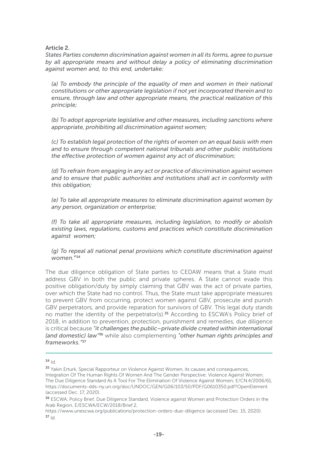Article 2.

*States Parties condemn discrimination against women in all its forms, agree to pursue by all appropriate means and without delay a policy of eliminating discrimination against women and, to this end, undertake:*

(a) To embody the principle of the equality of men and women in their national *constitutions or other appropriate legislation if not yet incorporated therein and to ensure, through law and other appropriate means, the practical realization of this principle;*

*(b) To adopt appropriate legislative and other measures, including sanctions where appropriate, prohibiting all discrimination against women;*

*(c) To establish legal protection of the rights of women on an equal basis with men and to ensure through competent national tribunals and other public institutions the effective protection of women against any act of discrimination;*

*(d) To refrain from engaging in any act or practice of discrimination against women and to ensure that public authorities and institutions shall act in conformity with this obligation;*

*(e) To take all appropriate measures to eliminate discrimination against women by any person, organization or enterprise;*

*(f) To take all appropriate measures, including legislation, to modify or abolish existing laws, regulations, customs and practices which constitute discrimination against women;*

*(g) To repeal all national penal provisions which constitute discrimination against women.*"34

The due diligence obligation of State parties to CEDAW means that a State must address GBV in both the public and private spheres. A State cannot evade this positive obligation/duty by simply claiming that GBV was the act of private parties, over which the State had no control. Thus, the State must take appropriate measures to prevent GBV from occurring, protect women against GBV, prosecute and punish GBV perpetrators, and provide reparation for survivors of GBV. This legal duty stands no matter the identity of the perpetrator(s).<sup>35</sup> According to ESCWA's Policy brief of 2018, in addition to prevention, protection, punishment and remedies, due diligence is critical because *"it challenges the public–private divide created within international (and domestic) law"*36 while also complementing *"other human rights principles and frameworks."*<sup>37</sup>

 $34$  Id.

<sup>35</sup> Yakin Erturk, Special Rapporteur on Violence Against Women, its causes and consequences, Integration Of The Human Rights Of Women And The Gender Perspective: Violence Against Women, The Due Diligence Standard As A Tool For The Elimination Of Violence Against Women; E/CN.4/2006/61, https://documents-dds-ny.un.org/doc/UNDOC/GEN/G06/103/50/PDF/G0610350.pdf?OpenElement (accessed Dec. 17, 2020).

<sup>36</sup> ESCWA, Policy Brief, Due Diligence Standard, Violence against Women and Protection Orders in the Arab Region, E/ESCWA/ECW/2018/Brief.2,

https://www.unescwa.org/publications/protection-orders-due-diligence (accessed Dec. 15, 2020).  $37 \text{ Id}$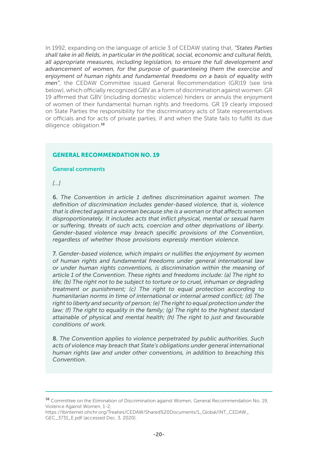In 1992, expanding on the language of article 3 of CEDAW stating that, *"States Parties shall take in all fields, in particular in the political, social, economic and cultural fields, all appropriate measures, including legislation, to ensure the full development and advancement of women, for the purpose of guaranteeing them the exercise and enjoyment of human rights and fundamental freedoms on a basis of equality with men"*, the CEDAW Committee issued General Recommendation (GR)19 (see link below), which officially recognized GBV as a form of discrimination against women. GR 19 affirmed that GBV (including domestic violence) hinders or annuls the enjoyment of women of their fundamental human rights and freedoms. GR 19 clearly imposed on State Parties the responsibility for the discriminatory acts of State representatives or officials and for acts of private parties, if and when the State fails to fulfill its due diligence obligation.<sup>38</sup>

#### GENERAL RECOMMENDATION NO. 19

#### General comments

*[…]*

6. *The Convention in article 1 defines discrimination against women. The definition of discrimination includes gender-based violence, that is, violence that is directed against a woman because she is a woman or that affects women disproportionately. It includes acts that inflict physical, mental or sexual harm or suffering, threats of such acts, coercion and other deprivations of liberty. Gender-based violence may breach specific provisions of the Convention, regardless of whether those provisions expressly mention violence.* 

7. *Gender-based violence, which impairs or nullifies the enjoyment by women of human rights and fundamental freedoms under general international law or under human rights conventions, is discrimination within the meaning of article 1 of the Convention. These rights and freedoms include: (a) The right to life; (b) The right not to be subject to torture or to cruel, inhuman or degrading treatment or punishment; (c) The right to equal protection according to humanitarian norms in time of international or internal armed conflict; (d) The right to liberty and security of person; (e) The right to equal protection under the law; (f) The right to equality in the family; (g) The right to the highest standard attainable of physical and mental health; (h) The right to just and favourable conditions of work.* 

8. *The Convention applies to violence perpetrated by public authorities. Such acts of violence may breach that State's obligations under general international human rights law and under other conventions, in addition to breaching this Convention.*

<sup>&</sup>lt;sup>38</sup> Committee on the Elimination of Discrimination against Women, General Recommendation No. 19, Violence Against Women, 1-2,

https://tbinternet.ohchr.org/Treaties/CEDAW/Shared%20Documents/1\_Global/INT\_CEDAW\_ GEC\_3731\_E.pdf (accessed Dec. 3, 2020).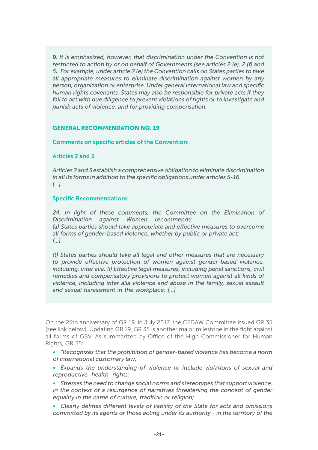9. *It is emphasized, however, that discrimination under the Convention is not restricted to action by or on behalf of Governments (see articles 2 (e), 2 (f) and 5). For example, under article 2 (e) the Convention calls on States parties to take all appropriate measures to eliminate discrimination against women by any person, organization or enterprise. Under general international law and specific human rights covenants, States may also be responsible for private acts if they*  fail to act with due diligence to prevent violations of rights or to investigate and *punish acts of violence, and for providing compensation.* 

#### GENERAL RECOMMENDATION NO. 19

Comments on specific articles of the Convention:

#### Articles 2 and 3

*Articles 2 and 3 establish a comprehensive obligation to eliminate discrimination in all its forms in addition to the specific obligations under articles 5-16 […]*

#### Specific Recommendations

*24. In light of these comments, the Committee on the Elimination of Discrimination against Women recommends: (a) States parties should take appropriate and effective measures to overcome all forms of gender-based violence, whether by public or private act; […]*

*(t) States parties should take all legal and other measures that are necessary to provide effective protection of women against gender-based violence, including, inter alia: (i) Effective legal measures, including penal sanctions, civil remedies and compensatory provisions to protect women against all kinds of violence, including inter alia violence and abuse in the family, sexual assault and sexual harassment in the workplace; […]*

On the 25th anniversary of GR 19, in July 2017, the CEDAW Committee issued GR 35 (see link below). Updating GR 19, GR 35 is another major milestone in the fight against all forms of GBV. As summarized by Office of the High Commissioner for Human Rights, GR 35:

• *"Recognizes that the prohibition of gender-based violence has become a norm of international customary law;*

• *Expands the understanding of violence to include violations of sexual and reproductive health rights;*

- *Stresses the need to change social norms and stereotypes that support violence, in the context of a resurgence of narratives threatening the concept of gender equality in the name of culture, tradition or religion;*
- *Clearly defines different levels of liability of the State for acts and omissions committed by its agents or those acting under its authority - in the territory of the*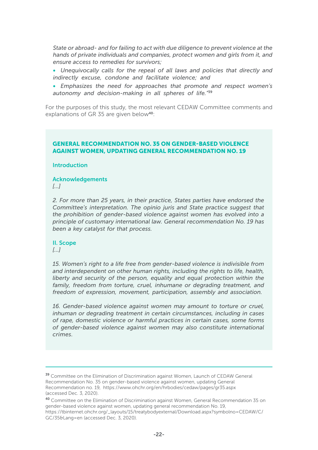*State or abroad- and for failing to act with due diligence to prevent violence at the hands of private individuals and companies, protect women and girls from it, and ensure access to remedies for survivors;*

- *Unequivocally calls for the repeal of all laws and policies that directly and indirectly excuse, condone and facilitate violence; and*
- *Emphasizes the need for approaches that promote and respect women's autonomy and decision-making in all spheres of life."*<sup>39</sup>

For the purposes of this study, the most relevant CEDAW Committee comments and explanations of GR 35 are given below<sup>40</sup>:

#### GENERAL RECOMMENDATION NO. 35 ON GENDER-BASED VIOLENCE AGAINST WOMEN, UPDATING GENERAL RECOMMENDATION NO. 19

#### Introduction

Acknowledgements

*[…]*

*2. For more than 25 years, in their practice, States parties have endorsed the Committee's interpretation. The opinio juris and State practice suggest that the prohibition of gender-based violence against women has evolved into a principle of customary international law. General recommendation No. 19 has been a key catalyst for that process.*

#### II. Scope

*[…]*

*15. Women's right to a life free from gender-based violence is indivisible from and interdependent on other human rights, including the rights to life, health, liberty and security of the person, equality and equal protection within the*  family, freedom from torture, cruel, inhumane or degrading treatment, and *freedom of expression, movement, participation, assembly and association.*

*16. Gender-based violence against women may amount to torture or cruel, inhuman or degrading treatment in certain circumstances, including in cases of rape, domestic violence or harmful practices in certain cases, some forms of gender-based violence against women may also constitute international crimes.*

<sup>&</sup>lt;sup>39</sup> Committee on the Elimination of Discrimination against Women, Launch of CEDAW General Recommendation No. 35 on gender-based violence against women, updating General Recommendation no. 19, https://www.ohchr.org/en/hrbodies/cedaw/pages/gr35.aspx (accessed Dec. 3, 2020).

<sup>40</sup> Committee on the Elimination of Discrimination against Women, General Recommendation 35 on gender-based violence against women, updating general recommendation No. 19, https://tbinternet.ohchr.org/\_layouts/15/treatybodyexternal/Download.aspx?symbolno=CEDAW/C/ GC/35&Lang=en (accessed Dec. 3, 2020).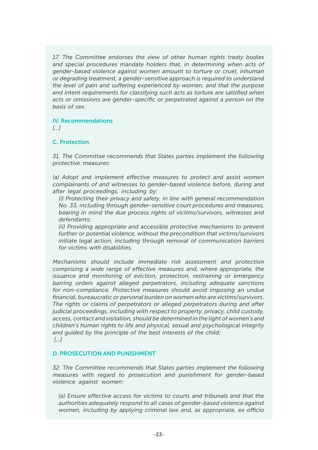*17. The Committee endorses the view of other human rights treaty bodies and special procedures mandate holders that, in determining when acts of gender-based violence against women amount to torture or cruel, inhuman or degrading treatment, a gender-sensitive approach is required to understand the level of pain and suffering experienced by women, and that the purpose and intent requirements for classifying such acts as torture are satisfied when acts or omissions are gender-specific or perpetrated against a person on the basis of sex.*

#### IV. Recommendations

*[…]*

#### C. Protection

*31. The Committee recommends that States parties implement the following protective measures:*

*(a) Adopt and implement effective measures to protect and assist women complainants of and witnesses to gender-based violence before, during and after legal proceedings, including by:*

*(i) Protecting their privacy and safety, in line with general recommendation No. 33, including through gender-sensitive court procedures and measures, bearing in mind the due process rights of victims/survivors, witnesses and defendants;*

*(ii) Providing appropriate and accessible protective mechanisms to prevent further or potential violence, without the precondition that victims/survivors initiate legal action, including through removal of communication barriers for victims with disabilities.*

*Mechanisms should include immediate risk assessment and protection comprising a wide range of effective measures and, where appropriate, the issuance and monitoring of eviction, protection, restraining or emergency barring orders against alleged perpetrators, including adequate sanctions for non-compliance. Protective measures should avoid imposing an undue financial, bureaucratic or personal burden on women who are victims/survivors. The rights or claims of perpetrators or alleged perpetrators during and after judicial proceedings, including with respect to property, privacy, child custody, access, contact and visitation, should be determined in the light of women's and children's human rights to life and physical, sexual and psychological integrity and guided by the principle of the best interests of the child; […]*

#### D. PROSECUTION AND PUNISHMENT

*32. The Committee recommends that States parties implement the following measures with regard to prosecution and punishment for gender-based violence against women:*

*(a) Ensure effective access for victims to courts and tribunals and that the authorities adequately respond to all cases of gender-based violence against women, including by applying criminal law and, as appropriate, ex officio*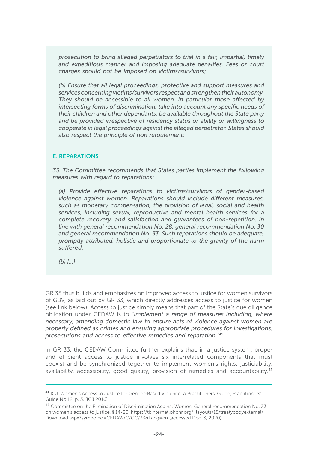*prosecution to bring alleged perpetrators to trial in a fair, impartial, timely and expeditious manner and imposing adequate penalties. Fees or court charges should not be imposed on victims/survivors;*

*(b) Ensure that all legal proceedings, protective and support measures and services concerning victims/survivors respect and strengthen their autonomy. They should be accessible to all women, in particular those affected by intersecting forms of discrimination, take into account any specific needs of their children and other dependants, be available throughout the State party and be provided irrespective of residency status or ability or willingness to cooperate in legal proceedings against the alleged perpetrator. States should also respect the principle of non refoulement;*

#### E. REPARATIONS

*33. The Committee recommends that States parties implement the following measures with regard to reparations:*

*(a) Provide effective reparations to victims/survivors of gender-based violence against women. Reparations should include different measures, such as monetary compensation, the provision of legal, social and health services, including sexual, reproductive and mental health services for a complete recovery, and satisfaction and guarantees of non-repetition, in line with general recommendation No. 28, general recommendation No. 30 and general recommendation No. 33. Such reparations should be adequate, promptly attributed, holistic and proportionate to the gravity of the harm suffered;*

*(b) […]*

GR 35 thus builds and emphasizes on improved access to justice for women survivors of GBV, as laid out by GR 33, which directly addresses access to justice for women (see link below). Access to justice simply means that part of the State's due diligence obligation under CEDAW is to *"implement a range of measures including, where necessary, amending domestic law to ensure acts of violence against women are properly defined as crimes and ensuring appropriate procedures for investigations, prosecutions and access to effective remedies and reparation."*<sup>41</sup>

In GR 33, the CEDAW Committee further explains that, in a justice system, proper and efficient access to justice involves six interrelated components that must coexist and be synchronized together to implement women's rights: justiciability, availability, accessibility, good quality, provision of remedies and accountability.<sup>42</sup>

<sup>&</sup>lt;sup>41</sup> ICJ, Women's Access to Justice for Gender-Based Violence, A Practitioners' Guide, Practitioners' Guide No.12, p. 3, (ICJ 2016).

<sup>42</sup> Committee on the Elimination of Discrimination Against Women, General recommendation No. 33 on women's access to justice, § 14-20, https://tbinternet.ohchr.org/\_layouts/15/treatybodyexternal/ Download.aspx?symbolno=CEDAW/C/GC/33&Lang=en (accessed Dec. 3, 2020).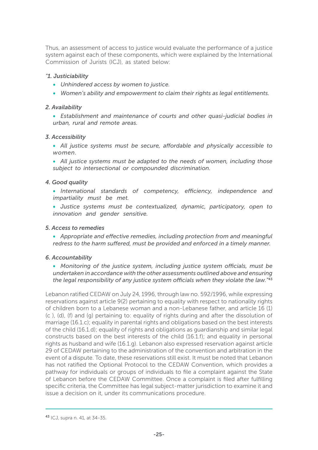Thus, an assessment of access to justice would evaluate the performance of a justice system against each of these components, which were explained by the International Commission of Jurists (ICJ), as stated below:

#### *"1. Justiciability*

- *Unhindered access by women to justice.*
- *Women's ability and empowerment to claim their rights as legal entitlements.*

#### *2. Availability*

• *Establishment and maintenance of courts and other quasi-judicial bodies in urban, rural and remote areas.*

#### *3. Accessibility*

• *All justice systems must be secure, affordable and physically accessible to women.*

• *All justice systems must be adapted to the needs of women, including those subject to intersectional or compounded discrimination.*

#### *4. Good quality*

• *International standards of competency, efficiency, independence and impartiality must be met.*

• *Justice systems must be contextualized, dynamic, participatory, open to innovation and gender sensitive.*

#### *5. Access to remedies*

• *Appropriate and effective remedies, including protection from and meaningful redress to the harm suffered, must be provided and enforced in a timely manner.*

#### *6. Accountability*

• *Monitoring of the justice system, including justice system officials, must be undertaken in accordance with the other assessments outlined above and ensuring the legal responsibility of any justice system officials when they violate the law."*<sup>43</sup>

Lebanon ratified CEDAW on July 24, 1996, through law no. 592/1996, while expressing reservations against article 9(2) pertaining to equality with respect to nationality rights of children born to a Lebanese woman and a non-Lebanese father, and article 16 (1) (c ), (d), (f) and (g) pertaining to: equality of rights during and after the dissolution of marriage (16.1.c); equality in parental rights and obligations based on the best interests of the child (16.1.d); equality of rights and obligations as guardianship and similar legal constructs based on the best interests of the child (16.1.f); and equality in personal rights as husband and wife (16.1.g). Lebanon also expressed reservation against article 29 of CEDAW pertaining to the administration of the convention and arbitration in the event of a dispute. To date, these reservations still exist. It must be noted that Lebanon has not ratified the Optional Protocol to the CEDAW Convention, which provides a pathway for individuals or groups of individuals to file a complaint against the State of Lebanon before the CEDAW Committee. Once a complaint is filed after fulfilling specific criteria, the Committee has legal subject-matter jurisdiction to examine it and issue a decision on it, under its communications procedure.

<sup>43</sup> ICJ, supra n. 41, at 34-35.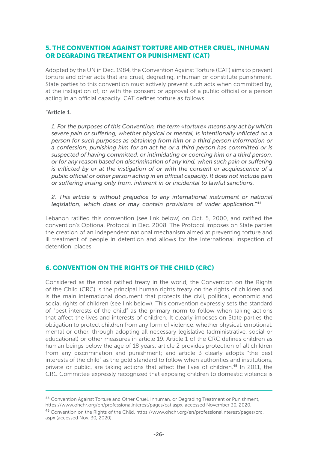#### 5. THE CONVENTION AGAINST TORTURE AND OTHER CRUEL, INHUMAN OR DEGRADING TREATMENT OR PUNISHMENT (CAT)

Adopted by the UN in Dec. 1984, the Convention Against Torture (CAT) aims to prevent torture and other acts that are cruel, degrading, inhuman or constitute punishment. State parties to this convention must actively prevent such acts when committed by, at the instigation of, or with the consent or approval of a public official or a person acting in an official capacity. CAT defines torture as follows:

#### "Article 1.

*1. For the purposes of this Convention, the term «torture» means any act by which severe pain or suffering, whether physical or mental, is intentionally inflicted on a person for such purposes as obtaining from him or a third person information or a confession, punishing him for an act he or a third person has committed or is suspected of having committed, or intimidating or coercing him or a third person, or for any reason based on discrimination of any kind, when such pain or suffering is inflicted by or at the instigation of or with the consent or acquiescence of a public official or other person acting in an official capacity. It does not include pain or suffering arising only from, inherent in or incidental to lawful sanctions.*

*2. This article is without prejudice to any international instrument or national legislation, which does or may contain provisions of wider application.*"44

Lebanon ratified this convention (see link below) on Oct. 5, 2000, and ratified the convention's Optional Protocol in Dec. 2008. The Protocol imposes on State parties the creation of an independent national mechanism aimed at preventing torture and ill treatment of people in detention and allows for the international inspection of detention places.

#### 6. CONVENTION ON THE RIGHTS OF THE CHILD (CRC)

Considered as the most ratified treaty in the world, the Convention on the Rights of the Child (CRC) is the principal human rights treaty on the rights of children and is the main international document that protects the civil, political, economic and social rights of children (see link below). This convention expressly sets the standard of "best interests of the child" as the primary norm to follow when taking actions that affect the lives and interests of children. It clearly imposes on State parties the obligation to protect children from any form of violence, whether physical, emotional, mental or other, through adopting all necessary legislative (administrative, social or educational) or other measures in article 19. Article 1 of the CRC defines children as human beings below the age of 18 years; article 2 provides protection of all children from any discrimination and punishment; and article 3 clearly adopts "the best interests of the child" as the gold standard to follow when authorities and institutions, private or public, are taking actions that affect the lives of children.<sup>45</sup> In 2011, the CRC Committee expressly recognized that exposing children to domestic violence is

<sup>44</sup> Convention Against Torture and Other Cruel, Inhuman, or Degrading Treatment or Punishment, https://www.ohchr.org/en/professionalinterest/pages/cat.aspx, accessed November 30, 2020.

<sup>45</sup> Convention on the Rights of the Child, https://www.ohchr.org/en/professionalinterest/pages/crc. aspx (accessed Nov. 30, 2020).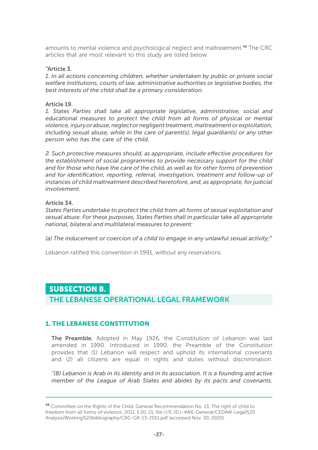amounts to mental violence and psychological neglect and maltreatment.46 The CRC articles that are most relevant to this study are listed below.

#### "Article 3.

*1. In all actions concerning children, whether undertaken by public or private social welfare institutions, courts of law, administrative authorities or legislative bodies, the best interests of the child shall be a primary consideration.*

#### Article 19.

*1. States Parties shall take all appropriate legislative, administrative, social and educational measures to protect the child from all forms of physical or mental violence, injury or abuse, neglect or negligent treatment, maltreatment or exploitation, including sexual abuse, while in the care of parent(s), legal guardian(s) or any other person who has the care of the child.*

*2. Such protective measures should, as appropriate, include effective procedures for the establishment of social programmes to provide necessary support for the child and for those who have the care of the child, as well as for other forms of prevention and for identification, reporting, referral, investigation, treatment and follow-up of instances of child maltreatment described heretofore, and, as appropriate, for judicial involvement.*

#### Article 34.

*States Parties undertake to protect the child from all forms of sexual exploitation and sexual abuse. For these purposes, States Parties shall in particular take all appropriate national, bilateral and multilateral measures to prevent:*

*(a) The inducement or coercion of a child to engage in any unlawful sexual activity;*"

Lebanon ratified this convention in 1991, without any reservations.

#### SUBSECTION B.

THE LEBANESE OPERATIONAL LEGAL FRAMEWORK

#### 1. THE LEBANESE CONSTITUTION

The Preamble. Adopted in May 1926, the Constitution of Lebanon was last amended in 1990. Introduced in 1990, the Preamble of the Constitution provides that (1) Lebanon will respect and uphold its international covenants and (2) all citizens are equal in rights and duties without discrimination.

*"(B) Lebanon is Arab in its identity and in its association. It is a founding and active member of the League of Arab States and abides by its pacts and covenants.* 

<sup>46</sup> Committee on the Rights of the Child, General Recommendation No. 13, The right of child to freedom from all forms of violence, 2011, § 20, 21, file:///E:/EU-4WE-General/CEDAW-Legal%20 Analysis/Working%20bibliography/CRC-GR-13-2011.pdf (accessed Nov. 30, 2020).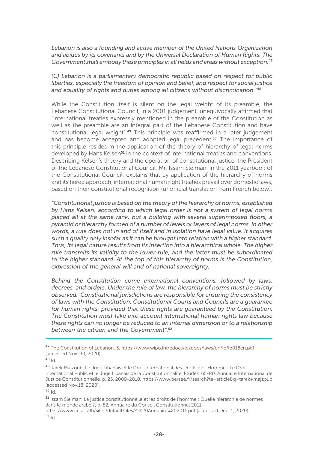*Lebanon is also a founding and active member of the United Nations Organization and abides by its covenants and by the Universal Declaration of Human Rights. The Government shall embody these principles in all fields and areas without exception.*<sup>47</sup>

*(C) Lebanon is a parliamentary democratic republic based on respect for public liberties, especially the freedom of opinion and belief, and respect for social justice and equality of rights and duties among all citizens without discrimination."*<sup>48</sup>

While the Constitution itself is silent on the legal weight of its preamble, the Lebanese Constitutional Council, in a 2001 judgement, unequivocally affirmed that "international treaties expressly mentioned in the preamble of the Constitution as well as the preamble are an integral part of the Lebanese Constitution and have constitutional legal weight".49 This principle was reaffirmed in a later judgement and has become accepted and adopted legal precedent.<sup>50</sup> The importance of this principle resides in the application of the theory of hierarchy of legal norms developed by Hans Kelsen<sup>51</sup> in the context of international treaties and conventions. Describing Kelsen's theory and the operation of constitutional justice, the President of the Lebanese Constitutional Council, Mr. Issam Sleiman, in the 2011 yearbook of the Constitutional Council, explains that by application of the hierarchy of norms and its tiered approach, international human right treaties prevail over domestic laws, based on their constitutional recognition (unofficial translation from French below):

*"Constitutional justice is based on the theory of the hierarchy of norms, established by Hans Kelsen, according to which legal order is not a system of legal norms placed all at the same rank, but a building with several superimposed floors, a pyramid or hierarchy formed of a number of levels or layers of legal norms. In other words, a rule does not in and of itself and in isolation have legal value. It acquires such a quality only insofar as it can be brought into relation with a higher standard. Thus, its legal nature results from its insertion into a hierarchical whole. The higher rule transmits its validity to the lower rule, and the latter must be subordinated to the higher standard. At the top of this hierarchy of norms is the Constitution, expression of the general will and of national sovereignty.*

*Behind the Constitution come international conventions, followed by laws, decrees, and orders. Under the rule of law, the hierarchy of norms must be strictly observed. Constitutional jurisdictions are responsible for ensuring the consistency of laws with the Constitution. Constitutional Courts and Councils are a guarantee for human rights, provided that these rights are guaranteed by the Constitution. The Constitution must take into account international human rights law because these rights can no longer be reduced to an internal dimension or to a relationship between the citizen and the Government".*<sup>52</sup>

<sup>51</sup> Issam Sleiman, La justice constitutionnelle et les droits de l'homme : Quelle hiérarchie de normes dans le monde arabe ?, p. 52, Annuaire du Conseil Constitutionnel 2011,

https://www.cc.gov.lb/sites/default/files/4.%20Annuaire%202011.pdf (accessed Dec. 1, 2020).  $52 \mid d$ 

<sup>47</sup> The Constitution of Lebanon, 3, https://www.wipo.int/edocs/lexdocs/laws/en/lb/lb018en.pdf (accessed Nov. 30, 2020).

<sup>48</sup> Id.

<sup>49</sup> Tarek Majzoub, Le Juge Libanais et le Droit International des Droits de L'Homme : Le Droit International Public et le Juge Libanais de la Constitutionnalite, Etudes, 65-80, Annuaire International de Justice Constitutionnelle, p. 25, 2009-2010, https://www.persee.fr/search?ta=article&q=tarek+majzoub (accessed Nov.18, 2020).

 $50 \vert d$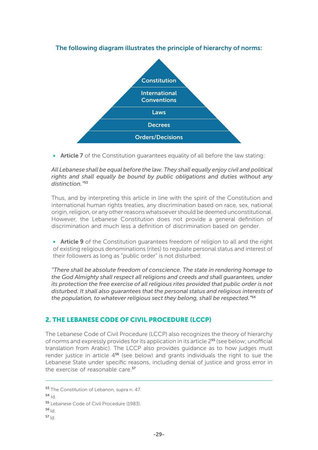

#### The following diagram illustrates the principle of hierarchy of norms:

• Article 7 of the Constitution quarantees equality of all before the law stating:

*All Lebanese shall be equal before the law. They shall equally enjoy civil and political rights and shall equally be bound by public obligations and duties without any distinction."*<sup>53</sup>

Thus, and by interpreting this article in line with the spirit of the Constitution and international human rights treaties, any discrimination based on race, sex, national origin, religion, or any other reasons whatsoever should be deemed unconstitutional. However, the Lebanese Constitution does not provide a general definition of discrimination and much less a definition of discrimination based on gender.

• Article 9 of the Constitution guarantees freedom of religion to all and the right of existing religious denominations (rites) to regulate personal status and interest of their followers as long as "public order" is not disturbed:

*"There shall be absolute freedom of conscience. The state in rendering homage to the God Almighty shall respect all religions and creeds and shall guarantees, under its protection the free exercise of all religious rites provided that public order is not disturbed. It shall also guarantees that the personal status and religious interests of the population, to whatever religious sect they belong, shall be respected."*<sup>54</sup>

#### 2. THE LEBANESE CODE OF CIVIL PROCEDURE (LCCP)

The Lebanese Code of Civil Procedure (LCCP) also recognizes the theory of hierarchy of norms and expressly provides for its application in its article 255 (see below; unofficial translation from Arabic). The LCCP also provides guidance as to how judges must render justice in article  $4^{56}$  (see below) and grants individuals the right to sue the Lebanese State under specific reasons, including denial of justice and gross error in the exercise of reasonable care.<sup>57</sup>

 $54$  Id.

- $56<sub>1d</sub>$
- $57 \vert d$

<sup>53</sup> The Constitution of Lebanon, supra n. 47.

<sup>55</sup> Lebanese Code of Civil Procedure (1983).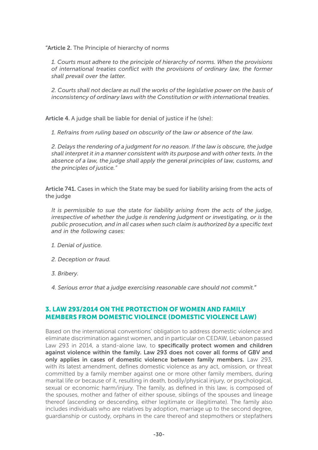"Article 2. The Principle of hierarchy of norms

*1. Courts must adhere to the principle of hierarchy of norms. When the provisions of international treaties conflict with the provisions of ordinary law, the former shall prevail over the latter.* 

*2. Courts shall not declare as null the works of the legislative power on the basis of inconsistency of ordinary laws with the Constitution or with international treaties.* 

Article 4. A judge shall be liable for denial of justice if he (she):

*1. Refrains from ruling based on obscurity of the law or absence of the law.*

*2. Delays the rendering of a judgment for no reason. If the law is obscure, the judge shall interpret it in a manner consistent with its purpose and with other texts. In the absence of a law, the judge shall apply the general principles of law, customs, and the principles of justice."*

Article 741. Cases in which the State may be sued for liability arising from the acts of the judge

*It is permissible to sue the state for liability arising from the acts of the judge, irrespective of whether the judge is rendering judgment or investigating, or is the public prosecution, and in all cases when such claim is authorized by a specific text and in the following cases:*

- *1. Denial of justice.*
- *2. Deception or fraud.*
- *3. Bribery.*
- *4. Serious error that a judge exercising reasonable care should not commit.*"

#### 3. LAW 293/2014 ON THE PROTECTION OF WOMEN AND FAMILY MEMBERS FROM DOMESTIC VIOLENCE (DOMESTIC VIOLENCE LAW)

Based on the international conventions' obligation to address domestic violence and eliminate discrimination against women, and in particular on CEDAW, Lebanon passed Law 293 in 2014, a stand-alone law, to specifically protect women and children against violence within the family. Law 293 does not cover all forms of GBV and only applies in cases of domestic violence between family members. Law 293, with its latest amendment, defines domestic violence as any act, omission, or threat committed by a family member against one or more other family members, during marital life or because of it, resulting in death, bodily/physical injury, or psychological, sexual or economic harm/injury. The family, as defined in this law, is composed of the spouses, mother and father of either spouse, siblings of the spouses and lineage thereof (ascending or descending, either legitimate or illegitimate). The family also includes individuals who are relatives by adoption, marriage up to the second degree, guardianship or custody, orphans in the care thereof and stepmothers or stepfathers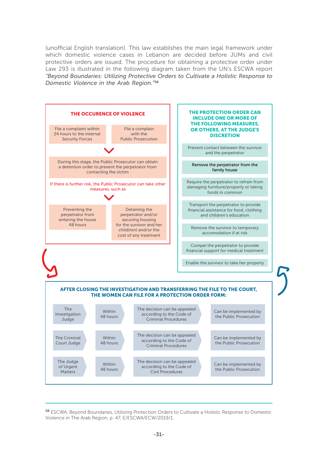(unofficial English translation). This law establishes the main legal framework under which domestic violence cases in Lebanon are decided before JUMs and civil protective orders are issued. The procedure for obtaining a protective order under Law 293 is illustrated in the following diagram taken from the UN's ESCWA report *"Beyond Boundaries: Utilizing Protective Orders to Cultivate a Holistic Response to Domestic Violence in the Arab Region."*<sup>58</sup>



<sup>58</sup> ESCWA, Beyond Boundaries, Utilizing Protection Orders to Cultivate a Holistic Response to Domestic Violence in The Arab Region, p. 47, E/ESCWA/ECW/2019/1.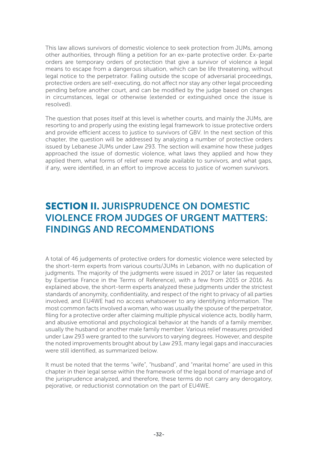This law allows survivors of domestic violence to seek protection from JUMs, among other authorities, through filing a petition for an ex-parte protective order. Ex-parte orders are temporary orders of protection that give a survivor of violence a legal means to escape from a dangerous situation, which can be life threatening, without legal notice to the perpetrator. Falling outside the scope of adversarial proceedings, protective orders are self-executing, do not affect nor stay any other legal proceeding pending before another court, and can be modified by the judge based on changes in circumstances, legal or otherwise (extended or extinguished once the issue is resolved).

The question that poses itself at this level is whether courts, and mainly the JUMs, are resorting to and properly using the existing legal framework to issue protective orders and provide efficient access to justice to survivors of GBV. In the next section of this chapter, the question will be addressed by analyzing a number of protective orders issued by Lebanese JUMs under Law 293. The section will examine how these judges approached the issue of domestic violence, what laws they applied and how they applied them, what forms of relief were made available to survivors, and what gaps, if any, were identified, in an effort to improve access to justice of women survivors.

# SECTION II. JURISPRUDENCE ON DOMESTIC VIOLENCE FROM JUDGES OF URGENT MATTERS: FINDINGS AND RECOMMENDATIONS

A total of 46 judgements of protective orders for domestic violence were selected by the short-term experts from various courts/JUMs in Lebanon, with no duplication of judgments. The majority of the judgments were issued in 2017 or later (as requested by Expertise France in the Terms of Reference), with a few from 2015 or 2016. As explained above, the short-term experts analyzed these judgments under the strictest standards of anonymity, confidentiality, and respect of the right to privacy of all parties involved, and EU4WE had no access whatsoever to any identifying information. The most common facts involved a woman, who was usually the spouse of the perpetrator, filing for a protective order after claiming multiple physical violence acts, bodily harm, and abusive emotional and psychological behavior at the hands of a family member, usually the husband or another male family member. Various relief measures provided under Law 293 were granted to the survivors to varying degrees. However, and despite the noted improvements brought about by Law 293, many legal gaps and inaccuracies were still identified, as summarized below.

It must be noted that the terms "wife", "husband", and "marital home" are used in this chapter in their legal sense within the framework of the legal bond of marriage and of the jurisprudence analyzed, and therefore, these terms do not carry any derogatory, pejorative, or reductionist connotation on the part of EU4WE.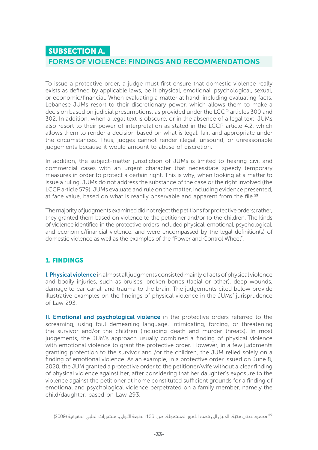#### SUBSECTION A.

#### FORMS OF VIOLENCE: FINDINGS AND RECOMMENDATIONS

To issue a protective order, a judge must first ensure that domestic violence really exists as defined by applicable laws, be it physical, emotional, psychological, sexual, or economic/financial. When evaluating a matter at hand, including evaluating facts, Lebanese JUMs resort to their discretionary power, which allows them to make a decision based on judicial presumptions, as provided under the LCCP articles 300 and 302. In addition, when a legal text is obscure, or in the absence of a legal text, JUMs also resort to their power of interpretation as stated in the LCCP article 4.2, which allows them to render a decision based on what is legal, fair, and appropriate under the circumstances. Thus, judges cannot render illegal, unsound, or unreasonable judgements because it would amount to abuse of discretion.

In addition, the subject-matter jurisdiction of JUMs is limited to hearing civil and commercial cases with an urgent character that necessitate speedy temporary measures in order to protect a certain right. This is why, when looking at a matter to issue a ruling, JUMs do not address the substance of the case or the right involved (the LCCP article 579). JUMs evaluate and rule on the matter, including evidence presented, at face value, based on what is readily observable and apparent from the file.<sup>59</sup>

The majority of judgments examined did not reject the petitions for protective orders; rather, they granted them based on violence to the petitioner and/or to the children. The kinds of violence identified in the protective orders included physical, emotional, psychological, and economic/financial violence, and were encompassed by the legal definition(s) of domestic violence as well as the examples of the "Power and Control Wheel".

#### 1. FINDINGS

I. Physical violence in almost all judgments consisted mainly of acts of physical violence and bodily injuries, such as bruises, broken bones (facial or other), deep wounds, damage to ear canal, and trauma to the brain. The judgements cited below provide illustrative examples on the findings of physical violence in the JUMs' jurisprudence of Law 293.

II. Emotional and psychological violence in the protective orders referred to the screaming, using foul demeaning language, intimidating, forcing, or threatening the survivor and/or the children (including death and murder threats). In most judgements, the JUM's approach usually combined a finding of physical violence with emotional violence to grant the protective order. However, in a few judgments granting protection to the survivor and /or the children, the JUM relied solely on a finding of emotional violence. As an example, in a protective order issued on June 8, 2020, the JUM granted a protective order to the petitioner/wife without a clear finding of physical violence against her, after considering that her daughter's exposure to the violence against the petitioner at home constituted sufficient grounds for a finding of emotional and psychological violence perpetrated on a family member, namely the child/daughter, based on Law 293.

<sup>&</sup>lt;sup>59</sup> محمود عدنان مكيّة، الدليل الى قضاء الأمور المستعجلة، ص. 136؛الطبعة الأولى، منشورات الحلبي الحقوقية (2009)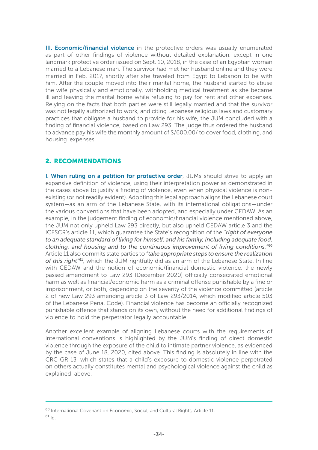III. **Economic/financial violence** in the protective orders was usually enumerated as part of other findings of violence without detailed explanation, except in one landmark protective order issued on Sept. 10, 2018, in the case of an Egyptian woman married to a Lebanese man. The survivor had met her husband online and they were married in Feb. 2017, shortly after she traveled from Egypt to Lebanon to be with him. After the couple moved into their marital home, the husband started to abuse the wife physically and emotionally, withholding medical treatment as she became ill and leaving the marital home while refusing to pay for rent and other expenses. Relying on the facts that both parties were still legally married and that the survivor was not legally authorized to work, and citing Lebanese religious laws and customary practices that obligate a husband to provide for his wife, the JUM concluded with a finding of financial violence, based on Law 293. The judge thus ordered the husband to advance pay his wife the monthly amount of \$/600.00/ to cover food, clothing, and housing expenses.

#### 2. RECOMMENDATIONS

I. When ruling on a petition for protective order, JUMs should strive to apply an expansive definition of violence, using their interpretation power as demonstrated in the cases above to justify a finding of violence, even when physical violence is nonexisting (or not readily evident). Adopting this legal approach aligns the Lebanese court system—as an arm of the Lebanese State, with its international obligations—under the various conventions that have been adopted, and especially under CEDAW. As an example, in the judgement finding of economic/financial violence mentioned above, the JUM not only upheld Law 293 directly, but also upheld CEDAW article 3 and the ICESCR's article 11, which guarantee the State's recognition of the *"right of everyone to an adequate standard of living for himself, and his family, including adequate food, clothing, and housing and to the continuous improvement of living conditions."*<sup>60</sup> Article 11 also commits state parties to *"take appropriate steps to ensure the realization of this right"*61, which the JUM rightfully did as an arm of the Lebanese State. In line with CEDAW and the notion of economic/financial domestic violence, the newly passed amendment to Law 293 (December 2020) officially consecrated emotional harm as well as financial/economic harm as a criminal offense punishable by a fine or imprisonment, or both, depending on the severity of the violence committed (article 2 of new Law 293 amending article 3 of Law 293/2014, which modified article 503 of the Lebanese Penal Code). Financial violence has become an officially recognized punishable offence that stands on its own, without the need for additional findings of violence to hold the perpetrator legally accountable.

Another excellent example of aligning Lebanese courts with the requirements of international conventions is highlighted by the JUM's finding of direct domestic violence through the exposure of the child to intimate partner violence, as evidenced by the case of June 18, 2020, cited above. This finding is absolutely in line with the CRC GR 13, which states that a child's exposure to domestic violence perpetrated on others actually constitutes mental and psychological violence against the child as explained above.

<sup>&</sup>lt;sup>60</sup> International Covenant on Economic, Social, and Cultural Rights, Article 11.  $61$  Id.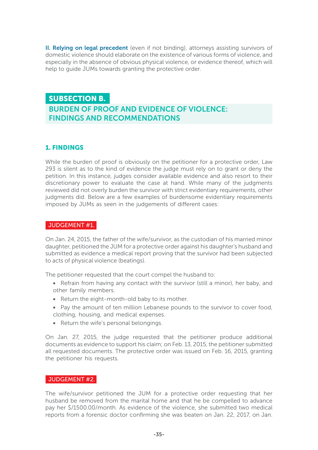II. Relying on legal precedent (even if not binding), attorneys assisting survivors of domestic violence should elaborate on the existence of various forms of violence, and especially in the absence of obvious physical violence, or evidence thereof, which will help to quide JUMs towards granting the protective order.

#### SUBSECTION B.

#### BURDEN OF PROOF AND EVIDENCE OF VIOLENCE: FINDINGS AND RECOMMENDATIONS

#### 1. FINDINGS

While the burden of proof is obviously on the petitioner for a protective order, Law 293 is silent as to the kind of evidence the judge must rely on to grant or deny the petition. In this instance, judges consider available evidence and also resort to their discretionary power to evaluate the case at hand. While many of the judgments reviewed did not overly burden the survivor with strict evidentiary requirements, other judgments did. Below are a few examples of burdensome evidentiary requirements imposed by JUMs as seen in the judgements of different cases:

#### JUDGEMENT #1.

On Jan. 24, 2015, the father of the wife/survivor, as the custodian of his married minor daughter, petitioned the JUM for a protective order against his daughter's husband and submitted as evidence a medical report proving that the survivor had been subjected to acts of physical violence (beatings).

The petitioner requested that the court compel the husband to:

- Refrain from having any contact with the survivor (still a minor), her baby, and other family members.
- Return the eight-month-old baby to its mother.
- Pay the amount of ten million Lebanese pounds to the survivor to cover food, clothing, housing, and medical expenses.
- Return the wife's personal belongings.

On Jan. 27, 2015, the judge requested that the petitioner produce additional documents as evidence to support his claim; on Feb. 13, 2015, the petitioner submitted all requested documents. The protective order was issued on Feb. 16, 2015, granting the petitioner his requests.

#### JUDGEMENT #2.

The wife/survivor petitioned the JUM for a protective order requesting that her husband be removed from the marital home and that he be compelled to advance pay her \$/1500.00/month. As evidence of the violence, she submitted two medical reports from a forensic doctor confirming she was beaten on Jan. 22, 2017, on Jan.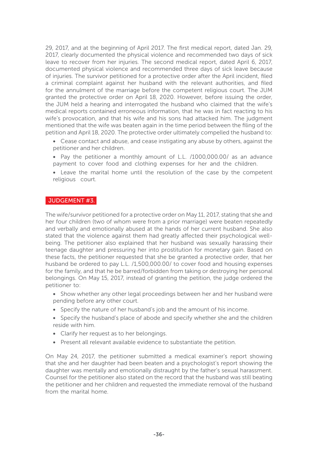29, 2017, and at the beginning of April 2017. The first medical report, dated Jan. 29, 2017, clearly documented the physical violence and recommended two days of sick leave to recover from her injuries. The second medical report, dated April 6, 2017, documented physical violence and recommended three days of sick leave because of injuries. The survivor petitioned for a protective order after the April incident, filed a criminal complaint against her husband with the relevant authorities, and filed for the annulment of the marriage before the competent religious court. The JUM granted the protective order on April 18, 2020. However, before issuing the order, the JUM held a hearing and interrogated the husband who claimed that the wife's medical reports contained erroneous information, that he was in fact reacting to his wife's provocation, and that his wife and his sons had attacked him. The judgment mentioned that the wife was beaten again in the time period between the filing of the petition and April 18, 2020. The protective order ultimately compelled the husband to:

- Cease contact and abuse, and cease instigating any abuse by others, against the petitioner and her children.
- Pay the petitioner a monthly amount of L.L. /1000,000.00/ as an advance payment to cover food and clothing expenses for her and the children.
- Leave the marital home until the resolution of the case by the competent religious court.

#### JUDGEMENT #3.

The wife/survivor petitioned for a protective order on May 11, 2017, stating that she and her four children (two of whom were from a prior marriage) were beaten repeatedly and verbally and emotionally abused at the hands of her current husband. She also stated that the violence against them had greatly affected their psychological wellbeing. The petitioner also explained that her husband was sexually harassing their teenage daughter and pressuring her into prostitution for monetary gain. Based on these facts, the petitioner requested that she be granted a protective order, that her husband be ordered to pay L.L. /1,500,000.00/ to cover food and housing expenses for the family, and that he be barred/forbidden from taking or destroying her personal belongings. On May 15, 2017, instead of granting the petition, the judge ordered the petitioner to:

- Show whether any other legal proceedings between her and her husband were pending before any other court.
- Specify the nature of her husband's job and the amount of his income.
- Specify the husband's place of abode and specify whether she and the children reside with him.
- Clarify her request as to her belongings.
- Present all relevant available evidence to substantiate the petition.

On May 24, 2017, the petitioner submitted a medical examiner's report showing that she and her daughter had been beaten and a psychologist's report showing the daughter was mentally and emotionally distraught by the father's sexual harassment. Counsel for the petitioner also stated on the record that the husband was still beating the petitioner and her children and requested the immediate removal of the husband from the marital home.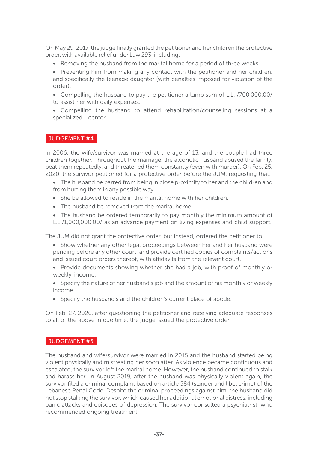On May 29, 2017, the judge finally granted the petitioner and her children the protective order, with available relief under Law 293, including:

• Removing the husband from the marital home for a period of three weeks.

• Preventing him from making any contact with the petitioner and her children, and specifically the teenage daughter (with penalties imposed for violation of the order).

• Compelling the husband to pay the petitioner a lump sum of L.L. /700,000.00/ to assist her with daily expenses.

• Compelling the husband to attend rehabilitation/counseling sessions at a specialized center.

#### JUDGEMENT #4.

In 2006, the wife/survivor was married at the age of 13, and the couple had three children together. Throughout the marriage, the alcoholic husband abused the family, beat them repeatedly, and threatened them constantly (even with murder). On Feb. 25, 2020, the survivor petitioned for a protective order before the JUM, requesting that:

• The husband be barred from being in close proximity to her and the children and from hurting them in any possible way.

- She be allowed to reside in the marital home with her children.
- The husband be removed from the marital home.
- The husband be ordered temporarily to pay monthly the minimum amount of L.L./1,000,000.00/ as an advance payment on living expenses and child support.

The JUM did not grant the protective order, but instead, ordered the petitioner to:

- Show whether any other legal proceedings between her and her husband were pending before any other court, and provide certified copies of complaints/actions and issued court orders thereof, with affidavits from the relevant court.
- Provide documents showing whether she had a job, with proof of monthly or weekly income.

• Specify the nature of her husband's job and the amount of his monthly or weekly income.

• Specify the husband's and the children's current place of abode.

On Feb. 27, 2020, after questioning the petitioner and receiving adequate responses to all of the above in due time, the judge issued the protective order.

#### JUDGEMENT #5.

The husband and wife/survivor were married in 2015 and the husband started being violent physically and mistreating her soon after. As violence became continuous and escalated, the survivor left the marital home. However, the husband continued to stalk and harass her. In August 2019, after the husband was physically violent again, the survivor filed a criminal complaint based on article 584 (slander and libel crime) of the Lebanese Penal Code. Despite the criminal proceedings against him, the husband did not stop stalking the survivor, which caused her additional emotional distress, including panic attacks and episodes of depression. The survivor consulted a psychiatrist, who recommended ongoing treatment.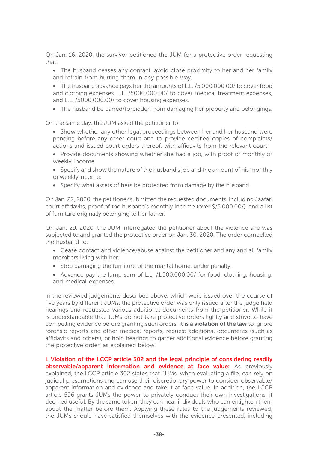On Jan. 16, 2020, the survivor petitioned the JUM for a protective order requesting that:

• The husband ceases any contact, avoid close proximity to her and her family and refrain from hurting them in any possible way.

• The husband advance pays her the amounts of L.L. /5,000,000.00/ to cover food and clothing expenses, L.L. /5000,000.00/ to cover medical treatment expenses, and L.L. /5000,000.00/ to cover housing expenses.

• The husband be barred/forbidden from damaging her property and belongings.

On the same day, the JUM asked the petitioner to:

• Show whether any other legal proceedings between her and her husband were pending before any other court and to provide certified copies of complaints/ actions and issued court orders thereof, with affidavits from the relevant court.

• Provide documents showing whether she had a job, with proof of monthly or weekly income.

• Specify and show the nature of the husband's job and the amount of his monthly or weekly income.

• Specify what assets of hers be protected from damage by the husband.

On Jan. 22, 2020, the petitioner submitted the requested documents, including Jaafari court affidavits, proof of the husband's monthly income (over \$/5,000.00/), and a list of furniture originally belonging to her father.

On Jan. 29, 2020, the JUM interrogated the petitioner about the violence she was subjected to and granted the protective order on Jan. 30, 2020. The order compelled the husband to:

- Cease contact and violence/abuse against the petitioner and any and all family members living with her.
- Stop damaging the furniture of the marital home, under penalty.
- Advance pay the lump sum of L.L. /1,500,000.00/ for food, clothing, housing, and medical expenses.

In the reviewed judgements described above, which were issued over the course of five years by different JUMs, the protective order was only issued after the judge held hearings and requested various additional documents from the petitioner. While it is understandable that JUMs do not take protective orders lightly and strive to have compelling evidence before granting such orders, it is a violation of the law to ignore forensic reports and other medical reports, request additional documents (such as affidavits and others), or hold hearings to gather additional evidence before granting the protective order, as explained below.

I. Violation of the LCCP article 302 and the legal principle of considering readily **observable/apparent information and evidence at face value:** As previously explained, the LCCP article 302 states that JUMs, when evaluating a file, can rely on judicial presumptions and can use their discretionary power to consider observable/ apparent information and evidence and take it at face value. In addition, the LCCP article 596 grants JUMs the power to privately conduct their own investigations, if deemed useful. By the same token, they can hear individuals who can enlighten them about the matter before them. Applying these rules to the judgements reviewed, the JUMs should have satisfied themselves with the evidence presented, including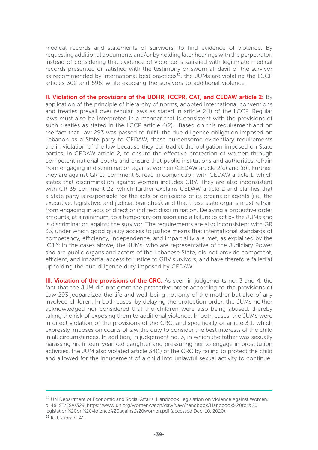medical records and statements of survivors, to find evidence of violence. By requesting additional documents and/or by holding later hearings with the perpetrator, instead of considering that evidence of violence is satisfied with legitimate medical records presented or satisfied with the testimony or sworn affidavit of the survivor as recommended by international best practices<sup>62</sup>, the JUMs are violating the LCCP articles 302 and 596, while exposing the survivors to additional violence.

II. Violation of the provisions of the UDHR, ICCPR, CAT, and CEDAW article 2: By application of the principle of hierarchy of norms, adopted international conventions and treaties prevail over regular laws as stated in article 2(1) of the LCCP. Regular laws must also be interpreted in a manner that is consistent with the provisions of such treaties as stated in the LCCP article 4(2). Based on this requirement and on the fact that Law 293 was passed to fulfill the due diligence obligation imposed on Lebanon as a State party to CEDAW, these burdensome evidentiary requirements are in violation of the law because they contradict the obligation imposed on State parties, in CEDAW article 2, to ensure the effective protection of women through competent national courts and ensure that public institutions and authorities refrain from engaging in discrimination against women (CEDAW article 2(c) and (d)). Further, they are against GR 19 comment 6, read in conjunction with CEDAW article 1, which states that discrimination against women includes GBV. They are also inconsistent with GR 35 comment 22, which further explains CEDAW article 2 and clarifies that a State party is responsible for the acts or omissions of its organs or agents (i.e., the executive, legislative, and judicial branches), and that these state organs must refrain from engaging in acts of direct or indirect discrimination. Delaying a protective order amounts, at a minimum, to a temporary omission and a failure to act by the JUMs and is discrimination against the survivor. The requirements are also inconsistent with GR 33, under which good quality access to justice means that international standards of competency, efficiency, independence, and impartiality are met, as explained by the ICJ.63 In the cases above, the JUMs, who are representative of the Judiciary Power and are public organs and actors of the Lebanese State, did not provide competent, efficient, and impartial access to justice to GBV survivors, and have therefore failed at upholding the due diligence duty imposed by CEDAW.

III. Violation of the provisions of the CRC. As seen in judgements no. 3 and 4, the fact that the JUM did not grant the protective order according to the provisions of Law 293 jeopardized the life and well-being not only of the mother but also of any involved children. In both cases, by delaying the protection order, the JUMs neither acknowledged nor considered that the children were also being abused, thereby taking the risk of exposing them to additional violence. In both cases, the JUMs were in direct violation of the provisions of the CRC, and specifically of article 3.1, which expressly imposes on courts of law the duty to consider the best interests of the child in all circumstances. In addition, in judgement no. 3, in which the father was sexually harassing his fifteen-year-old daughter and pressuring her to engage in prostitution activities, the JUM also violated article 34(1) of the CRC by failing to protect the child and allowed for the inducement of a child into unlawful sexual activity to continue.

<sup>&</sup>lt;sup>62</sup> UN Department of Economic and Social Affairs, Handbook Legislation on Violence Against Women, p. 48, ST/ESA/329, https://www.un.org/womenwatch/daw/vaw/handbook/Handbook%20for%20 legislation%20on%20violence%20against%20women.pdf (accessed Dec. 10, 2020). 63 ICJ, supra n. 41.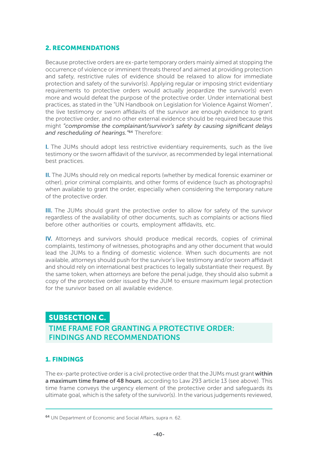#### 2. RECOMMENDATIONS

Because protective orders are ex-parte temporary orders mainly aimed at stopping the occurrence of violence or imminent threats thereof and aimed at providing protection and safety, restrictive rules of evidence should be relaxed to allow for immediate protection and safety of the survivor(s). Applying regular or imposing strict evidentiary requirements to protective orders would actually jeopardize the survivor(s) even more and would defeat the purpose of the protective order. Under international best practices, as stated in the "UN Handbook on Legislation for Violence Against Women", the live testimony or sworn affidavits of the survivor are enough evidence to grant the protective order, and no other external evidence should be required because this might *"compromise the complainant/survivor's safety by causing significant delays and rescheduling of hearings."*64 Therefore:

I. The JUMs should adopt less restrictive evidentiary requirements, such as the live testimony or the sworn affidavit of the survivor, as recommended by legal international best practices.

II. The JUMs should rely on medical reports (whether by medical forensic examiner or other), prior criminal complaints, and other forms of evidence (such as photographs) when available to grant the order, especially when considering the temporary nature of the protective order.

III. The JUMs should grant the protective order to allow for safety of the survivor regardless of the availability of other documents, such as complaints or actions filed before other authorities or courts, employment affidavits, etc.

IV. Attorneys and survivors should produce medical records, copies of criminal complaints, testimony of witnesses, photographs and any other document that would lead the JUMs to a finding of domestic violence. When such documents are not available, attorneys should push for the survivor's live testimony and/or sworn affidavit and should rely on international best practices to legally substantiate their request. By the same token, when attorneys are before the penal judge, they should also submit a copy of the protective order issued by the JUM to ensure maximum legal protection for the survivor based on all available evidence.

#### SUBSECTION C.

 TIME FRAME FOR GRANTING A PROTECTIVE ORDER: FINDINGS AND RECOMMENDATIONS

#### 1. FINDINGS

The ex-parte protective order is a civil protective order that the JUMs must grant within a maximum time frame of 48 hours, according to Law 293 article 13 (see above). This time frame conveys the urgency element of the protective order and safeguards its ultimate goal, which is the safety of the survivor(s). In the various judgements reviewed,

<sup>64</sup> UN Department of Economic and Social Affairs, supra n. 62.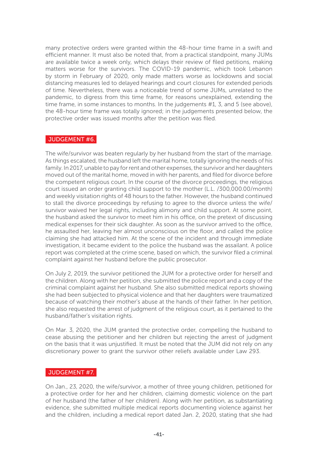many protective orders were granted within the 48-hour time frame in a swift and efficient manner. It must also be noted that, from a practical standpoint, many JUMs are available twice a week only, which delays their review of filed petitions, making matters worse for the survivors. The COVID-19 pandemic, which took Lebanon by storm in February of 2020, only made matters worse as lockdowns and social distancing measures led to delayed hearings and court closures for extended periods of time. Nevertheless, there was a noticeable trend of some JUMs, unrelated to the pandemic, to digress from this time frame, for reasons unexplained, extending the time frame, in some instances to months. In the judgements #1, 3, and 5 (see above), the 48-hour time frame was totally ignored; in the judgements presented below, the protective order was issued months after the petition was filed.

#### JUDGEMENT #6.

The wife/survivor was beaten regularly by her husband from the start of the marriage. As things escalated, the husband left the marital home, totally ignoring the needs of his family. In 2017, unable to pay for rent and other expenses, the survivor and her daughters moved out of the marital home, moved in with her parents, and filed for divorce before the competent religious court. In the course of the divorce proceedings, the religious court issued an order granting child support to the mother (L.L. /300,000.00/month) and weekly visitation rights of 48 hours to the father. However, the husband continued to stall the divorce proceedings by refusing to agree to the divorce unless the wife/ survivor waived her legal rights, including alimony and child support. At some point, the husband asked the survivor to meet him in his office, on the pretext of discussing medical expenses for their sick daughter. As soon as the survivor arrived to the office, he assaulted her, leaving her almost unconscious on the floor, and called the police claiming she had attacked him. At the scene of the incident and through immediate investigation, it became evident to the police the husband was the assailant. A police report was completed at the crime scene, based on which, the survivor filed a criminal complaint against her husband before the public prosecutor.

On July 2, 2019, the survivor petitioned the JUM for a protective order for herself and the children. Along with her petition, she submitted the police report and a copy of the criminal complaint against her husband. She also submitted medical reports showing she had been subjected to physical violence and that her daughters were traumatized because of watching their mother's abuse at the hands of their father. In her petition, she also requested the arrest of judgment of the religious court, as it pertained to the husband/father's visitation rights.

On Mar. 3, 2020, the JUM granted the protective order, compelling the husband to cease abusing the petitioner and her children but rejecting the arrest of judgment on the basis that it was unjustified. It must be noted that the JUM did not rely on any discretionary power to grant the survivor other reliefs available under Law 293.

#### JUDGEMENT #7.

On Jan., 23, 2020, the wife/survivor, a mother of three young children, petitioned for a protective order for her and her children, claiming domestic violence on the part of her husband (the father of her children). Along with her petition, as substantiating evidence, she submitted multiple medical reports documenting violence against her and the children, including a medical report dated Jan. 2, 2020, stating that she had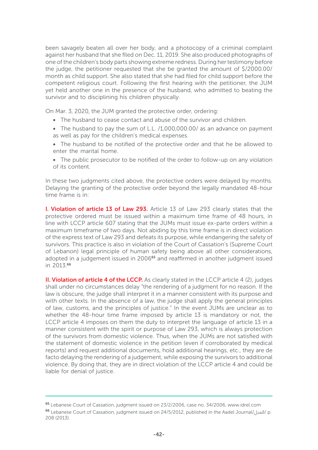been savagely beaten all over her body, and a photocopy of a criminal complaint against her husband that she filed on Dec. 11, 2019. She also produced photographs of one of the children's body parts showing extreme redness. During her testimony before the judge, the petitioner requested that she be granted the amount of \$/2000.00/ month as child support. She also stated that she had filed for child support before the competent religious court. Following the first hearing with the petitioner, the JUM yet held another one in the presence of the husband, who admitted to beating the survivor and to disciplining his children physically.

On Mar. 3, 2020, the JUM granted the protective order, ordering:

- The husband to cease contact and abuse of the survivor and children.
- The husband to pay the sum of L.L. /1,000,000.00/ as an advance on payment as well as pay for the children's medical expenses.
- The husband to be notified of the protective order and that he be allowed to enter the marital home.
- The public prosecutor to be notified of the order to follow-up on any violation of its content.

In these two judgments cited above, the protective orders were delayed by months. Delaying the granting of the protective order beyond the legally mandated 48-hour time frame is in:

I. Violation of article 13 of Law 293. Article 13 of Law 293 clearly states that the protective ordered must be issued within a maximum time frame of 48 hours, in line with LCCP article 607 stating that the JUMs must issue ex-parte orders within a maximum timeframe of two days. Not abiding by this time frame is in direct violation of the express text of Law 293 and defeats its purpose, while endangering the safety of survivors. This practice is also in violation of the Court of Cassation's (Supreme Court of Lebanon) legal principle of human safety being above all other considerations, adopted in a judgement issued in 2006<sup>65</sup> and reaffirmed in another judgment issued in 2013.<sup>66</sup>

II. Violation of article 4 of the LCCP. As clearly stated in the LCCP article 4 (2), judges shall under no circumstances delay "the rendering of a judgment for no reason. If the law is obscure, the judge shall interpret it in a manner consistent with its purpose and with other texts. In the absence of a law, the judge shall apply the general principles of law, customs, and the principles of justice." In the event JUMs are unclear as to whether the 48-hour time frame imposed by article 13 is mandatory or not, the LCCP article 4 imposes on them the duty to interpret the language of article 13 in a manner consistent with the spirit or purpose of Law 293, which is always protection of the survivors from domestic violence. Thus, when the JUMs are not satisfied with the statement of domestic violence in the petition (even if corroborated by medical reports) and request additional documents, hold additional hearings, etc., they are de facto delaying the rendering of a judgement, while exposing the survivors to additional violence. By doing that, they are in direct violation of the LCCP article 4 and could be liable for denial of justice.

<sup>65</sup> Lebanese Court of Cassation, judgment issued on 23/2/2006, case no. 34/2006, www.idrel.com <sup>66</sup> Lebanese Court of Cassation, judgment issued on 24/5/2012, published in the Aadel Journal/العدل/ p. 208 (2013).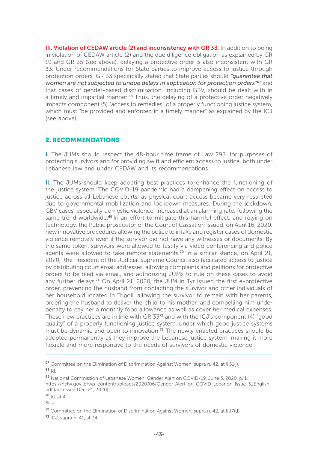III. Violation of CEDAW article (2) and inconsistency with GR 33. In addition to being in violation of CEDAW article (2) and the due diligence obligation as explained by GR 19 and GR 35 (see above), delaying a protective order is also inconsistent with GR 33. Under recommendations for State parties to improve access to justice through protection orders, GR 33 specifically stated that State parties should *"guarantee that women are not subjected to undue delays in application for protection orders"*67 and that cases of gender-based discrimination, including GBV, should be dealt with in a timely and impartial manner.<sup>68</sup> Thus, the delaying of a protective order negatively impacts component (5) "access to remedies" of a properly functioning justice system, which must "be provided and enforced in a timely manner" as explained by the ICJ (see above).

#### 2. RECOMMENDATIONS

I. The JUMs should respect the 48-hour time frame of Law 293, for purposes of protecting survivors and for providing swift and efficient access to justice, both under Lebanese law and under CEDAW and its recommendations.

II. The JUMs should keep adopting best practices to enhance the functioning of the justice system. The COVID-19 pandemic had a dampening effect on access to justice across all Lebanese courts, as physical court access became very restricted due to governmental mobilization and lockdown measures. During the lockdown, GBV cases, especially domestic violence, increased at an alarming rate, following the same trend worldwide.<sup>69</sup> In an effort to mitigate this harmful effect, and relying on technology, the Public prosecutor of the Court of Cassation issued, on April 16, 2020, new innovative procedures allowing the police to intake and register cases of domestic violence remotely even if the survivor did not have any witnesses or documents. By the same token, survivors were allowed to testify via video conferencing and police agents were allowed to take remote statements.<sup>70</sup> In a similar stance, on April 21, 2020, the President of the Judicial Supreme Council also facilitated access to justice by distributing court email addresses, allowing complaints and petitions for protective orders to be filed via email, and authorizing JUMs to rule on these cases to avoid any further delays.<sup>71</sup> On April 21, 2020, the JUM in Tyr issued the first e-protective order, preventing the husband from contacting the survivor and other individuals of her household located in Tripoli, allowing the survivor to remain with her parents, ordering the husband to deliver the child to his mother, and compelling him under penalty to pay her a monthly food allowance as well as cover her medical expenses. These new practices are in line with GR  $33^{72}$  and with the ICJ's component (4) "good quality" of a properly functioning justice system, under which good justice systems must be dynamic and open to innovation.<sup>73</sup> The newly enacted practices should be adopted permanently as they improve the Lebanese justice system, making it more flexible and more responsive to the needs of survivors of domestic violence.

<sup>&</sup>lt;sup>67</sup> Committee on the Elimination of Discrimination Against Women, supra n. 42, at § 51(j), <sup>68</sup> Id.

<sup>69</sup> National Commission of Lebanese Women, Gender Alert on COVID-19, June 3, 2020, p. 1, https://nclw.gov.lb/wp-content/uploads/2020/06/Gender-Alert-on-COVID-Lebanon-Issue-3\_English. pdf (accessed Dec. 21, 2020).

 $70$  Id. at 4.

 $71$  Id.

<sup>&</sup>lt;sup>72</sup> Committee on the Elimination of Discrimination Against Women, supra n. 42, at  $\frac{1}{2}$  17(d),

<sup>73</sup> ICJ, supra n. 41, at 34.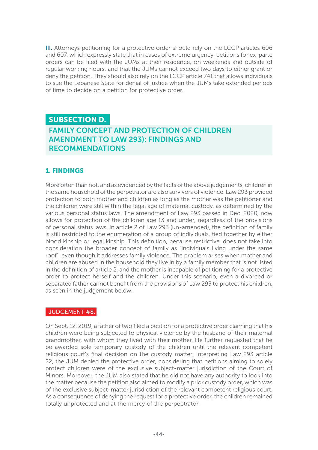III. Attorneys petitioning for a protective order should rely on the LCCP articles 606 and 607, which expressly state that in cases of extreme urgency, petitions for ex-parte orders can be filed with the JUMs at their residence, on weekends and outside of regular working hours, and that the JUMs cannot exceed two days to either grant or deny the petition. They should also rely on the LCCP article 741 that allows individuals to sue the Lebanese State for denial of justice when the JUMs take extended periods of time to decide on a petition for protective order.

#### SUBSECTION D. FAMILY CONCEPT AND PROTECTION OF CHILDREN AMENDMENT TO LAW 293): FINDINGS AND RECOMMENDATIONS

#### 1. FINDINGS

More often than not, and as evidenced by the facts of the above judgements, children in the same household of the perpetrator are also survivors of violence. Law 293 provided protection to both mother and children as long as the mother was the petitioner and the children were still within the legal age of maternal custody, as determined by the various personal status laws. The amendment of Law 293 passed in Dec. 2020, now allows for protection of the children age 13 and under, regardless of the provisions of personal status laws. In article 2 of Law 293 (un-amended), the definition of family is still restricted to the enumeration of a group of individuals, tied together by either blood kinship or legal kinship. This definition, because restrictive, does not take into consideration the broader concept of family as "individuals living under the same roof", even though it addresses family violence. The problem arises when mother and children are abused in the household they live in by a family member that is not listed in the definition of article 2, and the mother is incapable of petitioning for a protective order to protect herself and the children. Under this scenario, even a divorced or separated father cannot benefit from the provisions of Law 293 to protect his children, as seen in the judgement below.

#### JUDGEMENT #8.

On Sept. 12, 2019, a father of two filed a petition for a protective order claiming that his children were being subjected to physical violence by the husband of their maternal grandmother, with whom they lived with their mother. He further requested that he be awarded sole temporary custody of the children until the relevant competent religious court's final decision on the custody matter. Interpreting Law 293 article 22, the JUM denied the protective order, considering that petitions aiming to solely protect children were of the exclusive subject-matter jurisdiction of the Court of Minors. Moreover, the JUM also stated that he did not have any authority to look into the matter because the petition also aimed to modify a prior custody order, which was of the exclusive subject-matter jurisdiction of the relevant competent religious court. As a consequence of denying the request for a protective order, the children remained totally unprotected and at the mercy of the perpeptrator.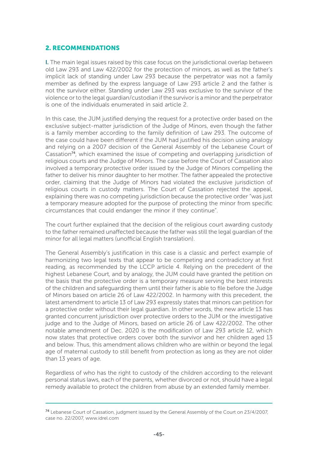#### 2. RECOMMENDATIONS

I. The main legal issues raised by this case focus on the jurisdictional overlap between old Law 293 and Law 422/2002 for the protection of minors, as well as the father's implicit lack of standing under Law 293 because the perpetrator was not a family member as defined by the express language of Law 293 article 2 and the father is not the survivor either. Standing under Law 293 was exclusive to the survivor of the violence or to the legal guardian/custodian if the survivor is a minor and the perpetrator is one of the individuals enumerated in said article 2.

In this case, the JUM justified denying the request for a protective order based on the exclusive subject-matter jurisdiction of the Judge of Minors, even though the father is a family member according to the family definition of Law 293. The outcome of the case could have been different if the JUM had justified his decision using analogy and relying on a 2007 decision of the General Assembly of the Lebanese Court of Cassation74, which examined the issue of competing and overlapping jurisdiction of religious courts and the Judge of Minors. The case before the Court of Cassation also involved a temporary protective order issued by the Judge of Minors compelling the father to deliver his minor daughter to her mother. The father appealed the protective order, claiming that the Judge of Minors had violated the exclusive jurisdiction of religious courts in custody matters. The Court of Cassation rejected the appeal, explaining there was no competing jurisdiction because the protective order "was just a temporary measure adopted for the purpose of protecting the minor from specific circumstances that could endanger the minor if they continue".

The court further explained that the decision of the religious court awarding custody to the father remained unaffected because the father was still the legal guardian of the minor for all legal matters (unofficial English translation).

The General Assembly's justification in this case is a classic and perfect example of harmonizing two legal texts that appear to be competing and contradictory at first reading, as recommended by the LCCP article 4. Relying on the precedent of the highest Lebanese Court, and by analogy, the JUM could have granted the petition on the basis that the protective order is a temporary measure serving the best interests of the children and safeguarding them until their father is able to file before the Judge of Minors based on article 26 of Law 422/2002. In harmony with this precedent, the latest amendment to article 13 of Law 293 expressly states that minors can petition for a protective order without their legal guardian. In other words, the new article 13 has granted concurrent jurisdiction over protective orders to the JUM or the investigative judge and to the Judge of Minors, based on article 26 of Law 422/2002. The other notable amendment of Dec. 2020 is the modification of Law 293 article 12, which now states that protective orders cover both the survivor and her children aged 13 and below. Thus, this amendment allows children who are within or beyond the legal age of maternal custody to still benefit from protection as long as they are not older than 13 years of age.

Regardless of who has the right to custody of the children according to the relevant personal status laws, each of the parents, whether divorced or not, should have a legal remedy available to protect the children from abuse by an extended family member.

<sup>74</sup> Lebanese Court of Cassation, judgment issued by the General Assembly of the Court on 23/4/2007, case no. 22/2007, www.idrel.com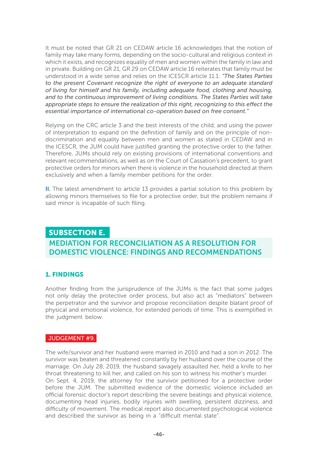It must be noted that GR 21 on CEDAW article 16 acknowledges that the notion of family may take many forms, depending on the socio-cultural and religious context in which it exists, and recognizes equality of men and women within the family in law and in private. Building on GR 21, GR 29 on CEDAW article 16 reiterates that family must be understood in a wide sense and relies on the ICESCR article 11.1: *"The States Parties to the present Covenant recognize the right of everyone to an adequate standard of living for himself and his family, including adequate food, clothing and housing, and to the continuous improvement of living conditions. The States Parties will take appropriate steps to ensure the realization of this right, recognizing to this effect the essential importance of international co-operation based on free consent."* 

Relying on the CRC article 3 and the best interests of the child, and using the power of interpretation to expand on the definition of family and on the principle of nondiscrimination and equality between men and women as stated in CEDAW and in the ICESCR, the JUM could have justified granting the protective order to the father. Therefore, JUMs should rely on existing provisions of international conventions and relevant recommendations, as well as on the Court of Cassation's precedent, to grant protective orders for minors when there is violence in the household directed at them exclusively and when a family member petitions for the order.

II. The latest amendment to article 13 provides a partial solution to this problem by allowing minors themselves to file for a protective order, but the problem remains if said minor is incapable of such filing.

#### SUBSECTION E.

### MEDIATION FOR RECONCILIATION AS A RESOLUTION FOR DOMESTIC VIOLENCE: FINDINGS AND RECOMMENDATIONS

#### 1. FINDINGS

Another finding from the jurisprudence of the JUMs is the fact that some judges not only delay the protective order process, but also act as "mediators" between the perpetrator and the survivor and propose reconciliation despite blatant proof of physical and emotional violence, for extended periods of time. This is exemplified in the judgment below.

#### JUDGEMENT #9.

The wife/survivor and her husband were married in 2010 and had a son in 2012. The survivor was beaten and threatened constantly by her husband over the course of the marriage. On July 28, 2019, the husband savagely assaulted her, held a knife to her throat threatening to kill her, and called on his son to witness his mother's murder. On Sept. 4, 2019, the attorney for the survivor petitioned for a protective order before the JUM. The submitted evidence of the domestic violence included an official forensic doctor's report describing the severe beatings and physical violence, documenting head injuries, bodily injuries with swelling, persistent dizziness, and difficulty of movement. The medical report also documented psychological violence and described the survivor as being in a "difficult mental state".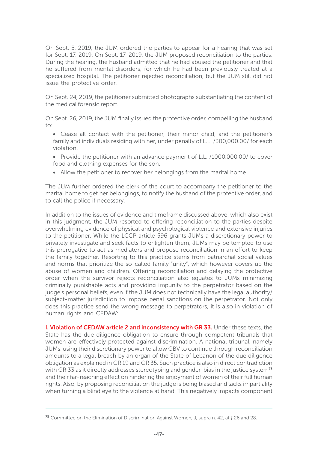On Sept. 5, 2019, the JUM ordered the parties to appear for a hearing that was set for Sept. 17, 2019. On Sept. 17, 2019, the JUM proposed reconciliation to the parties. During the hearing, the husband admitted that he had abused the petitioner and that he suffered from mental disorders, for which he had been previously treated at a specialized hospital. The petitioner rejected reconciliation, but the JUM still did not issue the protective order.

On Sept. 24, 2019, the petitioner submitted photographs substantiating the content of the medical forensic report.

On Sept. 26, 2019, the JUM finally issued the protective order, compelling the husband to:

- Cease all contact with the petitioner, their minor child, and the petitioner's family and individuals residing with her, under penalty of L.L. /300,000.00/ for each violation.
- Provide the petitioner with an advance payment of L.L. /1000,000.00/ to cover food and clothing expenses for the son.
- Allow the petitioner to recover her belongings from the marital home.

The JUM further ordered the clerk of the court to accompany the petitioner to the marital home to get her belongings, to notify the husband of the protective order, and to call the police if necessary.

In addition to the issues of evidence and timeframe discussed above, which also exist in this judgment, the JUM resorted to offering reconciliation to the parties despite overwhelming evidence of physical and psychological violence and extensive injuries to the petitioner. While the LCCP article 596 grants JUMs a discretionary power to privately investigate and seek facts to enlighten them, JUMs may be tempted to use this prerogative to act as mediators and propose reconciliation in an effort to keep the family together. Resorting to this practice stems from patriarchal social values and norms that prioritize the so-called family "unity", which however covers up the abuse of women and children. Offering reconciliation and delaying the protective order when the survivor rejects reconciliation also equates to JUMs minimizing criminally punishable acts and providing impunity to the perpetrator based on the judge's personal beliefs, even if the JUM does not technically have the legal authority/ subject-matter jurisdiction to impose penal sanctions on the perpetrator. Not only does this practice send the wrong message to perpetrators, it is also in violation of human rights and CEDAW:

I. Violation of CEDAW article 2 and inconsistency with GR 33. Under these texts, the State has the due diligence obligation to ensure through competent tribunals that women are effectively protected against discrimination. A national tribunal, namely JUMs, using their discretionary power to allow GBV to continue through reconciliation amounts to a legal breach by an organ of the State of Lebanon of the due diligence obligation as explained in GR 19 and GR 35. Such practice is also in direct contradiction with GR 33 as it directly addresses stereotyping and gender-bias in the justice system<sup>75</sup> and their far-reaching effect on hindering the enjoyment of women of their full human rights. Also, by proposing reconciliation the judge is being biased and lacks impartiality when turning a blind eye to the violence at hand. This negatively impacts component

<sup>&</sup>lt;sup>75</sup> Committee on the Elimination of Discrimination Against Women, J, supra n. 42, at § 26 and 28.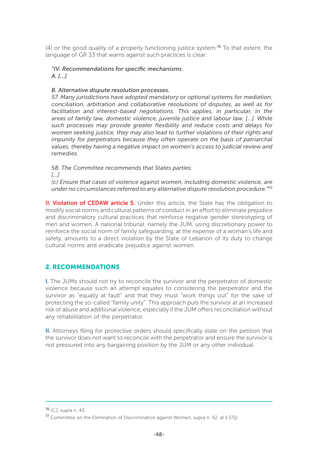$(4)$  or the good quality of a properly functioning justice system.<sup>76</sup> To that extent, the language of GR 33 that warns against such practices is clear:

#### *"IV. Recommendations for specific mechanisms A. […]*

#### *B. Alternative dispute resolution processes.*

*57. Many jurisdictions have adopted mandatory or optional systems for mediation, conciliation, arbitration and collaborative resolutions of disputes, as well as for facilitation and interest-based negotiations. This applies, in particular, in the areas of family law, domestic violence, juvenile justice and labour law. […]. While such processes may provide greater flexibility and reduce costs and delays for women seeking justice, they may also lead to further violations of their rights and impunity for perpetrators because they often operate on the basis of patriarchal values, thereby having a negative impact on women's access to judicial review and remedies.* 

*58. The Committee recommends that States parties:* 

*[…]*

*(c) Ensure that cases of violence against women, including domestic violence, are under no circumstances referred to any alternative dispute resolution procedure."*<sup>77</sup>

**II. Violation of CEDAW article 5.** Under this article, the State has the obligation to modify social norms and cultural patterns of conduct in an effort to eliminate prejudice and discriminatory cultural practices that reinforce negative gender stereotyping of men and women. A national tribunal, namely the JUM, using discretionary power to reinforce the social norm of family safeguarding, at the expense of a woman's life and safety, amounts to a direct violation by the State of Lebanon of its duty to change cultural norms and eradicate prejudice against women.

#### 2. RECOMMENDATIONS

I. The JUMs should not try to reconcile the survivor and the perpetrator of domestic violence because such an attempt equates to considering the perpetrator and the survivor as "equally at fault" and that they must "work things out" for the sake of protecting the so-called "family unity". This approach puts the survivor at an increased risk of abuse and additional violence, especially if the JUM offers reconciliation without any rehabilitation of the perpetrator.

II. Attorneys filing for protective orders should specifically state on the petition that the survivor does not want to reconcile with the perpetrator and ensure the survivor is not pressured into any bargaining position by the JUM or any other individual.

<sup>76</sup> ICJ, supra n. 43.

 $77$  Committee on the Elimination of Discrimination against Women, supra n. 42, at  $\sqrt{57}$  57(j).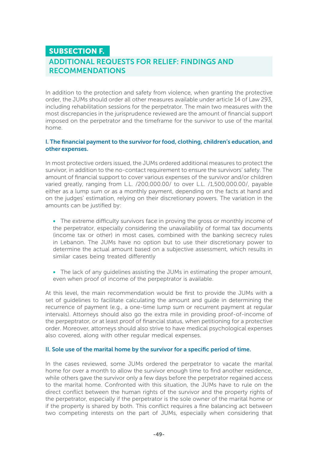## SUBSECTION F. ADDITIONAL REQUESTS FOR RELIEF: FINDINGS AND RECOMMENDATIONS

In addition to the protection and safety from violence, when granting the protective order, the JUMs should order all other measures available under article 14 of Law 293, including rehabilitation sessions for the perpetrator. The main two measures with the most discrepancies in the jurisprudence reviewed are the amount of financial support imposed on the perpetrator and the timeframe for the survivor to use of the marital home.

#### I. The financial payment to the survivor for food, clothing, children's education, and other expenses.

In most protective orders issued, the JUMs ordered additional measures to protect the survivor, in addition to the no-contact requirement to ensure the survivors' safety. The amount of financial support to cover various expenses of the survivor and/or children varied greatly, ranging from L.L. /200,000.00/ to over L.L. /1,500,000.00/, payable either as a lump sum or as a monthly payment, depending on the facts at hand and on the judges' estimation, relying on their discretionary powers. The variation in the amounts can be justified by:

• The extreme difficulty survivors face in proving the gross or monthly income of the perpetrator, especially considering the unavailability of formal tax documents (income tax or other) in most cases, combined with the banking secrecy rules in Lebanon. The JUMs have no option but to use their discretionary power to determine the actual amount based on a subjective assessment, which results in similar cases being treated differently

• The lack of any guidelines assisting the JUMs in estimating the proper amount, even when proof of income of the perpeptrator is available.

At this level, the main recommendation would be first to provide the JUMs with a set of guidelines to facilitate calculating the amount and guide in determining the recurrence of payment (e.g., a one-time lump sum or recurrent payment at regular intervals). Attorneys should also go the extra mile in providing proof-of-income of the perpeptrator, or at least proof of financial status, when petitioning for a protective order. Moreover, attorneys should also strive to have medical psychological expenses also covered, along with other regular medical expenses.

#### II. Sole use of the marital home by the survivor for a specific period of time.

In the cases reviewed, some JUMs ordered the perpetrator to vacate the marital home for over a month to allow the survivor enough time to find another residence, while others gave the survivor only a few days before the perpetrator regained access to the marital home. Confronted with this situation, the JUMs have to rule on the direct conflict between the human rights of the survivor and the property rights of the perpetrator, especially if the perpetrator is the sole owner of the marital home or if the property is shared by both. This conflict requires a fine balancing act between two competing interests on the part of JUMs, especially when considering that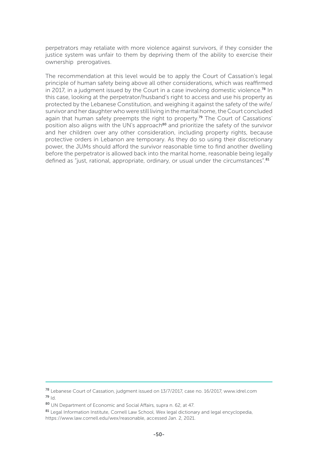perpetrators may retaliate with more violence against survivors, if they consider the justice system was unfair to them by depriving them of the ability to exercise their ownership prerogatives.

The recommendation at this level would be to apply the Court of Cassation's legal principle of human safety being above all other considerations, which was reaffirmed in 2017, in a judgment issued by the Court in a case involving domestic violence.<sup>78</sup> In this case, looking at the perpetrator/husband's right to access and use his property as protected by the Lebanese Constitution, and weighing it against the safety of the wife/ survivor and her daughter who were still living in the marital home, the Court concluded again that human safety preempts the right to property.<sup>79</sup> The Court of Cassations' position also aligns with the UN's approach<sup>80</sup> and prioritize the safety of the survivor and her children over any other consideration, including property rights, because protective orders in Lebanon are temporary. As they do so using their discretionary power, the JUMs should afford the survivor reasonable time to find another dwelling before the perpetrator is allowed back into the marital home, reasonable being legally defined as "just, rational, appropriate, ordinary, or usual under the circumstances".<sup>81</sup>

<sup>78</sup> Lebanese Court of Cassation, judgment issued on 13/7/2017, case no. 16/2017, www.idrel.com <sup>79</sup> Id.

<sup>80</sup> UN Department of Economic and Social Affairs, supra n. 62, at 47.

<sup>81</sup> Legal Information Institute, Cornell Law School, Wex legal dictionary and legal encyclopedia, https://www.law.cornell.edu/wex/reasonable, accessed Jan. 2, 2021.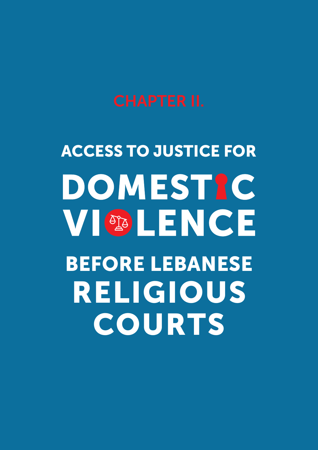# ACCESS TO JUSTICE FOR DOMESTIC VIODIENCE BEFORE LEBANESE RELIGIOUS COURTS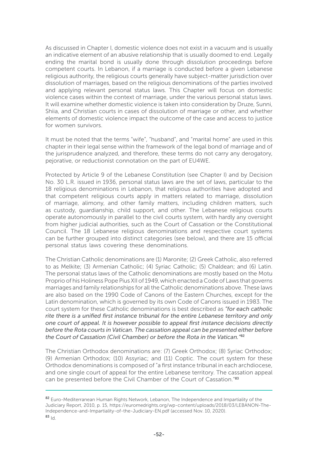As discussed in Chapter I, domestic violence does not exist in a vacuum and is usually an indicative element of an abusive relationship that is usually doomed to end. Legally ending the marital bond is usually done through dissolution proceedings before competent courts. In Lebanon, if a marriage is conducted before a given Lebanese religious authority, the religious courts generally have subject-matter jurisdiction over dissolution of marriages, based on the religious denominations of the parties involved and applying relevant personal status laws. This Chapter will focus on domestic violence cases within the context of marriage, under the various personal status laws. It will examine whether domestic violence is taken into consideration by Druze, Sunni, Shiia, and Christian courts in cases of dissolution of marriage or other, and whether elements of domestic violence impact the outcome of the case and access to justice for women survivors.

It must be noted that the terms "wife", "husband", and "marital home" are used in this chapter in their legal sense within the framework of the legal bond of marriage and of the jurisprudence analyzed, and therefore, these terms do not carry any derogatory, pejorative, or reductionist connotation on the part of EU4WE.

Protected by Article 9 of the Lebanese Constitution (see Chapter I) and by Decision No. 30 L.R. issued in 1936, personal status laws are the set of laws, particular to the 18 religious denominations in Lebanon, that religious authorities have adopted and that competent religious courts apply in matters related to marriage, dissolution of marriage, alimony, and other family matters, including children matters, such as custody, guardianship, child support, and other. The Lebanese religious courts operate autonomously in parallel to the civil courts system, with hardly any oversight from higher judicial authorities, such as the Court of Cassation or the Constitutional Council. The 18 Lebanese religious denominations and respective court systems can be further grouped into distinct categories (see below), and there are 15 official personal status laws covering these denominations.

The Christian Catholic denominations are (1) Maronite; (2) Greek Catholic, also referred to as Melkite; (3) Armenian Catholic; (4) Syriac Catholic; (5) Chaldean; and (6) Latin. The personal status laws of the Catholic denominations are mostly based on the Motu Proprio of his Holiness Pope Pius XII of 1949, which enacted a Code of Laws that governs marriages and family relationships for all the Catholic denominations above. These laws are also based on the 1990 Code of Canons of the Eastern Churches, except for the Latin denomination, which is governed by its own Code of Canons issued in 1983. The court system for these Catholic denominations is best described as *"for each catholic rite there is a unified first instance tribunal for the entire Lebanese territory and only one court of appeal. It is however possible to appeal first instance decisions directly before the Rota courts in Vatican. The cassation appeal can be presented either before the Court of Cassation (Civil Chamber) or before the Rota in the Vatican."*<sup>82</sup>

The Christian Orthodox denominations are: (7) Greek Orthodox; (8) Syriac Orthodox; (9) Armenian Orthodox; (10) Assyriac; and (11) Coptic. The court system for these Orthodox denominations is composed of "a first instance tribunal in each archdiocese, and one single court of appeal for the entire Lebanese territory. The cassation appeal can be presented before the Civil Chamber of the Court of Cassation."83

<sup>82</sup> Euro-Mediterranean Human Rights Network, Lebanon, The Independence and Impartiality of the Judiciary Report, 2010, p. 15, https://euromedrights.org/wp-content/uploads/2018/03/LEBANON-The-Independence-and-Impartiality-of-the-Judiciary-EN.pdf (accessed Nov. 10, 2020).  $83 \, \text{Id}$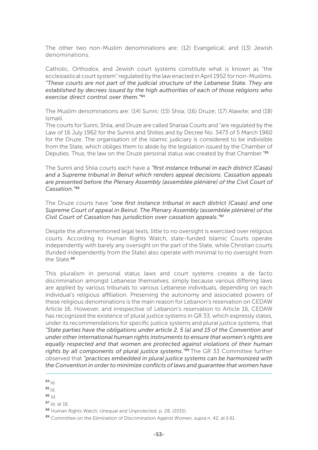The other two non-Muslim denominations are: (12) Evangelical; and (13) Jewish denominations.

Catholic, Orthodox, and Jewish court systems constitute what is known as "the ecclesiastical court system" regulated by the law enacted in April 1952 for non-Muslims. *"These courts are not part of the judicial structure of the Lebanese State. They are established by decrees issued by the high authorities of each of those religions who exercise direct control over them."*<sup>84</sup>

The Muslim denominations are: (14) Sunni; (15) Shiia; (16) Druze; (17) Alawite; and (18) Ismaili.

The courts for Sunni, Shiia, and Druze are called Shariaa Courts and "are regulated by the Law of 16 July 1962 for the Sunnis and Shiites and by Decree No. 3473 of 5 March 1960 for the Druze. The organisation of the Islamic judiciary is considered to be indivisible from the State, which obliges them to abide by the legislation issued by the Chamber of Deputies. Thus, the law on the Druze personal status was created by that Chamber."<sup>85</sup>

The Sunni and Shiia courts each have a *"first instance tribunal in each district (Casas) and a Supreme tribunal in Beirut which renders appeal decisions. Cassation appeals are presented before the Plenary Assembly (assemblée plénière) of the Civil Court of Cassation."*<sup>86</sup>

The Druze courts have *"one first instance tribunal in each district (Casas) and one Supreme Court of appeal in Beirut. The Plenary Assembly (assemblée plénière) of the Civil Court of Cassation has jurisdiction over cassation appeals."*<sup>87</sup>

Despite the aforementioned legal texts, little to no oversight is exercised over religious courts. According to Human Rights Watch, state-funded Islamic Courts operate independently with barely any oversight on the part of the State, while Christian courts (funded independently from the State) also operate with minimal to no oversight from the State.<sup>88</sup>

This pluralism in personal status laws and court systems creates a de facto discrimination amongst Lebanese themselves, simply because various differing laws are applied by various tribunals to various Lebanese individuals, depending on each individual's religious affiliation. Preserving the autonomy and associated powers of these religious denominations is the main reason for Lebanon's reservation on CEDAW Article 16. However, and irrespective of Lebanon's reservation to Article 16, CEDAW has recognized the existence of plural justice systems in GR 33, which expressly states, under its recommendations for specific justice systems and plural justice systems, that *"State parties have the obligations under article 2, 5 (a) and 15 of the Convention and under other international human rights instruments to ensure that women's rights are equally respected and that women are protected against violations of their human rights by all components of plural justice systems."*89 The GR 33 Committee further observed that *"practices embedded in plural justice systems can be harmonized with the Convention in order to minimize conflicts of laws and guarantee that women have* 

 $84$ <sub>Id</sub>

- $85$ <sub>Id.</sub>
- <sup>86</sup> Id.
- <sup>87</sup> Id. at 16.

<sup>88</sup> Human Rights Watch, Unequal and Unprotected, p. 28, (2015).

<sup>89</sup> Committee on the Elimination of Discrimination Against Women, supra n. 42, at § 61.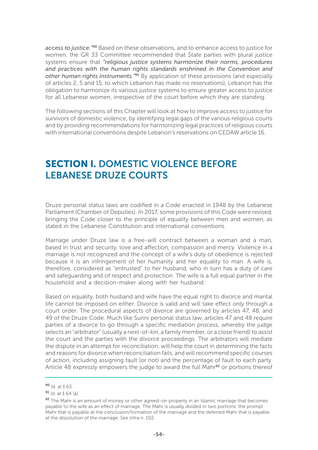*access to justice."*90 Based on these observations, and to enhance access to justice for women, the GR 33 Committee recommended that State parties with plural justice systems ensure that *"religious justice systems harmonize their norms, procedures and practices with the human rights standards enshrined in the Convention and other human rights instruments."*91 By application of these provisions (and especially of articles 2, 5 and 15, to which Lebanon has made no reservations), Lebanon has the obligation to harmonize its various justice systems to ensure greater access to justice for all Lebanese women, irrespective of the court before which they are standing.

The following sections of this Chapter will look at how to improve access to justice for survivors of domestic violence, by identifying legal gaps of the various religious courts and by providing recommendations for harmonizing legal practices of religious courts with international conventions despite Lebanon's reservations on CEDAW article 16.

# SECTION I. DOMESTIC VIOLENCE BEFORE LEBANESE DRUZE COURTS

Druze personal status laws are codified in a Code enacted in 1948 by the Lebanese Parliament (Chamber of Deputies). In 2017, some provisions of this Code were revised, bringing the Code closer to the principle of equality between men and women, as stated in the Lebanese Constitution and international conventions.

Marriage under Druze law is a free-will contract between a woman and a man, based in trust and security, love and affection, compassion and mercy. Violence in a marriage is not recognized and the concept of a wife's duty of obedience is rejected because it is an infringement of her humanity and her equality to man. A wife is, therefore, considered as "entrusted" to her husband, who in turn has a duty of care and safeguarding and of respect and protection. The wife is a full equal partner in the household and a decision-maker along with her husband.

Based on equality, both husband and wife have the equal right to divorce and marital life cannot be imposed on either. Divorce is valid and will take effect only through a court order. The procedural aspects of divorce are governed by articles 47, 48, and 49 of the Druze Code. Much like Sunni personal status law, articles 47 and 48 require parties of a divorce to go through a specific mediation process, whereby the judge selects an "arbitrator" (usually a next-of-kin, a family member, or a close friend) to assist the court and the parties with the divorce proceedings. The arbitrators will mediate the dispute in an attempt for reconciliation, will help the court in determining the facts and reasons for divorce when reconciliation fails, and will recommend specific courses of action, including assigning fault (or not) and the percentage of fault to each party. Article 48 expressly empowers the judge to award the full Mahr<sup>92</sup> or portions thereof

 $90$  Id. at  $63$ .

 $91$  Id. at  $§$  64 (a).

<sup>92</sup> The Mahr is an amount of money or other agreed-on property in an Islamic marriage that becomes payable to the wife as an effect of marriage. The Mahr is usually divided in two portions: the prompt Mahr that is payable at the conclusion/formation of the marriage and the deferred Mahr that is payable at the dissolution of the marriage. See infra n. 102.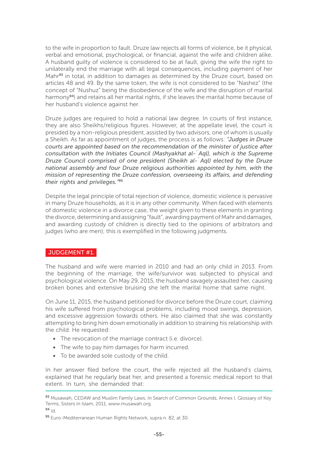to the wife in proportion to fault. Druze law rejects all forms of violence, be it physical, verbal and emotional, psychological, or financial, against the wife and children alike. A husband guilty of violence is considered to be at fault, giving the wife the right to unilaterally end the marriage with all legal consequences, including payment of her Mahr<sup>93</sup> in total, in addition to damages as determined by the Druze court, based on articles 48 and 49. By the same token, the wife is not considered to be "Nashez" (the concept of "Nushuz" being the disobedience of the wife and the disruption of marital harmony<sup>94</sup>) and retains all her marital rights, if she leaves the marital home because of her husband's violence against her.

Druze judges are required to hold a national law degree. In courts of first instance, they are also Sheikhs/religious figures. However, at the appellate level, the court is presided by a non-religious president, assisted by two advisors, one of whom is usually a Sheikh. As far as appointment of judges, the process is as follows: *"Judges in Druze courts are appointed based on the recommendation of the minister of justice after consultation with the Initiates Council (Mashyakhat al-`Aql), which is the Supreme Druze Council comprised of one president (Sheikh al-`Aql) elected by the Druze national assembly and four Druze religious authorities appointed by him, with the mission of representing the Druze confession, overseeing its affairs, and defending their rights and privileges."*<sup>95</sup>

Despite the legal principle of total rejection of violence, domestic violence is pervasive in many Druze households, as it is in any other community. When faced with elements of domestic violence in a divorce case, the weight given to these elements in granting the divorce, determining and assigning "fault", awarding payment of Mahr and damages, and awarding custody of children is directly tied to the opinions of arbitrators and judges (who are men); this is exemplified in the following judgments.

#### JUDGEMENT #1.

The husband and wife were married in 2010 and had an only child in 2013. From the beginning of the marriage, the wife/survivor was subjected to physical and psychological violence. On May 29, 2015, the husband savagely assaulted her, causing broken bones and extensive bruising she left the marital home that same night.

On June 11, 2015, the husband petitioned for divorce before the Druze court, claiming his wife suffered from psychological problems, including mood swings, depression, and excessive aggression towards others. He also claimed that she was constantly attempting to bring him down emotionally in addition to straining his relationship with the child. He requested:

- The revocation of the marriage contract (i.e. divorce).
- The wife to pay him damages for harm incurred.
- To be awarded sole custody of the child.

In her answer filed before the court, the wife rejected all the husband's claims, explained that he regularly beat her, and presented a forensic medical report to that extent. In turn, she demanded that:

<sup>93</sup> Musawah, CEDAW and Muslim Family Laws, In Search of Common Grounds, Annex I, Glossary of Key Terms, Sisters in Islam, 2011, www.musawah.org.

 $94 \, \text{Id}$ 

<sup>95</sup> Euro-Mediterranean Human Rights Network, supra n. 82, at 30.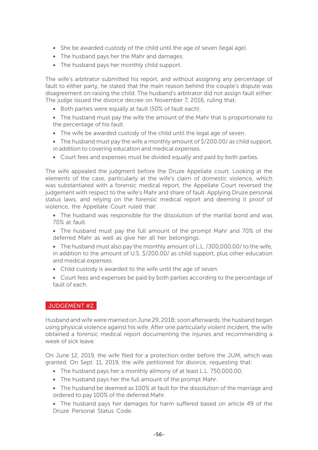- She be awarded custody of the child until the age of seven (legal age).
- The husband pays her the Mahr and damages.
- The husband pays her monthly child support.

The wife's arbitrator submitted his report, and without assigning any percentage of fault to either party, he stated that the main reason behind the couple's dispute was disagreement on raising the child. The husband's arbitrator did not assign fault either. The judge issued the divorce decree on November 7, 2016, ruling that:

- Both parties were equally at fault (50% of fault each).
- The husband must pay the wife the amount of the Mahr that is proportionate to the percentage of his fault.
- The wife be awarded custody of the child until the legal age of seven.
- The husband must pay the wife a monthly amount of \$/200.00/ as child support, in addition to covering education and medical expenses.
- Court fees and expenses must be divided equally and paid by both parties.

The wife appealed the judgment before the Druze Appellate court. Looking at the elements of the case, particularly at the wife's claim of domestic violence, which was substantiated with a forensic medical report, the Appellate Court reversed the judgement with respect to the wife's Mahr and share of fault. Applying Druze personal status laws, and relying on the forensic medical report and deeming it proof of violence, the Appellate Court ruled that:

- The husband was responsible for the dissolution of the marital bond and was 70% at fault.
- The husband must pay the full amount of the prompt Mahr and 70% of the deferred Mahr as well as give her all her belongings.
- The husband must also pay the monthly amount of L.L. /300,000.00/ to the wife, in addition to the amount of U.S. \$/200.00/ as child support, plus other education and medical expenses.
- Child custody is awarded to the wife until the age of seven.
- Court fees and expenses be paid by both parties according to the percentage of fault of each.

#### JUDGEMENT #2.

Husband and wife were married on June 29, 2018; soon afterwards, the husband began using physical violence against his wife. After one particularly violent incident, the wife obtained a forensic medical report documenting the injuries and recommending a week of sick leave.

On June 12, 2019, the wife filed for a protection order before the JUM, which was granted. On Sept. 11, 2019, the wife petitioned for divorce, requesting that:

- The husband pays her a monthly alimony of at least L.L. 750,000.00;
- The husband pays her the full amount of the prompt Mahr.
- The husband be deemed as 100% at fault for the dissolution of the marriage and ordered to pay 100% of the deferred Mahr.
- The husband pays her damages for harm suffered based on article 49 of the Druze Personal Status Code.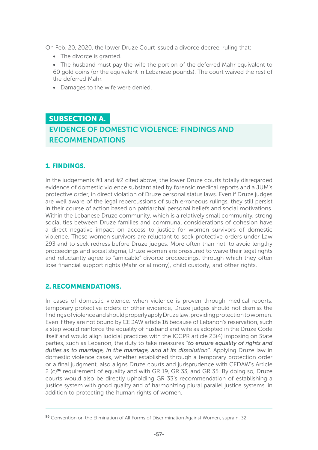On Feb. 20, 2020, the lower Druze Court issued a divorce decree, ruling that:

- The divorce is granted.
- The husband must pay the wife the portion of the deferred Mahr equivalent to 60 gold coins (or the equivalent in Lebanese pounds). The court waived the rest of the deferred Mahr.
- Damages to the wife were denied.

# SUBSECTION A. EVIDENCE OF DOMESTIC VIOLENCE: FINDINGS AND RECOMMENDATIONS

#### 1. FINDINGS.

In the judgements #1 and #2 cited above, the lower Druze courts totally disregarded evidence of domestic violence substantiated by forensic medical reports and a JUM's protective order, in direct violation of Druze personal status laws. Even if Druze judges are well aware of the legal repercussions of such erroneous rulings, they still persist in their course of action based on patriarchal personal beliefs and social motivations. Within the Lebanese Druze community, which is a relatively small community, strong social ties between Druze families and communal considerations of cohesion have a direct negative impact on access to justice for women survivors of domestic violence. These women survivors are reluctant to seek protective orders under Law 293 and to seek redress before Druze judges. More often than not, to avoid lengthy proceedings and social stigma, Druze women are pressured to waive their legal rights and reluctantly agree to "amicable" divorce proceedings, through which they often lose financial support rights (Mahr or alimony), child custody, and other rights.

#### 2. RECOMMENDATIONS.

In cases of domestic violence, when violence is proven through medical reports, temporary protective orders or other evidence, Druze judges should not dismiss the findings of violence and should properly apply Druze law, providing protection to women. Even if they are not bound by CEDAW article 16 because of Lebanon's reservation, such a step would reinforce the equality of husband and wife as adopted in the Druze Code itself and would align judicial practices with the ICCPR article 23(4) imposing on State parties, such as Lebanon, the duty to take measures *"to ensure equality of rights and duties as to marriage, in the marriage, and at its dissolution"*. Applying Druze law in domestic violence cases, whether established through a temporary protection order or a final judgment, also aligns Druze courts and jurisprudence with CEDAW's Article 2 (c)96 requirement of equality and with GR 19, GR 33, and GR 35. By doing so, Druze courts would also be directly upholding GR 33's recommendation of establishing a justice system with good quality and of harmonizing plural parallel justice systems, in addition to protecting the human rights of women.

<sup>96</sup> Convention on the Elimination of All Forms of Discrimination Against Women, supra n. 32.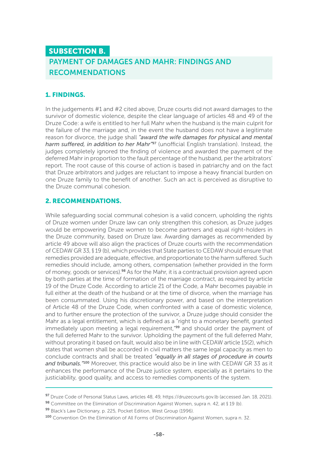# SUBSECTION B. PAYMENT OF DAMAGES AND MAHR: FINDINGS AND RECOMMENDATIONS

#### 1. FINDINGS.

In the judgements #1 and #2 cited above, Druze courts did not award damages to the survivor of domestic violence, despite the clear language of articles 48 and 49 of the Druze Code: a wife is entitled to her full Mahr when the husband is the main culprit for the failure of the marriage and, in the event the husband does not have a legitimate reason for divorce, the judge shall *"award the wife damages for physical and mental harm suffered, in addition to her Mahr"*97 (unofficial English translation). Instead, the judges completely ignored the finding of violence and awarded the payment of the deferred Mahr in proportion to the fault percentage of the husband, per the arbitrators' report. The root cause of this course of action is based in patriarchy and on the fact that Druze arbitrators and judges are reluctant to impose a heavy financial burden on one Druze family to the benefit of another. Such an act is perceived as disruptive to the Druze communal cohesion.

#### 2. RECOMMENDATIONS.

While safeguarding social communal cohesion is a valid concern, upholding the rights of Druze women under Druze law can only strengthen this cohesion, as Druze judges would be empowering Druze women to become partners and equal right-holders in the Druze community, based on Druze law. Awarding damages as recommended by article 49 above will also align the practices of Druze courts with the recommendation of CEDAW GR 33, § 19 (b), which provides that State parties to CEDAW should ensure that remedies provided are adequate, effective, and proportionate to the harm suffered. Such remedies should include, among others, compensation (whether provided in the form of money, goods or services).98 As for the Mahr, it is a contractual provision agreed upon by both parties at the time of formation of the marriage contract, as required by article 19 of the Druze Code. According to article 21 of the Code, a Mahr becomes payable in full either at the death of the husband or at the time of divorce, when the marriage has been consummated. Using his discretionary power, and based on the interpretation of Article 48 of the Druze Code, when confronted with a case of domestic violence, and to further ensure the protection of the survivor, a Druze judge should consider the Mahr as a legal entitlement, which is defined as a "right to a monetary benefit, granted immediately upon meeting a legal requirement."<sup>99</sup> and should order the payment of the full deferred Mahr to the survivor. Upholding the payment of the full deferred Mahr, without prorating it based on fault, would also be in line with CEDAW article 15(2), which states that women shall be accorded in civil matters the same legal capacity as men to conclude contracts and shall be treated *"equally in all stages of procedure in courts and tribunals."*100 Moreover, this practice would also be in line with CEDAW GR 33 as it enhances the performance of the Druze justice system, especially as it pertains to the justiciability, good quality, and access to remedies components of the system.

<sup>97</sup> Druze Code of Personal Status Laws, articles 48, 49, https://druzecourts.gov.lb (accessed Jan. 18, 2021).

<sup>98</sup> Committee on the Elimination of Discrimination Against Women, supra n. 42, at § 19 (b).

<sup>99</sup> Black's Law Dictionary, p. 225, Pocket Edition, West Group (1996).

<sup>100</sup> Convention On the Elimination of All Forms of Discrimination Against Women, supra n. 32.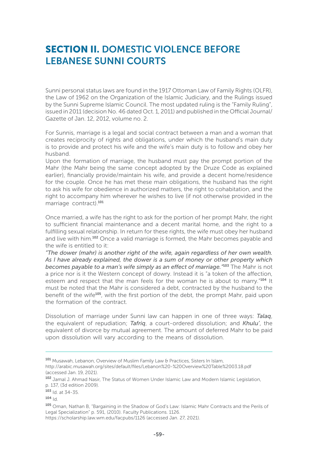# SECTION II. DOMESTIC VIOLENCE BEFORE LEBANESE SUNNI COURTS

Sunni personal status laws are found in the 1917 Ottoman Law of Family Rights (OLFR), the Law of 1962 on the Organization of the Islamic Judiciary, and the Rulings issued by the Sunni Supreme Islamic Council. The most updated ruling is the "Family Ruling", issued in 2011 (decision No. 46 dated Oct. 1, 2011) and published in the Official Journal/ Gazette of Jan. 12, 2012, volume no. 2.

For Sunnis, marriage is a legal and social contract between a man and a woman that creates reciprocity of rights and obligations, under which the husband's main duty is to provide and protect his wife and the wife's main duty is to follow and obey her husband.

Upon the formation of marriage, the husband must pay the prompt portion of the Mahr (the Mahr being the same concept adopted by the Druze Code as explained earlier), financially provide/maintain his wife, and provide a decent home/residence for the couple. Once he has met these main obligations, the husband has the right to ask his wife for obedience in authorized matters, the right to cohabitation, and the right to accompany him wherever he wishes to live (if not otherwise provided in the marriage contract).<sup>101</sup>

Once married, a wife has the right to ask for the portion of her prompt Mahr, the right to sufficient financial maintenance and a decent marital home, and the right to a fulfilling sexual relationship. In return for these rights, the wife must obey her husband and live with him.<sup>102</sup> Once a valid marriage is formed, the Mahr becomes payable and the wife is entitled to it:

*"The dower (mahr) is another right of the wife, again regardless of her own wealth. As I have already explained, the dower is a sum of money or other property which becomes payable to a man's wife simply as an effect of marriage."*103 The Mahr is not a price nor is it the Western concept of dowry. Instead it is "a token of the affection, esteem and respect that the man feels for the woman he is about to marry."104 It must be noted that the Mahr is considered a debt, contracted by the husband to the benefit of the wife<sup>105</sup>, with the first portion of the debt, the prompt Mahr, paid upon the formation of the contract.

Dissolution of marriage under Sunni law can happen in one of three ways: *Talaq*, the equivalent of repudiation; *Tafriq*, a court-ordered dissolution; and *Khulu'*, the equivalent of divorce by mutual agreement. The amount of deferred Mahr to be paid upon dissolution will vary according to the means of dissolution.

<sup>101</sup> Musawah, Lebanon, Overview of Muslim Family Law & Practices, Sisters In Islam, http://arabic.musawah.org/sites/default/files/Lebanon%20-%20Overview%20Table%2003.18.pdf (accessed Jan. 19, 2021).

<sup>102</sup> Jamal J. Ahmad Nasir, The Status of Women Under Islamic Law and Modern Islamic Legislation, p. 137, (3d edition 2009).

 $103$  Id. at 34-35.

 $104$  Id.

<sup>105</sup> Oman, Nathan B, "Bargaining in the Shadow of God's Law: Islamic Mahr Contracts and the Perils of Legal Specialization" p. 591, (2010). Faculty Publications. 1126.

https://scholarship.law.wm.edu/facpubs/1126 (accessed Jan. 27, 2021).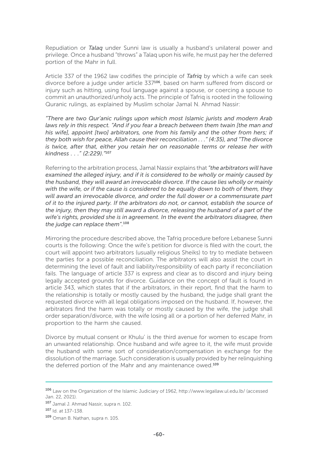Repudiation or *Talaq* under Sunni law is usually a husband's unilateral power and privilege. Once a husband "throws" a Talaq upon his wife, he must pay her the deferred portion of the Mahr in full.

Article 337 of the 1962 law codifies the principle of *Tafriq* by which a wife can seek divorce before a judge under article 337106, based on harm suffered from discord or injury such as hitting, using foul language against a spouse, or coercing a spouse to commit an unauthorized/unholy acts. The principle of Tafriq is rooted in the following Quranic rulings, as explained by Muslim scholar Jamal N. Ahmad Nassir:

*"There are two Qur'anic rulings upon which most Islamic jurists and modern Arab laws rely in this respect. "And if you fear a breach between them twain [the man and his wife], appoint [two] arbitrators, one from his family and the other from hers; if they both wish for peace, Allah cause their reconciliation . . ." (4:35), and "The divorce is twice, after that, either you retain her on reasonable terms or release her with kindness . . ." (2:229)."*<sup>107</sup>

Referring to the arbitration process, Jamal Nassir explains that *"the arbitrators will have examined the alleged injury, and if it is considered to be wholly or mainly caused by the husband, they will award an irrevocable divorce. If the cause lies wholly or mainly with the wife, or if the cause is considered to be equally down to both of them, they*  will award an irrevocable divorce, and order the full dower or a commensurate part *of it to the injured party. If the arbitrators do not, or cannot, establish the source of the injury, then they may still award a divorce, releasing the husband of a part of the wife's rights, provided she is in agreement. In the event the arbitrators disagree, then the judge can replace them".*<sup>108</sup>

Mirroring the procedure described above, the Tafriq procedure before Lebanese Sunni courts is the following: Once the wife's petition for divorce is filed with the court, the court will appoint two arbitrators (usually religious Sheiks) to try to mediate between the parties for a possible reconciliation. The arbitrators will also assist the court in determining the level of fault and liability/responsibility of each party if reconciliation fails. The language of article 337 is express and clear as to discord and injury being legally accepted grounds for divorce. Guidance on the concept of fault is found in article 343, which states that if the arbitrators, in their report, find that the harm to the relationship is totally or mostly caused by the husband, the judge shall grant the requested divorce with all legal obligations imposed on the husband. If, however, the arbitrators find the harm was totally or mostly caused by the wife, the judge shall order separation/divorce, with the wife losing all or a portion of her deferred Mahr, in proportion to the harm she caused.

Divorce by mutual consent or Khulu' is the third avenue for women to escape from an unwanted relationship. Once husband and wife agree to it, the wife must provide the husband with some sort of consideration/compensation in exchange for the dissolution of the marriage. Such consideration is usually provided by her relinquishing the deferred portion of the Mahr and any maintenance owed.<sup>109</sup>

<sup>106</sup> Law on the Organization of the Islamic Judiciary of 1962, http://www.legallaw.ul.edu.lb/ (accessed Jan. 22, 2021).

<sup>107</sup> Jamal J. Ahmad Nassir, supra n. 102.

<sup>107</sup> Id. at 137-138.

<sup>109</sup> Oman B. Nathan, supra n. 105.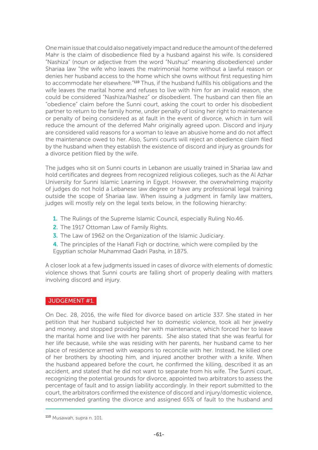One main issue that could also negatively impact and reduce the amount of the deferred Mahr is the claim of disobedience filed by a husband against his wife. Is considered "Nashiza" (noun or adjective from the word "Nushuz" meaning disobedience) under Shariaa law "the wife who leaves the matrimonial home without a lawful reason or denies her husband access to the home which she owns without first requesting him to accommodate her elsewhere."<sup>110</sup> Thus, if the husband fulfills his obligations and the wife leaves the marital home and refuses to live with him for an invalid reason, she could be considered "Nashiza/Nashez" or disobedient. The husband can then file an "obedience" claim before the Sunni court, asking the court to order his disobedient partner to return to the family home, under penalty of losing her right to maintenance or penalty of being considered as at fault in the event of divorce, which in turn will reduce the amount of the deferred Mahr originally agreed upon. Discord and injury are considered valid reasons for a woman to leave an abusive home and do not affect the maintenance owed to her. Also, Sunni courts will reject an obedience claim filed by the husband when they establish the existence of discord and injury as grounds for a divorce petition filed by the wife.

The judges who sit on Sunni courts in Lebanon are usually trained in Shariaa law and hold certificates and degrees from recognized religious colleges, such as the Al Azhar University for Sunni Islamic Learning in Egypt. However, the overwhelming majority of judges do not hold a Lebanese law degree or have any professional legal training outside the scope of Shariaa law. When issuing a judgment in family law matters, judges will mostly rely on the legal texts below, in the following hierarchy:

- 1. The Rulings of the Supreme Islamic Council, especially Ruling No.46.
- 2. The 1917 Ottoman Law of Family Rights.
- **3.** The Law of 1962 on the Organization of the Islamic Judiciary.
- 4. The principles of the Hanafi Fiqh or doctrine, which were compiled by the Egyptian scholar Muhammad Qadri Pasha, in 1875.

A closer look at a few judgments issued in cases of divorce with elements of domestic violence shows that Sunni courts are falling short of properly dealing with matters involving discord and injury.

#### JUDGEMENT #1.

On Dec. 28, 2016, the wife filed for divorce based on article 337. She stated in her petition that her husband subjected her to domestic violence, took all her jewelry and money, and stopped providing her with maintenance, which forced her to leave the marital home and live with her parents. She also stated that she was fearful for her life because, while she was residing with her parents, her husband came to her place of residence armed with weapons to reconcile with her. Instead, he killed one of her brothers by shooting him, and injured another brother with a knife. When the husband appeared before the court, he confirmed the killing, described it as an accident, and stated that he did not want to separate from his wife. The Sunni court, recognizing the potential grounds for divorce, appointed two arbitrators to assess the percentage of fault and to assign liability accordingly. In their report submitted to the court, the arbitrators confirmed the existence of discord and injury/domestic violence, recommended granting the divorce and assigned 65% of fault to the husband and

<sup>110</sup> Musawah, supra n. 101.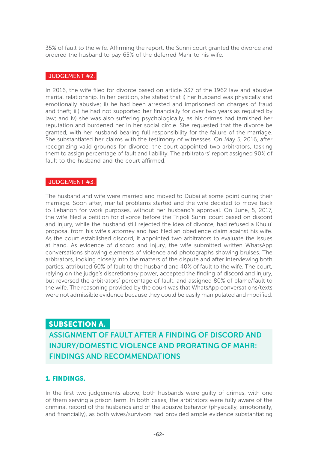35% of fault to the wife. Affirming the report, the Sunni court granted the divorce and ordered the husband to pay 65% of the deferred Mahr to his wife.

#### JUDGEMENT #2.

In 2016, the wife filed for divorce based on article 337 of the 1962 law and abusive marital relationship. In her petition, she stated that i) her husband was physically and emotionally abusive; ii) he had been arrested and imprisoned on charges of fraud and theft; iii) he had not supported her financially for over two years as required by law; and iv) she was also suffering psychologically, as his crimes had tarnished her reputation and burdened her in her social circle. She requested that the divorce be granted, with her husband bearing full responsibility for the failure of the marriage. She substantiated her claims with the testimony of witnesses. On May 5, 2016, after recognizing valid grounds for divorce, the court appointed two arbitrators, tasking them to assign percentage of fault and liability. The arbitrators' report assigned 90% of fault to the husband and the court affirmed.

#### JUDGEMENT #3.

The husband and wife were married and moved to Dubai at some point during their marriage. Soon after, marital problems started and the wife decided to move back to Lebanon for work purposes, without her husband's approval. On June, 5, 2017, the wife filed a petition for divorce before the Tripoli Sunni court based on discord and injury, while the husband still rejected the idea of divorce, had refused a Khulu' proposal from his wife's attorney and had filed an obedience claim against his wife. As the court established discord, it appointed two arbitrators to evaluate the issues at hand. As evidence of discord and injury, the wife submitted written WhatsApp conversations showing elements of violence and photographs showing bruises. The arbitrators, looking closely into the matters of the dispute and after interviewing both parties, attributed 60% of fault to the husband and 40% of fault to the wife. The court, relying on the judge's discretionary power, accepted the finding of discord and injury, but reversed the arbitrators' percentage of fault, and assigned 80% of blame/fault to the wife. The reasoning provided by the court was that WhatsApp conversations/texts were not admissible evidence because they could be easily manipulated and modified.

#### SUBSECTION A.

 ASSIGNMENT OF FAULT AFTER A FINDING OF DISCORD AND INJURY/DOMESTIC VIOLENCE AND PRORATING OF MAHR: FINDINGS AND RECOMMENDATIONS

#### 1. FINDINGS.

In the first two judgements above, both husbands were guilty of crimes, with one of them serving a prison term. In both cases, the arbitrators were fully aware of the criminal record of the husbands and of the abusive behavior (physically, emotionally, and financially), as both wives/survivors had provided ample evidence substantiating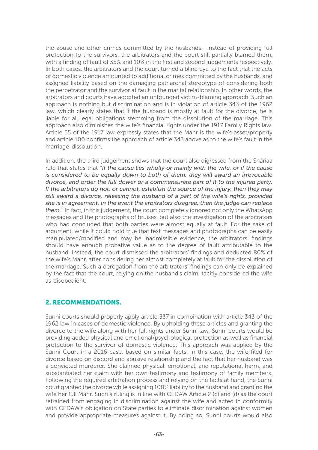the abuse and other crimes committed by the husbands. Instead of providing full protection to the survivors, the arbitrators and the court still partially blamed them, with a finding of fault of 35% and 10% in the first and second judgements respectively. In both cases, the arbitrators and the court turned a blind eye to the fact that the acts of domestic violence amounted to additional crimes committed by the husbands, and assigned liability based on the damaging patriarchal stereotype of considering both the perpetrator and the survivor at fault in the marital relationship. In other words, the arbitrators and courts have adopted an unfounded victim-blaming approach. Such an approach is nothing but discrimination and is in violation of article 343 of the 1962 law, which clearly states that if the husband is mostly at fault for the divorce, he is liable for all legal obligations stemming from the dissolution of the marriage. This approach also diminishes the wife's financial rights under the 1917 Family Rights law. Article 55 of the 1917 law expressly states that the Mahr is the wife's asset/property and article 100 confirms the approach of article 343 above as to the wife's fault in the marriage dissolution.

In addition, the third judgement shows that the court also digressed from the Shariaa rule that states that *"If the cause lies wholly or mainly with the wife, or if the cause is considered to be equally down to both of them, they will award an irrevocable divorce, and order the full dower or a commensurate part of it to the injured party. If the arbitrators do not, or cannot, establish the source of the injury, then they may still award a divorce, releasing the husband of a part of the wife's rights, provided she is in agreement. In the event the arbitrators disagree, then the judge can replace them."* In fact, in this judgement, the court completely ignored not only the WhatsApp messages and the photographs of bruises, but also the investigation of the arbitrators who had concluded that both parties were almost equally at fault. For the sake of argument, while it could hold true that text messages and photographs can be easily manipulated/modified and may be inadmissible evidence, the arbitrators' findings should have enough probative value as to the degree of fault attributable to the husband. Instead, the court dismissed the arbitrators' findings and deducted 80% of the wife's Mahr, after considering her almost completely at fault for the dissolution of the marriage. Such a derogation from the arbitrators' findings can only be explained by the fact that the court, relying on the husband's claim, tacitly considered the wife as disobedient.

#### 2. RECOMMENDATIONS.

Sunni courts should properly apply article 337 in combination with article 343 of the 1962 law in cases of domestic violence. By upholding these articles and granting the divorce to the wife along with her full rights under Sunni law, Sunni courts would be providing added physical and emotional/psychological protection as well as financial protection to the survivor of domestic violence. This approach was applied by the Sunni Court in a 2016 case, based on similar facts. In this case, the wife filed for divorce based on discord and abusive relationship and the fact that her husband was a convicted murderer. She claimed physical, emotional, and reputational harm, and substantiated her claim with her own testimony and testimony of family members. Following the required arbitration process and relying on the facts at hand, the Sunni court granted the divorce while assigning 100% liability to the husband and granting the wife her full Mahr. Such a ruling is in line with CEDAW Article 2 (c) and (d) as the court refrained from engaging in discrimination against the wife and acted in conformity with CEDAW's obligation on State parties to eliminate discrimination against women and provide appropriate measures against it. By doing so, Sunni courts would also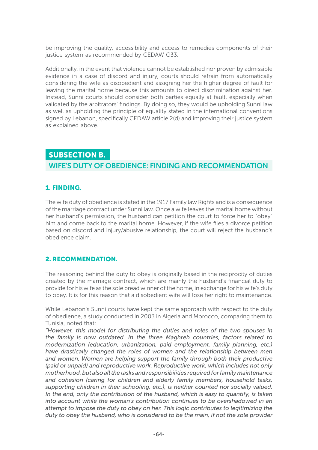be improving the quality, accessibility and access to remedies components of their justice system as recommended by CEDAW G33.

Additionally, in the event that violence cannot be established nor proven by admissible evidence in a case of discord and injury, courts should refrain from automatically considering the wife as disobedient and assigning her the higher degree of fault for leaving the marital home because this amounts to direct discrimination against her. Instead, Sunni courts should consider both parties equally at fault, especially when validated by the arbitrators' findings. By doing so, they would be upholding Sunni law as well as upholding the principle of equality stated in the international conventions signed by Lebanon, specifically CEDAW article 2(d) and improving their justice system as explained above.

#### SUBSECTION B.

#### WIFE'S DUTY OF OBEDIENCE: FINDING AND RECOMMENDATION

#### 1. FINDING.

The wife duty of obedience is stated in the 1917 Family law Rights and is a consequence of the marriage contract under Sunni law. Once a wife leaves the marital home without her husband's permission, the husband can petition the court to force her to "obey" him and come back to the marital home. However, if the wife files a divorce petition based on discord and injury/abusive relationship, the court will reject the husband's obedience claim.

#### 2. RECOMMENDATION.

The reasoning behind the duty to obey is originally based in the reciprocity of duties created by the marriage contract, which are mainly the husband's financial duty to provide for his wife as the sole bread winner of the home, in exchange for his wife's duty to obey. It is for this reason that a disobedient wife will lose her right to maintenance.

While Lebanon's Sunni courts have kept the same approach with respect to the duty of obedience, a study conducted in 2003 in Algeria and Morocco, comparing them to Tunisia, noted that:

*"However, this model for distributing the duties and roles of the two spouses in the family is now outdated. In the three Maghreb countries, factors related to modernization (education, urbanization, paid employment, family planning, etc.) have drastically changed the roles of women and the relationship between men and women. Women are helping support the family through both their productive (paid or unpaid) and reproductive work. Reproductive work, which includes not only motherhood, but also all the tasks and responsibilities required for family maintenance and cohesion (caring for children and elderly family members, household tasks, supporting children in their schooling, etc.), is neither counted nor socially valued. In the end, only the contribution of the husband, which is easy to quantify, is taken into account while the woman's contribution continues to be overshadowed in an attempt to impose the duty to obey on her. This logic contributes to legitimizing the duty to obey the husband, who is considered to be the main, if not the sole provider*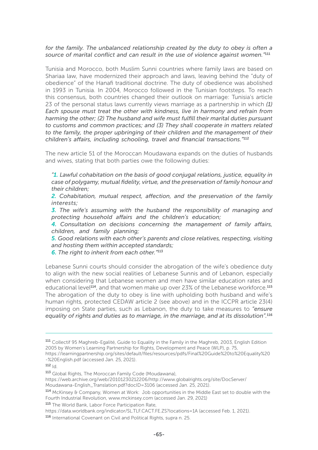#### for the family. The unbalanced relationship created by the duty to obey is often a *source of marital conflict and can result in the use of violence against women."*<sup>111</sup>

Tunisia and Morocco, both Muslim Sunni countries where family laws are based on Shariaa law, have modernized their approach and laws, leaving behind the "duty of obedience" of the Hanafi traditional doctrine. The duty of obedience was abolished in 1993 in Tunisia. In 2004, Morocco followed in the Tunisian footsteps. To reach this consensus, both countries changed their outlook on marriage: Tunisia's article 23 of the personal status laws currently views marriage as a partnership in which *(1) Each spouse must treat the other with kindness, live in harmony and refrain from harming the other; (2) The husband and wife must fulfill their marital duties pursuant to customs and common practices; and (3) They shall cooperate in matters related to the family, the proper upbringing of their children and the management of their children's affairs, including schooling, travel and financial transactions."*<sup>112</sup>

The new article 51 of the Moroccan Moudawana expands on the duties of husbands and wives, stating that both parties owe the following duties:

*"1. Lawful cohabitation on the basis of good conjugal relations, justice, equality in case of polygamy, mutual fidelity, virtue, and the preservation of family honour and their children;*

*2. Cohabitation, mutual respect, affection, and the preservation of the family interests;* 

*3. The wife's assuming with the husband the responsibility of managing and protecting household affairs and the children's education;* 

*4. Consultation on decisions concerning the management of family affairs, children, and family planning;* 

*5. Good relations with each other's parents and close relatives, respecting, visiting and hosting them within accepted standards;* 

*6. The right to inherit from each other."*<sup>113</sup>

Lebanese Sunni courts should consider the abrogation of the wife's obedience duty to align with the new social realities of Lebanese Sunnis and of Lebanon, especially when considering that Lebanese women and men have similar education rates and educational level<sup>114</sup>, and that women make up over 23% of the Lebanese workforce.<sup>115</sup> The abrogation of the duty to obey is line with upholding both husband and wife's human rights, protected CEDAW article 2 (see above) and in the ICCPR article 23(4) imposing on State parties, such as Lebanon, the duty to take measures to *"ensure equality of rights and duties as to marriage, in the marriage, and at its dissolution".*<sup>116</sup>

-%20English.pdf (accessed Jan. 25, 2021).

<sup>111</sup> Collectif 95 Maghreb-Egalité, Guide to Equality in the Family in the Maghreb, 2003, English Edition 2005 by Women's Learning Partnership for Rights, Development and Peace (WLP), p. 75, https://learningpartnership.org/sites/default/files/resources/pdfs/Final%20Guide%20to%20Equality%20

 $112$   $|d|$ .

<sup>113</sup> Global Rights, The Moroccan Family Code (Moudawana),

https://web.archive.org/web/20101230212206/http://www.globalrights.org/site/DocServer/

Moudawana-English\_Translation.pdf?docID=3106 (accessed Jan. 25, 2021).

<sup>114</sup> McKinsey & Company, Women at Work: Job opportunities in the Middle East set to double with the Fourth Industrial Revolution, www.mckinsey.com (accessed Jan. 29, 2021)

<sup>115</sup> The World Bank, Labor Force Participation Rate,

https://data.worldbank.org/indicator/SL.TLF.CACT.FE.ZS?locations=1A (accessed Feb. 1, 2021).

<sup>116</sup> International Covenant on Civil and Political Rights, supra n. 25.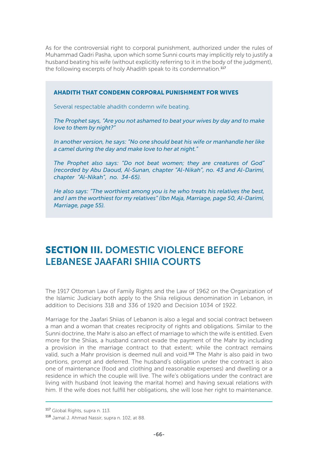As for the controversial right to corporal punishment, authorized under the rules of Muhammad Qadri Pasha, upon which some Sunni courts may implicitly rely to justify a husband beating his wife (without explicitly referring to it in the body of the judgment), the following excerpts of holy Ahadith speak to its condemnation.<sup>117</sup>

#### AHADITH THAT CONDEMN CORPORAL PUNISHMENT FOR WIVES

Several respectable ahadith condemn wife beating.

*The Prophet says, "Are you not ashamed to beat your wives by day and to make love to them by night?"* 

*In another version, he says: "No one should beat his wife or manhandle her like a camel during the day and make love to her at night."* 

*The Prophet also says: "Do not beat women; they are creatures of God" (recorded by Abu Daoud, Al-Sunan, chapter "Al-Nikah", no. 43 and Al-Darimi, chapter "Al-Nikah", no. 34-65).* 

*He also says: "The worthiest among you is he who treats his relatives the best, and I am the worthiest for my relatives" (Ibn Maja, Marriage, page 50, Al-Darimi, Marriage, page 55).*

# SECTION III. DOMESTIC VIOLENCE BEFORE LEBANESE JAAFARI SHIIA COURTS

The 1917 Ottoman Law of Family Rights and the Law of 1962 on the Organization of the Islamic Judiciary both apply to the Shiia religious denomination in Lebanon, in addition to Decisions 318 and 336 of 1920 and Decision 1034 of 1922.

Marriage for the Jaafari Shiias of Lebanon is also a legal and social contract between a man and a woman that creates reciprocity of rights and obligations. Similar to the Sunni doctrine, the Mahr is also an effect of marriage to which the wife is entitled. Even more for the Shiias, a husband cannot evade the payment of the Mahr by including a provision in the marriage contract to that extent; while the contract remains valid, such a Mahr provision is deemed null and void.<sup>118</sup> The Mahr is also paid in two portions, prompt and deferred. The husband's obligation under the contract is also one of maintenance (food and clothing and reasonable expenses) and dwelling or a residence in which the couple will live. The wife's obligations under the contract are living with husband (not leaving the marital home) and having sexual relations with him. If the wife does not fulfill her obligations, she will lose her right to maintenance.

<sup>117</sup> Global Rights, supra n. 113.

<sup>118</sup> Jamal J. Ahmad Nassir, supra n. 102, at 88.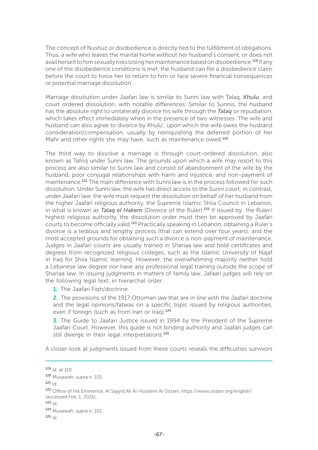The concept of Nushuz or disobedience is directly tied to the fulfillment of obligations. Thus, a wife who leaves the marital home without her husband's consent, or does not avail herself to him sexually risks losing her maintenance based on disobedience.<sup>119</sup> If any one of the disobedience conditions is met, the husband can file a disobedience claim before the court to force her to return to him or face severe financial consequences or potential marriage dissolution.

Marriage dissolution under Jaafari law is similar to Sunni law with Talaq, *Khulu*, and court ordered dissolution, with notable differences. Similar to Sunnis, the husband has the absolute right to unilaterally divorce his wife through the *Talaq* or repudiation, which takes effect immediately when in the presence of two witnesses. The wife and husband can also agree to divorce by Khulu', upon which the wife owes the husband consideration/compensation, usually by relinquishing the deferred portion of her Mahr and other rights she may have, such as maintenance owed.<sup>120</sup>

The third way to dissolve a marriage is through court-ordered dissolution, also known as Tafriq under Sunni law. The grounds upon which a wife may resort to this process are also similar to Sunni law and consist of abandonment of the wife by the husband, poor conjugal relationships with harm and injustice, and non-payment of maintenance.121 The main difference with Sunni law is in the process followed for such dissolution. Under Sunni law, the wife has direct access to the Sunni court; in contrast, under Jaafari law, the wife must request the dissolution on behalf of her husband from the higher Jaafari religious authority, the Supreme Islamic Shiia Council in Lebanon, in what is known as *Talaq el Hakem* (Divorce of the Ruler).122 If issued by the Ruler/ highest religious authority, the dissolution order must then be approved by Jaafari courts to become officially valid.123 Practically speaking in Lebanon, obtaining a Ruler's divorce is a tedious and lengthy process (that can extend over four years), and the most accepted grounds for obtaining such a divorce is non-payment of maintenance. Judges in Jaafari courts are usually trained in Shariaa law and hold certificates and degrees from recognized religious colleges, such as the Islamic University of Najaf in Iraq for Shiia Islamic learning. However, the overwhelming majority neither hold a Lebanese law degree nor have any professional legal training outside the scope of Shariaa law. In issuing judgments in matters of family law, Jafaari judges will rely on the following legal text, in hierarchal order:

1. The Jaafari Figh/doctrine.

2. The provisions of the 1917 Ottoman law that are in line with the Jaafari doctrine and the legal opinions/fatwas on a specific topic issued by religious authorities, even if foreign (such as from Iran or Irag).<sup>124</sup>

**3.** The Guide to Jaafari Justice issued in 1994 by the President of the Supreme Jaafari Court. However, this guide is not binding authority and Jaafari judges can still diverge in their legal interpretations.<sup>125</sup>

A closer look at judgments issued from these courts reveals the difficulties survivors

 $121$  Id.

 $119$  Id. at 110.

<sup>120</sup> Musawah, supra n. 101.

<sup>122</sup> Office of His Eminence, Al Sayyid Ali Al-Husseini Al-Sistani, https://www.sistani.org/english/ (accessed Feb. 1, 2021).

 $123$   $|d|$ .

<sup>124</sup> Musawah, supra n. 101.

 $125$  Id.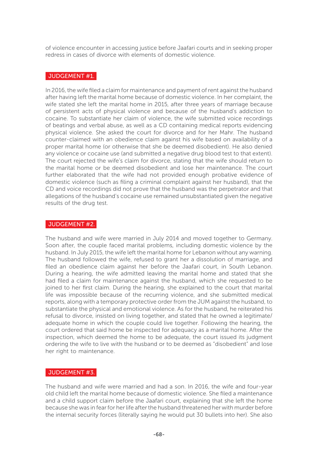of violence encounter in accessing justice before Jaafari courts and in seeking proper redress in cases of divorce with elements of domestic violence.

#### JUDGEMENT #1.

In 2016, the wife filed a claim for maintenance and payment of rent against the husband after having left the marital home because of domestic violence. In her complaint, the wife stated she left the marital home in 2015, after three years of marriage because of persistent acts of physical violence and because of the husband's addiction to cocaine. To substantiate her claim of violence, the wife submitted voice recordings of beatings and verbal abuse, as well as a CD containing medical reports evidencing physical violence. She asked the court for divorce and for her Mahr. The husband counter-claimed with an obedience claim against his wife based on availability of a proper marital home (or otherwise that she be deemed disobedient). He also denied any violence or cocaine use (and submitted a negative drug blood test to that extent). The court rejected the wife's claim for divorce, stating that the wife should return to the marital home or be deemed disobedient and lose her maintenance. The court further elaborated that the wife had not provided enough probative evidence of domestic violence (such as filing a criminal complaint against her husband), that the CD and voice recordings did not prove that the husband was the perpetrator and that allegations of the husband's cocaine use remained unsubstantiated given the negative results of the drug test.

#### JUDGEMENT #2.

The husband and wife were married in July 2014 and moved together to Germany. Soon after, the couple faced marital problems, including domestic violence by the husband. In July 2015, the wife left the marital home for Lebanon without any warning. The husband followed the wife, refused to grant her a dissolution of marriage, and filed an obedience claim against her before the Jaafari court, in South Lebanon. During a hearing, the wife admitted leaving the marital home and stated that she had filed a claim for maintenance against the husband, which she requested to be joined to her first claim. During the hearing, she explained to the court that marital life was impossible because of the recurring violence, and she submitted medical reports, along with a temporary protective order from the JUM against the husband, to substantiate the physical and emotional violence. As for the husband, he reiterated his refusal to divorce, insisted on living together, and stated that he owned a legitimate/ adequate home in which the couple could live together. Following the hearing, the court ordered that said home be inspected for adequacy as a marital home. After the inspection, which deemed the home to be adequate, the court issued its judgment ordering the wife to live with the husband or to be deemed as "disobedient" and lose her right to maintenance.

#### JUDGEMENT #3.

The husband and wife were married and had a son. In 2016, the wife and four-year old child left the marital home because of domestic violence. She filed a maintenance and a child support claim before the Jaafari court, explaining that she left the home because she was in fear for her life after the husband threatened her with murder before the internal security forces (literally saying he would put 30 bullets into her). She also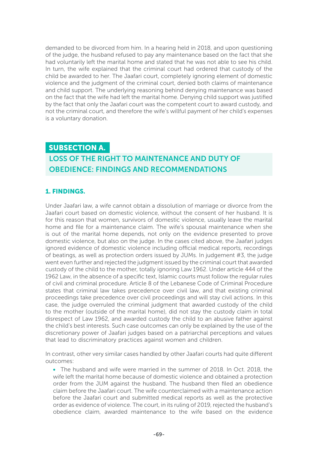demanded to be divorced from him. In a hearing held in 2018, and upon questioning of the judge, the husband refused to pay any maintenance based on the fact that she had voluntarily left the marital home and stated that he was not able to see his child. In turn, the wife explained that the criminal court had ordered that custody of the child be awarded to her. The Jaafari court, completely ignoring element of domestic violence and the judgment of the criminal court, denied both claims of maintenance and child support. The underlying reasoning behind denying maintenance was based on the fact that the wife had left the marital home. Denying child support was justified by the fact that only the Jaafari court was the competent court to award custody, and not the criminal court, and therefore the wife's willful payment of her child's expenses is a voluntary donation.

#### SUBSECTION A.

# LOSS OF THE RIGHT TO MAINTENANCE AND DUTY OF OBEDIENCE: FINDINGS AND RECOMMENDATIONS

#### 1. FINDINGS.

Under Jaafari law, a wife cannot obtain a dissolution of marriage or divorce from the Jaafari court based on domestic violence, without the consent of her husband. It is for this reason that women, survivors of domestic violence, usually leave the marital home and file for a maintenance claim. The wife's spousal maintenance when she is out of the marital home depends, not only on the evidence presented to prove domestic violence, but also on the judge. In the cases cited above, the Jaafari judges ignored evidence of domestic violence including official medical reports, recordings of beatings, as well as protection orders issued by JUMs. In judgement #3, the judge went even further and rejected the judgment issued by the criminal court that awarded custody of the child to the mother, totally ignoring Law 1962. Under article 444 of the 1962 Law, in the absence of a specific text, Islamic courts must follow the regular rules of civil and criminal procedure. Article 8 of the Lebanese Code of Criminal Procedure states that criminal law takes precedence over civil law, and that existing criminal proceedings take precedence over civil proceedings and will stay civil actions. In this case, the judge overruled the criminal judgment that awarded custody of the child to the mother (outside of the marital home), did not stay the custody claim in total disrespect of Law 1962, and awarded custody the child to an abusive father against the child's best interests. Such case outcomes can only be explained by the use of the discretionary power of Jaafari judges based on a patriarchal perceptions and values that lead to discriminatory practices against women and children.

In contrast, other very similar cases handled by other Jaafari courts had quite different outcomes:

• The husband and wife were married in the summer of 2018. In Oct. 2018, the wife left the marital home because of domestic violence and obtained a protection order from the JUM against the husband. The husband then filed an obedience claim before the Jaafari court. The wife counterclaimed with a maintenance action before the Jaafari court and submitted medical reports as well as the protective order as evidence of violence. The court, in its ruling of 2019, rejected the husband's obedience claim, awarded maintenance to the wife based on the evidence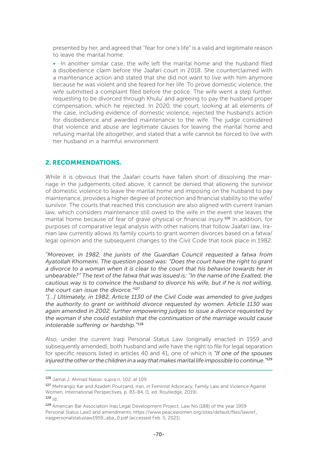presented by her, and agreed that "fear for one's life" is a valid and legitimate reason to leave the marital home.

• In another similar case, the wife left the marital home and the husband filed a disobedience claim before the Jaafari court in 2018. She counterclaimed with a maintenance action and stated that she did not want to live with him anymore because he was violent and she feared for her life. To prove domestic violence, the wife submitted a complaint filed before the police. The wife went a step further, requesting to be divorced through Khulu' and agreeing to pay the husband proper compensation, which he rejected. In 2020, the court, looking at all elements of the case, including evidence of domestic violence, rejected the husband's action for disobedience and awarded maintenance to the wife. The judge considered that violence and abuse are legitimate causes for leaving the marital home and refusing marital life altogether, and stated that a wife cannot be forced to live with her husband in a harmful environment

#### 2. RECOMMENDATIONS.

While it is obvious that the Jaafari courts have fallen short of dissolving the marriage in the judgements cited above, it cannot be denied that allowing the survivor of domestic violence to leave the marital home and imposing on the husband to pay maintenance, provides a higher degree of protection and financial stability to the wife/ survivor. The courts that reached this conclusion are also aligned with current Iranian law, which considers maintenance still owed to the wife in the event she leaves the marital home because of fear of grave physical or financial injury.<sup>126</sup> In addition, for purposes of comparative legal analysis with other nations that follow Jaafari law, Iranian law currently allows its family courts to grant women divorces based on a fatwa/ legal opinion and the subsequent changes to the Civil Code that took place in 1982:

*"Moreover, in 1982, the jurists of the Guardian Council requested a fatwa from Ayatollah Khomeini. The question posed was: "Does the court have the right to grant a divorce to a woman when it is clear to the court that his behavior towards her in unbearable?" The text of the fatwa that was issued is: "In the name of the Exalted, the cautious way is to convince the husband to divorce his wife, but if he is not willing, the court can issue the divorce."*<sup>127</sup>

*"[…] Ultimately, in 1982, Article 1130 of the Civil Code was amended to give judges the authority to grant or withhold divorce requested by women. Article 1130 was again amended in 2002, further empowering judges to issue a divorce requested by the woman if she could establish that the continuation of the marriage would cause intolerable suffering or hardship."*<sup>128</sup>

Also, under the current Iraqi Personal Status Law (originally enacted in 1959 and subsequently amended), both husband and wife have the right to file for legal separation for specific reasons listed in articles 40 and 41, one of which is *"If one of the spouses injured the other or the children in a way that makes marital life impossible to continue."*<sup>129</sup>

 $128$   $|d|$ 

<sup>126</sup> Jamal J. Ahmad Nassir, supra n. 102, at 109.

<sup>127</sup> Mehrangiz Kar and Azadeh Pourzand, Iran, in Feminist Advocacy, Family Law and Violence Against Women, International Perspectives, p. 83-84, (1, ed. Routledge, 2019).

<sup>129</sup> American Bar Association Iraq Legal Development Project, Law No (188) of the year 1959 Personal Status Law1 and amendments, https://www.peacewomen.org/sites/default/files/lawref\_ iraqpersonalstatuslaw1959\_aba\_0.pdf (accessed Feb. 5, 2021).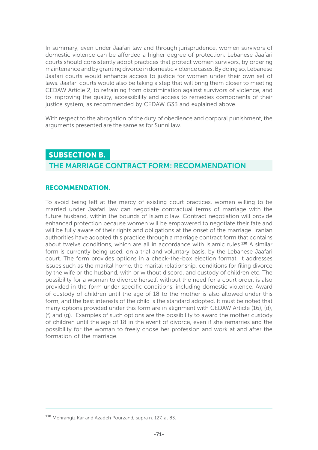In summary, even under Jaafari law and through jurisprudence, women survivors of domestic violence can be afforded a higher degree of protection. Lebanese Jaafari courts should consistently adopt practices that protect women survivors, by ordering maintenance and by granting divorce in domestic violence cases. By doing so, Lebanese Jaafari courts would enhance access to justice for women under their own set of laws. Jaafari courts would also be taking a step that will bring them closer to meeting CEDAW Article 2, to refraining from discrimination against survivors of violence, and to improving the quality, accessibility and access to remedies components of their justice system, as recommended by CEDAW G33 and explained above.

With respect to the abrogation of the duty of obedience and corporal punishment, the arguments presented are the same as for Sunni law.

# SUBSECTION B. THE MARRIAGE CONTRACT FORM: RECOMMENDATION

#### RECOMMENDATION.

To avoid being left at the mercy of existing court practices, women willing to be married under Jaafari law can negotiate contractual terms of marriage with the future husband, within the bounds of Islamic law. Contract negotiation will provide enhanced protection because women will be empowered to negotiate their fate and will be fully aware of their rights and obligations at the onset of the marriage. Iranian authorities have adopted this practice through a marriage contract form that contains about twelve conditions, which are all in accordance with Islamic rules.<sup>130</sup> A similar form is currently being used, on a trial and voluntary basis, by the Lebanese Jaafari court. The form provides options in a check-the-box election format. It addresses issues such as the marital home, the marital relationship, conditions for filing divorce by the wife or the husband, with or without discord, and custody of children etc. The possibility for a woman to divorce herself, without the need for a court order, is also provided in the form under specific conditions, including domestic violence. Award of custody of children until the age of 18 to the mother is also allowed under this form, and the best interests of the child is the standard adopted. It must be noted that many options provided under this form are in alignment with CEDAW Article (16), (d), (f) and (g). Examples of such options are the possibility to award the mother custody of children until the age of 18 in the event of divorce, even if she remarries and the possibility for the woman to freely chose her profession and work at and after the formation of the marriage.

<sup>130</sup> Mehrangiz Kar and Azadeh Pourzand, supra n. 127, at 83.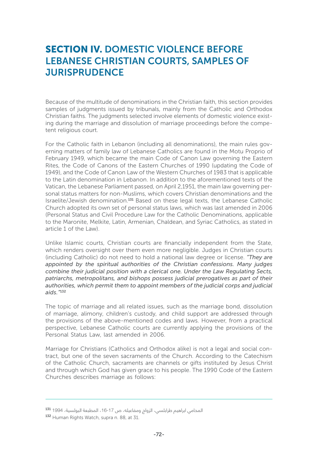# SECTION IV. DOMESTIC VIOLENCE BEFORE LEBANESE CHRISTIAN COURTS, SAMPLES OF **JURISPRUDENCE**

Because of the multitude of denominations in the Christian faith, this section provides samples of judgments issued by tribunals, mainly from the Catholic and Orthodox Christian faiths. The judgments selected involve elements of domestic violence existing during the marriage and dissolution of marriage proceedings before the competent religious court.

For the Catholic faith in Lebanon (including all denominations), the main rules governing matters of family law of Lebanese Catholics are found in the Motu Proprio of February 1949, which became the main Code of Canon Law governing the Eastern Rites, the Code of Canons of the Eastern Churches of 1990 (updating the Code of 1949), and the Code of Canon Law of the Western Churches of 1983 that is applicable to the Latin denomination in Lebanon. In addition to the aforementioned texts of the Vatican, the Lebanese Parliament passed, on April 2,1951, the main law governing personal status matters for non-Muslims, which covers Christian denominations and the Israelite/Jewish denomination.<sup>131</sup> Based on these legal texts, the Lebanese Catholic Church adopted its own set of personal status laws, which was last amended in 2006 (Personal Status and Civil Procedure Law for the Catholic Denominations, applicable to the Maronite, Melkite, Latin, Armenian, Chaldean, and Syriac Catholics, as stated in article 1 of the Law).

Unlike Islamic courts, Christian courts are financially independent from the State, which renders oversight over them even more negligible. Judges in Christian courts (including Catholic) do not need to hold a national law degree or license. *"They are appointed by the spiritual authorities of the Christian confessions. Many judges combine their judicial position with a clerical one. Under the Law Regulating Sects, patriarchs, metropolitans, and bishops possess judicial prerogatives as part of their authorities, which permit them to appoint members of the judicial corps and judicial aids."*<sup>132</sup>

The topic of marriage and all related issues, such as the marriage bond, dissolution of marriage, alimony, children's custody, and child support are addressed through the provisions of the above-mentioned codes and laws. However, from a practical perspective, Lebanese Catholic courts are currently applying the provisions of the Personal Status Law, last amended in 2006.

Marriage for Christians (Catholics and Orthodox alike) is not a legal and social contract, but one of the seven sacraments of the Church. According to the Catechism of the Catholic Church, sacraments are channels or gifts instituted by Jesus Christ and through which God has given grace to his people. The 1990 Code of the Eastern Churches describes marriage as follows:

المحامي ابراهيم طرابلسي، الزواج ومفاعيله، ص 17-16، المطبعة البولسية، 1994 <sup>131</sup>

<sup>132</sup> Human Rights Watch, supra n. 88, at 31.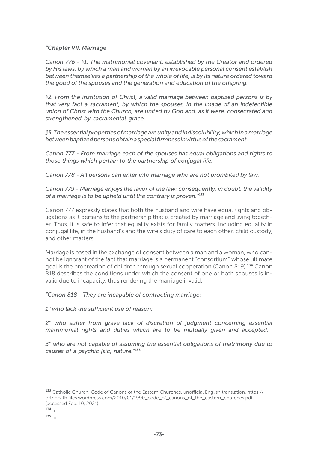# *"Chapter VII. Marriage*

*Canon 776 - §1. The matrimonial covenant, established by the Creator and ordered by His laws, by which a man and woman by an irrevocable personal consent establish between themselves a partnership of the whole of life, is by its nature ordered toward the good of the spouses and the generation and education of the offspring.* 

*§2. From the institution of Christ, a valid marriage between baptized persons is by that very fact a sacrament, by which the spouses, in the image of an indefectible union of Christ with the Church, are united by God and, as it were, consecrated and strengthened by sacramental grace.* 

*§3. The essential properties of marriage are unity and indissolubility, which in a marriage between baptized persons obtain a special firmness in virtue of the sacrament.* 

*Canon 777 - From marriage each of the spouses has equal obligations and rights to those things which pertain to the partnership of conjugal life.* 

*Canon 778 - All persons can enter into marriage who are not prohibited by law.* 

# *Canon 779 - Marriage enjoys the favor of the law; consequently, in doubt, the validity of a marriage is to be upheld until the contrary is proven."*<sup>133</sup>

Canon 777 expressly states that both the husband and wife have equal rights and obligations as it pertains to the partnership that is created by marriage and living together. Thus, it is safe to infer that equality exists for family matters, including equality in conjugal life, in the husband's and the wife's duty of care to each other, child custody, and other matters.

Marriage is based in the exchange of consent between a man and a woman, who cannot be ignorant of the fact that marriage is a permanent "consortium" whose ultimate goal is the procreation of children through sexual cooperation (Canon 819).134 Canon 818 describes the conditions under which the consent of one or both spouses is invalid due to incapacity, thus rendering the marriage invalid.

*"Canon 818 - They are incapable of contracting marriage:* 

*1° who lack the sufficient use of reason;* 

*2° who suffer from grave lack of discretion of judgment concerning essential matrimonial rights and duties which are to be mutually given and accepted;* 

*3° who are not capable of assuming the essential obligations of matrimony due to causes of a psychic [sic] nature."*<sup>135</sup>

<sup>133</sup> Catholic Church, Code of Canons of the Eastern Churches, unofficial English translation, https:// orthocath.files.wordpress.com/2010/01/1990\_code\_of\_canons\_of\_the\_eastern\_churches.pdf (accessed Feb. 10, 2021).  $134$  Id.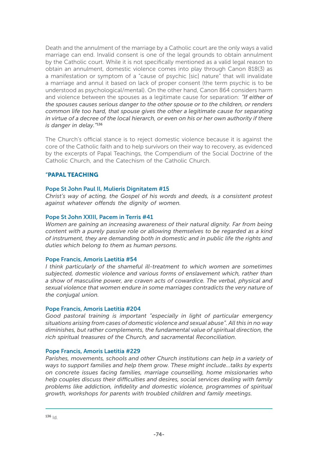Death and the annulment of the marriage by a Catholic court are the only ways a valid marriage can end. Invalid consent is one of the legal grounds to obtain annulment by the Catholic court. While it is not specifically mentioned as a valid legal reason to obtain an annulment, domestic violence comes into play through Canon 818(3) as a manifestation or symptom of a "cause of psychic [sic] nature" that will invalidate a marriage and annul it based on lack of proper consent (the term psychic is to be understood as psychological/mental). On the other hand, Canon 864 considers harm and violence between the spouses as a legitimate cause for separation: *"If either of the spouses causes serious danger to the other spouse or to the children, or renders common life too hard, that spouse gives the other a legitimate cause for separating in virtue of a decree of the local hierarch, or even on his or her own authority if there is danger in delay."*<sup>136</sup>

The Church's official stance is to reject domestic violence because it is against the core of the Catholic faith and to help survivors on their way to recovery, as evidenced by the excerpts of Papal Teachings, the Compendium of the Social Doctrine of the Catholic Church, and the Catechism of the Catholic Church.

# "PAPAL TEACHING

# Pope St John Paul II, Mulieris Dignitatem #15

*Christ's way of acting, the Gospel of his words and deeds, is a consistent protest against whatever offends the dignity of women.*

### Pope St John XXIII, Pacem in Terris #41

*Women are gaining an increasing awareness of their natural dignity. Far from being content with a purely passive role or allowing themselves to be regarded as a kind of instrument, they are demanding both in domestic and in public life the rights and duties which belong to them as human persons.*

#### Pope Francis, Amoris Laetitia #54

*I think particularly of the shameful ill-treatment to which women are sometimes subjected, domestic violence and various forms of enslavement which, rather than a show of masculine power, are craven acts of cowardice. The verbal, physical and sexual violence that women endure in some marriages contradicts the very nature of the conjugal union.*

# Pope Francis, Amoris Laetitia #204

*Good pastoral training is important "especially in light of particular emergency situations arising from cases of domestic violence and sexual abuse". All this in no way diminishes, but rather complements, the fundamental value of spiritual direction, the rich spiritual treasures of the Church, and sacramental Reconciliation.*

#### Pope Francis, Amoris Laetitia #229

*Parishes, movements, schools and other Church institutions can help in a variety of ways to support families and help them grow. These might include…talks by experts on concrete issues facing families, marriage counselling, home missionaries who help couples discuss their difficulties and desires, social services dealing with family problems like addiction, infidelity and domestic violence, programmes of spiritual growth, workshops for parents with troubled children and family meetings.*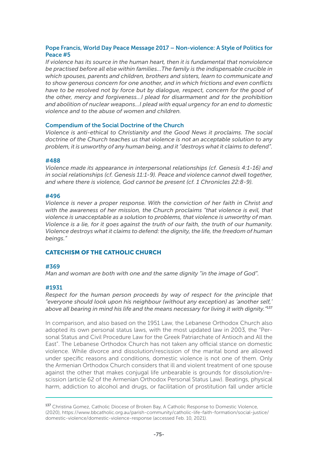# Pope Francis, World Day Peace Message 2017 – Non-violence: A Style of Politics for Peace #5

*If violence has its source in the human heart, then it is fundamental that nonviolence be practised before all else within families…The family is the indispensable crucible in which spouses, parents and children, brothers and sisters, learn to communicate and to show generous concern for one another, and in which frictions and even conflicts have to be resolved not by force but by dialogue, respect, concern for the good of the other, mercy and forgiveness…I plead for disarmament and for the prohibition and abolition of nuclear weapons…I plead with equal urgency for an end to domestic violence and to the abuse of women and children.*

### Compendium of the Social Doctrine of the Church

*Violence is anti-ethical to Christianity and the Good News it proclaims. The social doctrine of the Church teaches us that violence is not an acceptable solution to any problem, it is unworthy of any human being, and it "destroys what it claims to defend".*

#### #488

*Violence made its appearance in interpersonal relationships (cf. Genesis 4:1-16) and in social relationships (cf. Genesis 11:1-9). Peace and violence cannot dwell together, and where there is violence, God cannot be present (cf. 1 Chronicles 22:8-9).*

#### #496

*Violence is never a proper response. With the conviction of her faith in Christ and with the awareness of her mission, the Church proclaims "that violence is evil, that violence is unacceptable as a solution to problems, that violence is unworthy of man. Violence is a lie, for it goes against the truth of our faith, the truth of our humanity. Violence destroys what it claims to defend: the dignity, the life, the freedom of human beings."*

# CATECHISM OF THE CATHOLIC CHURCH

#### #369

*Man and woman are both with one and the same dignity "in the image of God".* 

# #1931

*Respect for the human person proceeds by way of respect for the principle that "everyone should look upon his neighbour (without any exception) as 'another self,' above all bearing in mind his life and the means necessary for living it with dignity."*<sup>137</sup>

In comparison, and also based on the 1951 Law, the Lebanese Orthodox Church also adopted its own personal status laws, with the most updated law in 2003, the "Personal Status and Civil Procedure Law for the Greek Patriarchate of Antioch and All the East". The Lebanese Orthodox Church has not taken any official stance on domestic violence. While divorce and dissolution/rescission of the marital bond are allowed under specific reasons and conditions, domestic violence is not one of them. Only the Armenian Orthodox Church considers that ill and violent treatment of one spouse against the other that makes conjugal life unbearable is grounds for dissolution/rescission (article 62 of the Armenian Orthodox Personal Status Law). Beatings, physical harm, addiction to alcohol and drugs, or facilitation of prostitution fall under article

<sup>137</sup> Christina Gomez, Catholic Diocese of Broken Bay, A Catholic Response to Domestic Violence, (2020), https://www.bbcatholic.org.au/parish-community/catholic-life-faith-formation/social-justice/ domestic-violence/domestic-violence-response (accessed Feb. 10, 2021).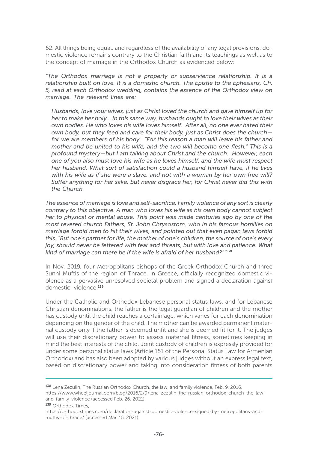62. All things being equal, and regardless of the availability of any legal provisions, domestic violence remains contrary to the Christian faith and its teachings as well as to the concept of marriage in the Orthodox Church as evidenced below:

*"The Orthodox marriage is not a property or subservience relationship. It is a relationship built on love. It is a domestic church. The Epistle to the Ephesians, Ch. 5, read at each Orthodox wedding, contains the essence of the Orthodox view on marriage. The relevant lines are:*

*Husbands, love your wives, just as Christ loved the church and gave himself up for her to make her holy… In this same way, husbands ought to love their wives as their own bodies. He who loves his wife loves himself. After all, no one ever hated their own body, but they feed and care for their body, just as Christ does the church for we are members of his body. "For this reason a man will leave his father and mother and be united to his wife, and the two will become one flesh." This is a profound mystery—but I am talking about Christ and the church. However, each one of you also must love his wife as he loves himself, and the wife must respect her husband. What sort of satisfaction could a husband himself have, if he lives with his wife as if she were a slave, and not with a woman by her own free will? Suffer anything for her sake, but never disgrace her, for Christ never did this with the Church.*

*The essence of marriage is love and self-sacrifice. Family violence of any sort is clearly contrary to this objective. A man who loves his wife as his own body cannot subject her to physical or mental abuse. This point was made centuries ago by one of the most revered church Fathers, St. John Chrysostom, who in his famous homilies on marriage forbid men to hit their wives, and pointed out that even pagan laws forbid this. "But one's partner for life, the mother of one's children, the source of one's every joy, should never be fettered with fear and threats, but with love and patience. What kind of marriage can there be if the wife is afraid of her husband?""*<sup>138</sup>

In Nov. 2019, four Metropolitans bishops of the Greek Orthodox Church and three Sunni Muftis of the region of Thrace, in Greece, officially recognized domestic violence as a pervasive unresolved societal problem and signed a declaration against domestic violence.<sup>139</sup>

Under the Catholic and Orthodox Lebanese personal status laws, and for Lebanese Christian denominations, the father is the legal guardian of children and the mother has custody until the child reaches a certain age, which varies for each denomination depending on the gender of the child. The mother can be awarded permanent maternal custody only if the father is deemed unfit and she is deemed fit for it. The judges will use their discretionary power to assess maternal fitness, sometimes keeping in mind the best interests of the child. Joint custody of children is expressly provided for under some personal status laws (Article 151 of the Personal Status Law for Armenian Orthodox) and has also been adopted by various judges without an express legal text, based on discretionary power and taking into consideration fitness of both parents

https://www.wheeljournal.com/blog/2016/2/9/lena-zezulin-the-russian-orthodox-church-the-lawand-family-violence (accessed Feb. 26. 2021).

<sup>138</sup> Lena Zezulin, The Russian Orthodox Church, the law, and family violence, Feb. 9, 2016,

<sup>139</sup> Orthodox Times,

https://orthodoxtimes.com/declaration-against-domestic-violence-signed-by-metropolitans-andmuftis-of-thrace/ (accessed Mar. 15, 2021).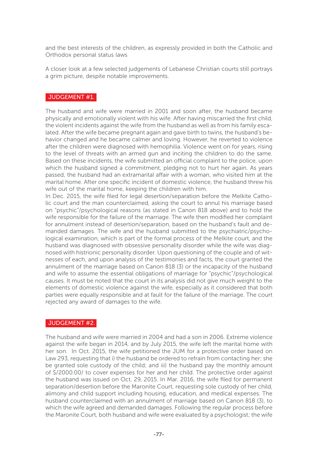and the best interests of the children, as expressly provided in both the Catholic and Orthodox personal status laws

A closer look at a few selected judgements of Lebanese Christian courts still portrays a grim picture, despite notable improvements.

# JUDGEMENT #1.

The husband and wife were married in 2001 and soon after, the husband became physically and emotionally violent with his wife. After having miscarried the first child, the violent incidents against the wife from the husband as well as from his family escalated. After the wife became pregnant again and gave birth to twins, the husband's behavior changed and he became calmer and loving. However, he reverted to violence after the children were diagnosed with hemophilia. Violence went on for years, rising to the level of threats with an armed gun and inciting the children to do the same. Based on these incidents, the wife submitted an official complaint to the police, upon which the husband signed a commitment, pledging not to hurt her again. As years passed, the husband had an extramarital affair with a woman, who visited him at the marital home. After one specific incident of domestic violence, the husband threw his wife out of the marital home, keeping the children with him.

In Dec. 2015, the wife filed for legal desertion/separation before the Melkite Catholic court and the man counterclaimed, asking the court to annul his marriage based on "psychic"/psychological reasons (as stated in Canon 818 above) and to hold the wife responsible for the failure of the marriage. The wife then modified her complaint for annulment instead of desertion/separation, based on the husband's fault and demanded damages. The wife and the husband submitted to the psychiatric/psychological examination, which is part of the formal process of the Melkite court, and the husband was diagnosed with obsessive personality disorder while the wife was diagnosed with histrionic personality disorder. Upon questioning of the couple and of witnesses of each, and upon analysis of the testimonies and facts, the court granted the annulment of the marriage based on Canon 818 (3) or the incapacity of the husband and wife to assume the essential obligations of marriage for "psychic"/psychological causes. It must be noted that the court in its analysis did not give much weight to the elements of domestic violence against the wife, especially as it considered that both parties were equally responsible and at fault for the failure of the marriage. The court rejected any award of damages to the wife.

# JUDGEMENT #2.

The husband and wife were married in 2004 and had a son in 2006. Extreme violence against the wife began in 2014, and by July 2015, the wife left the marital home with her son. In Oct. 2015, the wife petitioned the JUM for a protective order based on Law 293, requesting that i) the husband be ordered to refrain from contacting her; she be granted sole custody of the child; and iii) the husband pay the monthly amount of \$/2000.00/ to cover expenses for her and her child. The protective order against the husband was issued on Oct. 29, 2015. In Mar. 2016, the wife filed for permanent separation/desertion before the Maronite Court, requesting sole custody of her child, alimony and child support including housing, education, and medical expenses. The husband counterclaimed with an annulment of marriage based on Canon 818 (3), to which the wife agreed and demanded damages. Following the regular process before the Maronite Court, both husband and wife were evaluated by a psychologist; the wife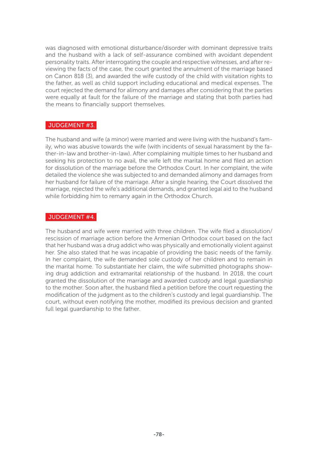was diagnosed with emotional disturbance/disorder with dominant depressive traits and the husband with a lack of self-assurance combined with avoidant dependent personality traits. After interrogating the couple and respective witnesses, and after reviewing the facts of the case, the court granted the annulment of the marriage based on Canon 818 (3), and awarded the wife custody of the child with visitation rights to the father, as well as child support including educational and medical expenses. The court rejected the demand for alimony and damages after considering that the parties were equally at fault for the failure of the marriage and stating that both parties had the means to financially support themselves.

# JUDGEMENT #3.

The husband and wife (a minor) were married and were living with the husband's family, who was abusive towards the wife (with incidents of sexual harassment by the father-in-law and brother-in-law). After complaining multiple times to her husband and seeking his protection to no avail, the wife left the marital home and filed an action for dissolution of the marriage before the Orthodox Court. In her complaint, the wife detailed the violence she was subjected to and demanded alimony and damages from her husband for failure of the marriage. After a single hearing, the Court dissolved the marriage, rejected the wife's additional demands, and granted legal aid to the husband while forbidding him to remarry again in the Orthodox Church.

### JUDGEMENT #4.

The husband and wife were married with three children. The wife filed a dissolution/ rescission of marriage action before the Armenian Orthodox court based on the fact that her husband was a drug addict who was physically and emotionally violent against her. She also stated that he was incapable of providing the basic needs of the family. In her complaint, the wife demanded sole custody of her children and to remain in the marital home. To substantiate her claim, the wife submitted photographs showing drug addiction and extramarital relationship of the husband. In 2018, the court granted the dissolution of the marriage and awarded custody and legal guardianship to the mother. Soon after, the husband filed a petition before the court requesting the modification of the judgment as to the children's custody and legal guardianship. The court, without even notifying the mother, modified its previous decision and granted full legal guardianship to the father.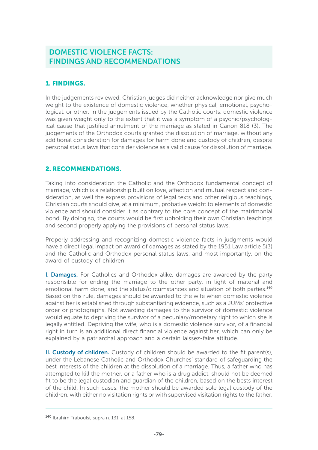# DOMESTIC VIOLENCE FACTS: FINDINGS AND RECOMMENDATIONS

# 1. FINDINGS.

In the judgements reviewed, Christian judges did neither acknowledge nor give much weight to the existence of domestic violence, whether physical, emotional, psychological, or other. In the judgements issued by the Catholic courts, domestic violence was given weight only to the extent that it was a symptom of a psychic/psychological cause that justified annulment of the marriage as stated in Canon 818 (3). The judgements of the Orthodox courts granted the dissolution of marriage, without any additional consideration for damages for harm done and custody of children, despite personal status laws that consider violence as a valid cause for dissolution of marriage.

# 2. RECOMMENDATIONS.

Taking into consideration the Catholic and the Orthodox fundamental concept of marriage, which is a relationship built on love, affection and mutual respect and consideration, as well the express provisions of legal texts and other religious teachings, Christian courts should give, at a minimum, probative weight to elements of domestic violence and should consider it as contrary to the core concept of the matrimonial bond. By doing so, the courts would be first upholding their own Christian teachings and second properly applying the provisions of personal status laws.

Properly addressing and recognizing domestic violence facts in judgments would have a direct legal impact on award of damages as stated by the 1951 Law article 5(3) and the Catholic and Orthodox personal status laws, and most importantly, on the award of custody of children.

I. Damages. For Catholics and Orthodox alike, damages are awarded by the party responsible for ending the marriage to the other party, in light of material and emotional harm done, and the status/circumstances and situation of both parties.<sup>140</sup> Based on this rule, damages should be awarded to the wife when domestic violence against her is established through substantiating evidence, such as a JUMs' protective order or photographs. Not awarding damages to the survivor of domestic violence would equate to depriving the survivor of a pecuniary/monetary right to which she is legally entitled. Depriving the wife, who is a domestic violence survivor, of a financial right in turn is an additional direct financial violence against her, which can only be explained by a patriarchal approach and a certain laissez-faire attitude.

II. Custody of children. Custody of children should be awarded to the fit parent(s), under the Lebanese Catholic and Orthodox Churches' standard of safeguarding the best interests of the children at the dissolution of a marriage. Thus, a father who has attempted to kill the mother, or a father who is a drug addict, should not be deemed fit to be the legal custodian and guardian of the children, based on the bests interest of the child. In such cases, the mother should be awarded sole legal custody of the children, with either no visitation rights or with supervised visitation rights to the father.

<sup>140</sup> Ibrahim Traboulsi, supra n. 131, at 158.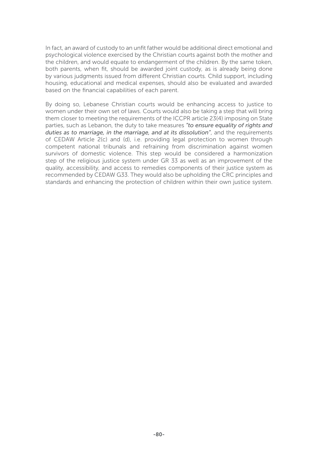In fact, an award of custody to an unfit father would be additional direct emotional and psychological violence exercised by the Christian courts against both the mother and the children, and would equate to endangerment of the children. By the same token, both parents, when fit, should be awarded joint custody, as is already being done by various judgments issued from different Christian courts. Child support, including housing, educational and medical expenses, should also be evaluated and awarded based on the financial capabilities of each parent.

By doing so, Lebanese Christian courts would be enhancing access to justice to women under their own set of laws. Courts would also be taking a step that will bring them closer to meeting the requirements of the ICCPR article 23(4) imposing on State parties, such as Lebanon, the duty to take measures *"to ensure equality of rights and duties as to marriage, in the marriage, and at its dissolution"*, and the requirements of CEDAW Article 2(c) and (d), i.e. providing legal protection to women through competent national tribunals and refraining from discrimination against women survivors of domestic violence. This step would be considered a harmonization step of the religious justice system under GR 33 as well as an improvement of the quality, accessibility, and access to remedies components of their justice system as recommended by CEDAW G33. They would also be upholding the CRC principles and standards and enhancing the protection of children within their own justice system.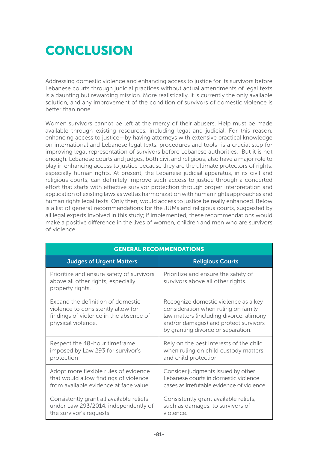# **CONCLUSION**

Addressing domestic violence and enhancing access to justice for its survivors before Lebanese courts through judicial practices without actual amendments of legal texts is a daunting but rewarding mission. More realistically, it is currently the only available solution, and any improvement of the condition of survivors of domestic violence is better than none.

Women survivors cannot be left at the mercy of their abusers. Help must be made available through existing resources, including legal and judicial. For this reason, enhancing access to justice—by having attorneys with extensive practical knowledge on international and Lebanese legal texts, procedures and tools–is a crucial step for improving legal representation of survivors before Lebanese authorities. But it is not enough. Lebanese courts and judges, both civil and religious, also have a major role to play in enhancing access to justice because they are the ultimate protectors of rights, especially human rights. At present, the Lebanese judicial apparatus, in its civil and religious courts, can definitely improve such access to justice through a concerted effort that starts with effective survivor protection through proper interpretation and application of existing laws as well as harmonization with human rights approaches and human rights legal texts. Only then, would access to justice be really enhanced. Below is a list of general recommendations for the JUMs and religious courts, suggested by all legal experts involved in this study; if implemented, these recommendations would make a positive difference in the lives of women, children and men who are survivors of violence.

| <b>GENERAL RECOMMENDATIONS</b>                                                                                                          |                                                                                                                                                                                                       |
|-----------------------------------------------------------------------------------------------------------------------------------------|-------------------------------------------------------------------------------------------------------------------------------------------------------------------------------------------------------|
| <b>Judges of Urgent Matters</b>                                                                                                         | <b>Religious Courts</b>                                                                                                                                                                               |
| Prioritize and ensure safety of survivors<br>above all other rights, especially<br>property rights.                                     | Prioritize and ensure the safety of<br>survivors above all other rights.                                                                                                                              |
| Expand the definition of domestic<br>violence to consistently allow for<br>findings of violence in the absence of<br>physical violence. | Recognize domestic violence as a key<br>consideration when ruling on family<br>law matters (including divorce, alimony<br>and/or damages) and protect survivors<br>by granting divorce or separation. |
| Respect the 48-hour timeframe<br>imposed by Law 293 for survivor's<br>protection                                                        | Rely on the best interests of the child<br>when ruling on child custody matters<br>and child protection                                                                                               |
| Adopt more flexible rules of evidence<br>that would allow findings of violence<br>from available evidence at face value.                | Consider judgments issued by other<br>Lebanese courts in domestic violence<br>cases as irrefutable evidence of violence.                                                                              |
| Consistently grant all available reliefs<br>under Law 293/2014, independently of<br>the survivor's requests.                            | Consistently grant available reliefs,<br>such as damages, to survivors of<br>violence.                                                                                                                |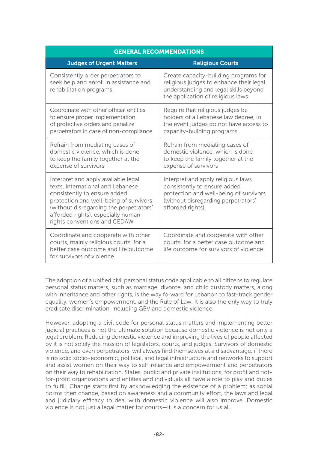| <b>GENERAL RECOMMENDATIONS</b>                                                                                                                                                                                                                                       |                                                                                                                                                                          |
|----------------------------------------------------------------------------------------------------------------------------------------------------------------------------------------------------------------------------------------------------------------------|--------------------------------------------------------------------------------------------------------------------------------------------------------------------------|
| <b>Judges of Urgent Matters</b>                                                                                                                                                                                                                                      | <b>Religious Courts</b>                                                                                                                                                  |
| Consistently order perpetrators to<br>seek help and enroll in assistance and<br>rehabilitation programs.                                                                                                                                                             | Create capacity-building programs for<br>religious judges to enhance their legal<br>understanding and legal skills beyond<br>the application of religious laws.          |
| Coordinate with other official entities<br>to ensure proper implementation<br>of protective orders and penalize<br>perpetrators in case of non-compliance.                                                                                                           | Require that religious judges be<br>holders of a Lebanese law degree, in<br>the event judges do not have access to<br>capacity-building programs.                        |
| Refrain from mediating cases of<br>domestic violence, which is done<br>to keep the family together at the<br>expense of survivors                                                                                                                                    | Refrain from mediating cases of<br>domestic violence, which is done<br>to keep the family together at the<br>expense of survivors                                        |
| Interpret and apply available legal<br>texts, international and Lebanese<br>consistently to ensure added<br>protection and well-being of survivors<br>(without disregarding the perpetrators'<br>afforded rights), especially human<br>rights conventions and CEDAW. | Interpret and apply religious laws<br>consistently to ensure added<br>protection and well-being of survivors<br>(without disregarding perpetrators'<br>afforded rights). |
| Coordinate and cooperate with other<br>courts, mainly religious courts, for a<br>better case outcome and life outcome<br>for survivors of violence.                                                                                                                  | Coordinate and cooperate with other<br>courts, for a better case outcome and<br>life outcome for survivors of violence.                                                  |

The adoption of a unified civil personal status code applicable to all citizens to regulate personal status matters, such as marriage, divorce, and child custody matters, along with inheritance and other rights, is the way forward for Lebanon to fast-track gender equality, women's empowerment, and the Rule of Law. It is also the only way to truly eradicate discrimination, including GBV and domestic violence.

However, adopting a civil code for personal status matters and implementing better judicial practices is not the ultimate solution because domestic violence is not only a legal problem. Reducing domestic violence and improving the lives of people affected by it is not solely the mission of legislators, courts, and judges. Survivors of domestic violence, and even perpetrators, will always find themselves at a disadvantage, if there is no solid socio-economic, political, and legal infrastructure and networks to support and assist women on their way to self-reliance and empowerment and perpetrators on their way to rehabilitation. States, public and private institutions, for profit and notfor-profit organizations and entities and individuals all have a role to play and duties to fulfill. Change starts first by acknowledging the existence of a problem; as social norms then change, based on awareness and a community effort, the laws and legal and judiciary efficacy to deal with domestic violence will also improve. Domestic violence is not just a legal matter for courts—it is a concern for us all.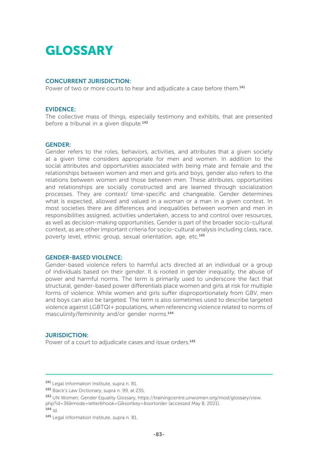# GLOSSARY

#### CONCURRENT JURISDICTION:

Power of two or more courts to hear and adjudicate a case before them.<sup>141</sup>

#### EVIDENCE:

The collective mass of things, especially testimony and exhibits, that are presented before a tribunal in a given dispute.<sup>142</sup>

#### GENDER:

Gender refers to the roles, behaviors, activities, and attributes that a given society at a given time considers appropriate for men and women. In addition to the social attributes and opportunities associated with being male and female and the relationships between women and men and girls and boys, gender also refers to the relations between women and those between men. These attributes, opportunities and relationships are socially constructed and are learned through socialization processes. They are context/ time-specific and changeable. Gender determines what is expected, allowed and valued in a woman or a man in a given context. In most societies there are differences and inequalities between women and men in responsibilities assigned, activities undertaken, access to and control over resources, as well as decision-making opportunities. Gender is part of the broader socio-cultural context, as are other important criteria for socio-cultural analysis including class, race, poverty level, ethnic group, sexual orientation, age, etc.<sup>143</sup>

#### GENDER-BASED VIOLENCE:

Gender-based violence refers to harmful acts directed at an individual or a group of individuals based on their gender. It is rooted in gender inequality, the abuse of power and harmful norms. The term is primarily used to underscore the fact that structural, gender-based power differentials place women and girls at risk for multiple forms of violence. While women and girls suffer disproportionately from GBV, men and boys can also be targeted. The term is also sometimes used to describe targeted violence against LGBTQI+ populations, when referencing violence related to norms of masculinity/femininity and/or gender norms.<sup>144</sup>

#### JURISDICTION:

Power of a court to adjudicate cases and issue orders.<sup>145</sup>

 $144 |d$ 

<sup>141</sup> Legal Information Institute, supra n. 81.

<sup>142</sup> Black's Law Dictionary, supra n. 99, at 235.

<sup>143</sup> UN Women, Gender Equality Glossary, https://trainingcentre.unwomen.org/mod/glossary/view. php?id=36&mode=letter&hook=G&sortkey=&sortorder (accessed May 8, 2021).

<sup>145</sup> Legal Information Institute, supra n. 81.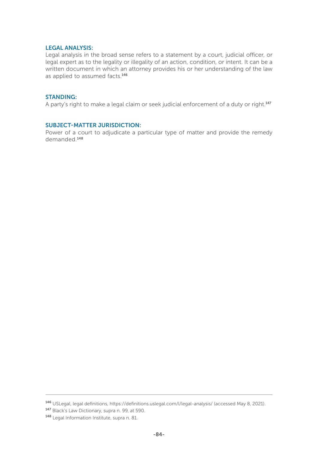### LEGAL ANALYSIS:

Legal analysis in the broad sense refers to a statement by a court, judicial officer, or legal expert as to the legality or illegality of an action, condition, or intent. It can be a written document in which an attorney provides his or her understanding of the law as applied to assumed facts.<sup>146</sup>

### STANDING:

A party's right to make a legal claim or seek judicial enforcement of a duty or right.<sup>147</sup>

### SUBJECT-MATTER JURISDICTION:

Power of a court to adjudicate a particular type of matter and provide the remedy demanded.<sup>148</sup>

<sup>146</sup> USLegal, legal definitions, https://definitions.uslegal.com/l/legal-analysis/ (accessed May 8, 2021).

<sup>147</sup> Black's Law Dictionary, supra n. 99, at 590.

<sup>148</sup> Legal Information Institute, supra n. 81.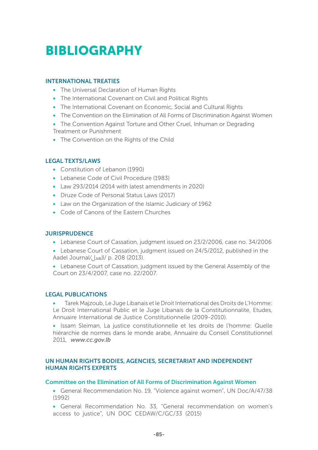# BIBLIOGRAPHY

# INTERNATIONAL TREATIES

- The Universal Declaration of Human Rights
- The International Covenant on Civil and Political Rights
- The International Covenant on Economic, Social and Cultural Rights
- The Convention on the Elimination of All Forms of Discrimination Against Women
- The Convention Against Torture and Other Cruel, Inhuman or Degrading Treatment or Punishment
- The Convention on the Rights of the Child

# LEGAL TEXTS/LAWS

- Constitution of Lebanon (1990)
- Lebanese Code of Civil Procedure (1983)
- Law 293/2014 (2014 with latest amendments in 2020)
- Druze Code of Personal Status Laws (2017)
- Law on the Organization of the Islamic Judiciary of 1962
- Code of Canons of the Eastern Churches

# **JURISPRUDENCE**

- Lebanese Court of Cassation, judgment issued on 23/2/2006, case no. 34/2006
- Lebanese Court of Cassation, judgment issued on 24/5/2012, published in the Aadel Journal/العدل/ p. 208 (2013).
- Lebanese Court of Cassation, judgment issued by the General Assembly of the Court on 23/4/2007, case no. 22/2007.

# LEGAL PUBLICATIONS

• Tarek Majzoub, Le Juge Libanais et le Droit International des Droits de L'Homme: Le Droit International Public et le Juge Libanais de la Constitutionnalite, Etudes, Annuaire International de Justice Constitutionnelle (2009-2010).

• Issam Sleiman, La justice constitutionnelle et les droits de l'homme: Quelle hiérarchie de normes dans le monde arabe, Annuaire du Conseil Constitutionnel 2011, *www.cc.gov.lb* 

# UN HUMAN RIGHTS BODIES, AGENCIES, SECRETARIAT AND INDEPENDENT HUMAN RIGHTS EXPERTS

# Committee on the Elimination of All Forms of Discrimination Against Women

• General Recommendation No. 19, "Violence against women", UN Doc/A/47/38 (1992)

• General Recommendation No. 33, "General recommendation on women's access to justice", UN DOC CEDAW/C/GC/33 (2015)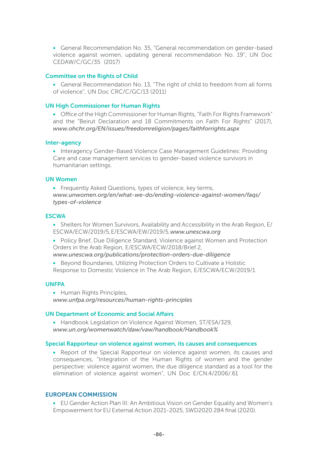• General Recommendation No. 35, "General recommendation on gender-based violence against women, updating general recommendation No. 19", UN Doc CEDAW/C/GC/35 (2017)

#### Committee on the Rights of Child

• General Recommendation No. 13, "The right of child to freedom from all forms of violence", UN Doc CRC/C/GC/13 (2011)

#### UN High Commissioner for Human Rights

• Office of the High Commissioner for Human Rights, "Faith For Rights Framework" and the "Beirut Declaration and 18 Commitments on Faith For Rights" (2017), *www.ohchr.org/EN/issues/freedomreligion/pages/faithforrights.aspx*

#### Inter-agency

• Interagency Gender-Based Violence Case Management Guidelines: Providing Care and case management services to gender-based violence survivors in humanitarian settings.

#### UN Women

• Frequently Asked Questions, types of violence, key terms, *www.unwomen.org/en/what-we-do/ending-violence-against-women/faqs/ types-of-violence*

#### **ESCWA**

• Shelters for Women Survivors, Availability and Accessibility in the Arab Region, E/ ESCWA/ECW/2019/5, E/ESCWA/EW/2019/5, *www.unescwa.org*

• Policy Brief, Due Diligence Standard, Violence against Women and Protection Orders in the Arab Region, E/ESCWA/ECW/2018/Brief.2, *www.unescwa.org/publications/protection-orders-due-diligence*

• Beyond Boundaries, Utilizing Protection Orders to Cultivate a Holistic Response to Domestic Violence in The Arab Region, E/ESCWA/ECW/2019/1.

#### UNFPA

• Human Rights Principles, *www.unfpa.org/resources/human-rights-principles*

#### UN Department of Economic and Social Affairs

• Handbook Legislation on Violence Against Women, ST/ESA/329, *www.un.org/womenwatch/daw/vaw/handbook/Handbook%*

#### Special Rapporteur on violence against women, its causes and consequences

• Report of the Special Rapporteur on violence against women, its causes and consequences, "Integration of the Human Rights of women and the gender perspective: violence against women, the due diligence standard as a tool for the elimination of violence against women", UN Doc E/CN.4/2006/.61

#### EUROPEAN COMMISSION

• EU Gender Action Plan III: An Ambitious Vision on Gender Equality and Women's Empowerment for EU External Action 2021-2025, SWD2020 284 final (2020).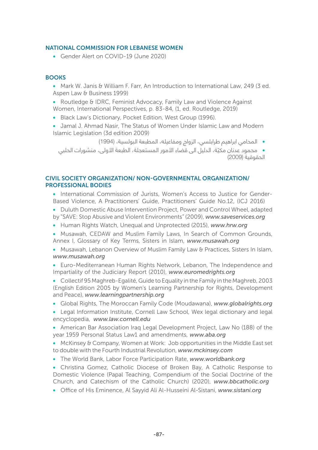# NATIONAL COMMISSION FOR LEBANESE WOMEN

• Gender Alert on COVID-19 (June 2020)

# **BOOKS**

- Mark W. Janis & William F. Farr, An Introduction to International Law, 249 (3 ed. Aspen Law & Business 1999)
- Routledge & IDRC, Feminist Advocacy, Family Law and Violence Against Women, International Perspectives, p. 83-84, (1, ed. Routledge, 2019)
- Black Law's Dictionary, Pocket Edition, West Group (1996).
- Jamal J. Ahmad Nasir, The Status of Women Under Islamic Law and Modern Islamic Legislation (3d edition 2009)

•المحامي ابراهيم طرابلسي، الزواج ومفاعيله، المطبعة البولسية، )1994(

 •ّ محمود عدنان مكية، الدليل الى قضاء األمور المستعجلة، الطبعة األولى، منشورات الحلبي الحقوقية )2009(

# CIVIL SOCIETY ORGANIZATION/ NON-GOVERNMENTAL ORGANIZATION/ PROFESSIONAL BODIES

- International Commission of Jurists, Women's Access to Justice for Gender-Based Violence, A Practitioners' Guide, Practitioners' Guide No.12, (ICJ 2016)
- Duluth Domestic Abuse Intervention Project, Power and Control Wheel, adapted by "SAVE: Stop Abusive and Violent Environments" (2009), *www.saveservices.org*
- Human Rights Watch, Unequal and Unprotected (2015), *www.hrw.org*
- Musawah, CEDAW and Muslim Family Laws, In Search of Common Grounds, Annex I, Glossary of Key Terms, Sisters in Islam, *www.musawah.org*
- Musawah, Lebanon Overview of Muslim Family Law & Practices, Sisters In Islam, *www.musawah.org*
- Euro-Mediterranean Human Rights Network, Lebanon, The Independence and Impartiality of the Judiciary Report (2010), *www.euromedrights.org*
- Collectif 95 Maghreb-Egalité, Guide to Equality in the Family in the Maghreb, 2003 (English Edition 2005 by Women's Learning Partnership for Rights, Development and Peace), *www.learningpartnership.org*
- Global Rights, The Moroccan Family Code (Moudawana), *www.globalrights.org*
- Legal Information Institute, Cornell Law School, Wex legal dictionary and legal encyclopedia, *www.law.cornell.edu*
- American Bar Association Iraq Legal Development Project, Law No (188) of the year 1959 Personal Status Law1 and amendments, *www.aba.org*
- McKinsey & Company, Women at Work: Job opportunities in the Middle East set to double with the Fourth Industrial Revolution, *www.mckinsey.com*
- The World Bank, Labor Force Participation Rate, *www.worldbank.org*
- Christina Gomez, Catholic Diocese of Broken Bay, A Catholic Response to Domestic Violence (Papal Teaching, Compendium of the Social Doctrine of the Church, and Catechism of the Catholic Church) (2020), *www.bbcatholic.org*
- Office of His Eminence, Al Sayyid Ali Al-Husseini Al-Sistani, *www.sistani.org*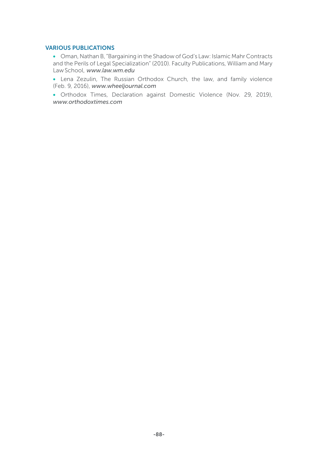### VARIOUS PUBLICATIONS

• Oman, Nathan B, "Bargaining in the Shadow of God's Law: Islamic Mahr Contracts and the Perils of Legal Specialization" (2010). Faculty Publications, William and Mary Law School, *www.law.wm.edu*

• Lena Zezulin, The Russian Orthodox Church, the law, and family violence (Feb. 9, 2016), *www.wheeljournal.com* 

• Orthodox Times, Declaration against Domestic Violence (Nov. 29, 2019), *www.orthodoxtimes.com*